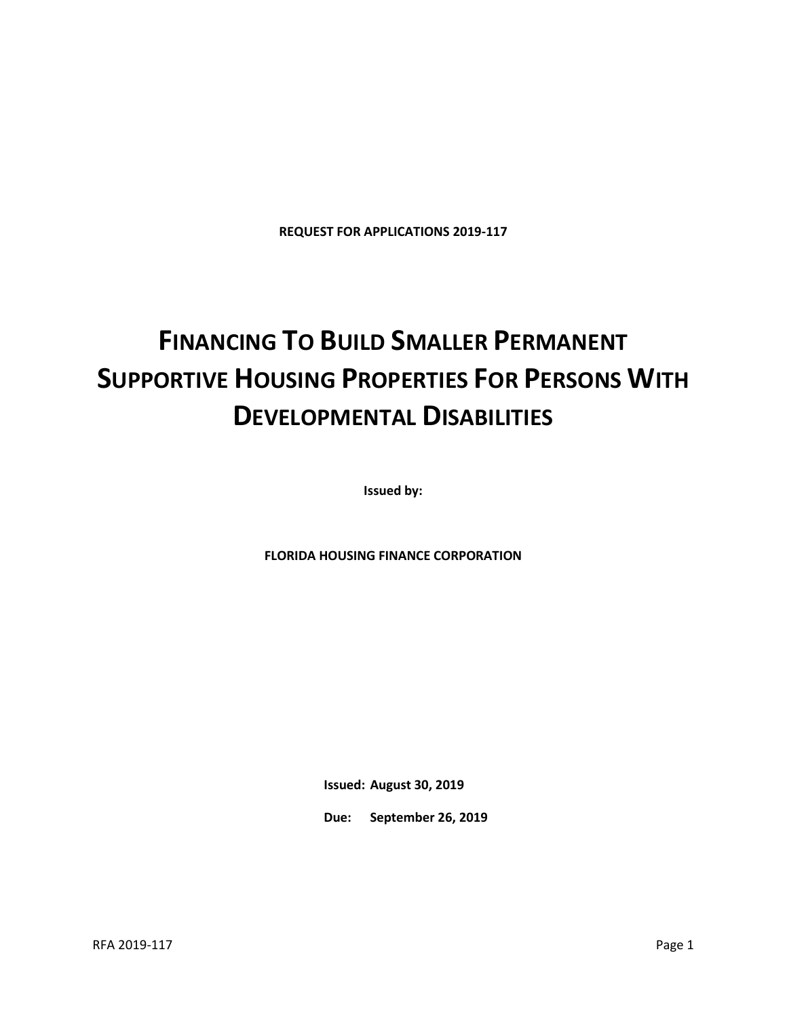**REQUEST FOR APPLICATIONS 2019-117**

# **FINANCING TO BUILD SMALLER PERMANENT SUPPORTIVE HOUSING PROPERTIES FOR PERSONS WITH DEVELOPMENTAL DISABILITIES**

**Issued by:**

**FLORIDA HOUSING FINANCE CORPORATION**

**Issued: August 30, 2019**

**Due: September 26, 2019**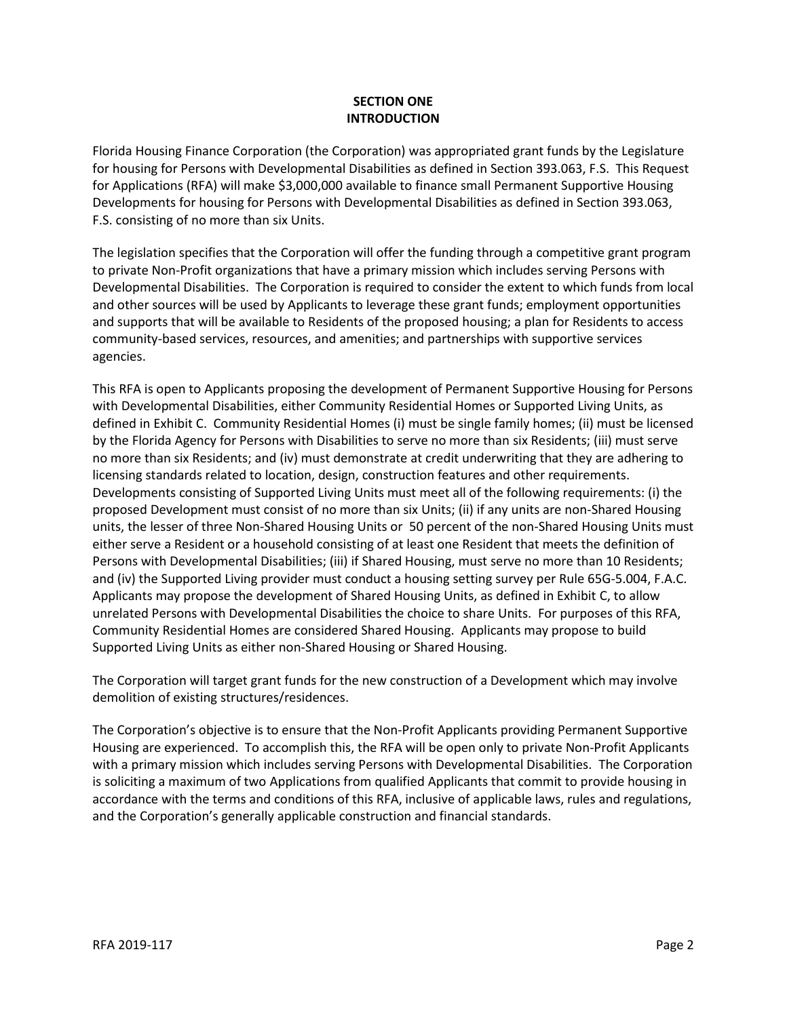## **SECTION ONE INTRODUCTION**

Florida Housing Finance Corporation (the Corporation) was appropriated grant funds by the Legislature for housing for Persons with Developmental Disabilities as defined in Section 393.063, F.S. This Request for Applications (RFA) will make \$3,000,000 available to finance small Permanent Supportive Housing Developments for housing for Persons with Developmental Disabilities as defined in Section 393.063, F.S. consisting of no more than six Units.

The legislation specifies that the Corporation will offer the funding through a competitive grant program to private Non-Profit organizations that have a primary mission which includes serving Persons with Developmental Disabilities. The Corporation is required to consider the extent to which funds from local and other sources will be used by Applicants to leverage these grant funds; employment opportunities and supports that will be available to Residents of the proposed housing; a plan for Residents to access community-based services, resources, and amenities; and partnerships with supportive services agencies.

This RFA is open to Applicants proposing the development of Permanent Supportive Housing for Persons with Developmental Disabilities, either Community Residential Homes or Supported Living Units, as defined in Exhibit C. Community Residential Homes (i) must be single family homes; (ii) must be licensed by the Florida Agency for Persons with Disabilities to serve no more than six Residents; (iii) must serve no more than six Residents; and (iv) must demonstrate at credit underwriting that they are adhering to licensing standards related to location, design, construction features and other requirements. Developments consisting of Supported Living Units must meet all of the following requirements: (i) the proposed Development must consist of no more than six Units; (ii) if any units are non-Shared Housing units, the lesser of three Non-Shared Housing Units or 50 percent of the non-Shared Housing Units must either serve a Resident or a household consisting of at least one Resident that meets the definition of Persons with Developmental Disabilities; (iii) if Shared Housing, must serve no more than 10 Residents; and (iv) the Supported Living provider must conduct a housing setting survey per Rule 65G-5.004, F.A.C. Applicants may propose the development of Shared Housing Units, as defined in Exhibit C, to allow unrelated Persons with Developmental Disabilities the choice to share Units. For purposes of this RFA, Community Residential Homes are considered Shared Housing. Applicants may propose to build Supported Living Units as either non-Shared Housing or Shared Housing.

The Corporation will target grant funds for the new construction of a Development which may involve demolition of existing structures/residences.

The Corporation's objective is to ensure that the Non-Profit Applicants providing Permanent Supportive Housing are experienced. To accomplish this, the RFA will be open only to private Non-Profit Applicants with a primary mission which includes serving Persons with Developmental Disabilities. The Corporation is soliciting a maximum of two Applications from qualified Applicants that commit to provide housing in accordance with the terms and conditions of this RFA, inclusive of applicable laws, rules and regulations, and the Corporation's generally applicable construction and financial standards.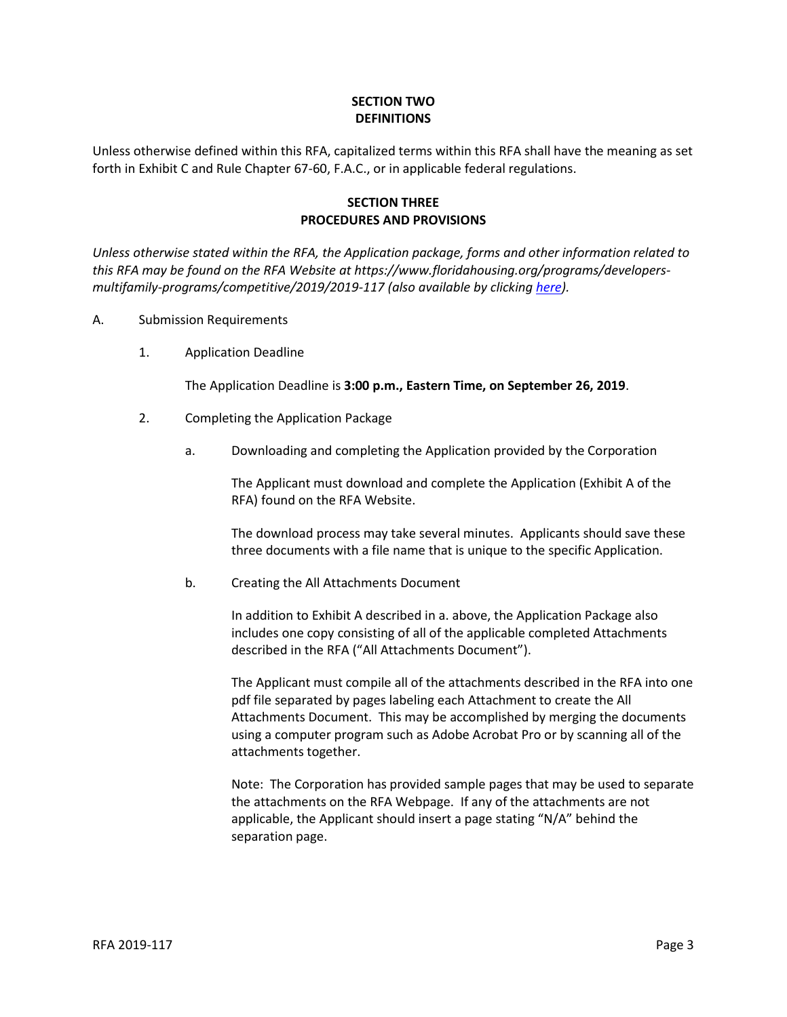## **SECTION TWO DEFINITIONS**

Unless otherwise defined within this RFA, capitalized terms within this RFA shall have the meaning as set forth in Exhibit C and Rule Chapter 67-60, F.A.C., or in applicable federal regulations.

## **SECTION THREE PROCEDURES AND PROVISIONS**

*Unless otherwise stated within the RFA, the Application package, forms and other information related to this RFA may be found on the RFA Website at https://www.floridahousing.org/programs/developersmultifamily-programs/competitive/2019/2019-117 (also available by clicking [here\)](https://www.floridahousing.org/programs/developers-multifamily-programs/competitive/2019/2019-117).*

- A. Submission Requirements
	- 1. Application Deadline

The Application Deadline is **3:00 p.m., Eastern Time, on September 26, 2019**.

- 2. Completing the Application Package
	- a. Downloading and completing the Application provided by the Corporation

The Applicant must download and complete the Application (Exhibit A of the RFA) found on the RFA Website.

The download process may take several minutes. Applicants should save these three documents with a file name that is unique to the specific Application.

b. Creating the All Attachments Document

In addition to Exhibit A described in a. above, the Application Package also includes one copy consisting of all of the applicable completed Attachments described in the RFA ("All Attachments Document").

The Applicant must compile all of the attachments described in the RFA into one pdf file separated by pages labeling each Attachment to create the All Attachments Document. This may be accomplished by merging the documents using a computer program such as Adobe Acrobat Pro or by scanning all of the attachments together.

Note: The Corporation has provided sample pages that may be used to separate the attachments on the RFA Webpage. If any of the attachments are not applicable, the Applicant should insert a page stating "N/A" behind the separation page.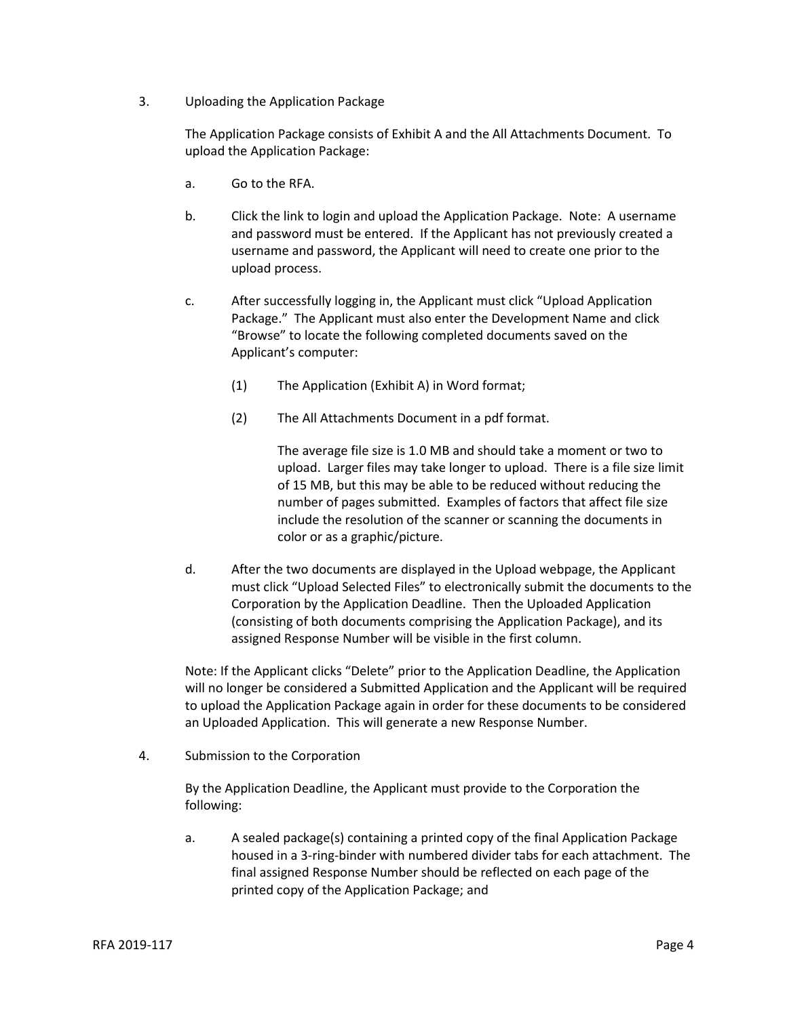3. Uploading the Application Package

The Application Package consists of Exhibit A and the All Attachments Document. To upload the Application Package:

- a. Go to the RFA.
- b. Click the link to login and upload the Application Package. Note: A username and password must be entered. If the Applicant has not previously created a username and password, the Applicant will need to create one prior to the upload process.
- c. After successfully logging in, the Applicant must click "Upload Application Package." The Applicant must also enter the Development Name and click "Browse" to locate the following completed documents saved on the Applicant's computer:
	- (1) The Application (Exhibit A) in Word format;
	- (2) The All Attachments Document in a pdf format.

The average file size is 1.0 MB and should take a moment or two to upload. Larger files may take longer to upload. There is a file size limit of 15 MB, but this may be able to be reduced without reducing the number of pages submitted. Examples of factors that affect file size include the resolution of the scanner or scanning the documents in color or as a graphic/picture.

d. After the two documents are displayed in the Upload webpage, the Applicant must click "Upload Selected Files" to electronically submit the documents to the Corporation by the Application Deadline. Then the Uploaded Application (consisting of both documents comprising the Application Package), and its assigned Response Number will be visible in the first column.

Note: If the Applicant clicks "Delete" prior to the Application Deadline, the Application will no longer be considered a Submitted Application and the Applicant will be required to upload the Application Package again in order for these documents to be considered an Uploaded Application. This will generate a new Response Number.

4. Submission to the Corporation

By the Application Deadline, the Applicant must provide to the Corporation the following:

a. A sealed package(s) containing a printed copy of the final Application Package housed in a 3-ring-binder with numbered divider tabs for each attachment. The final assigned Response Number should be reflected on each page of the printed copy of the Application Package; and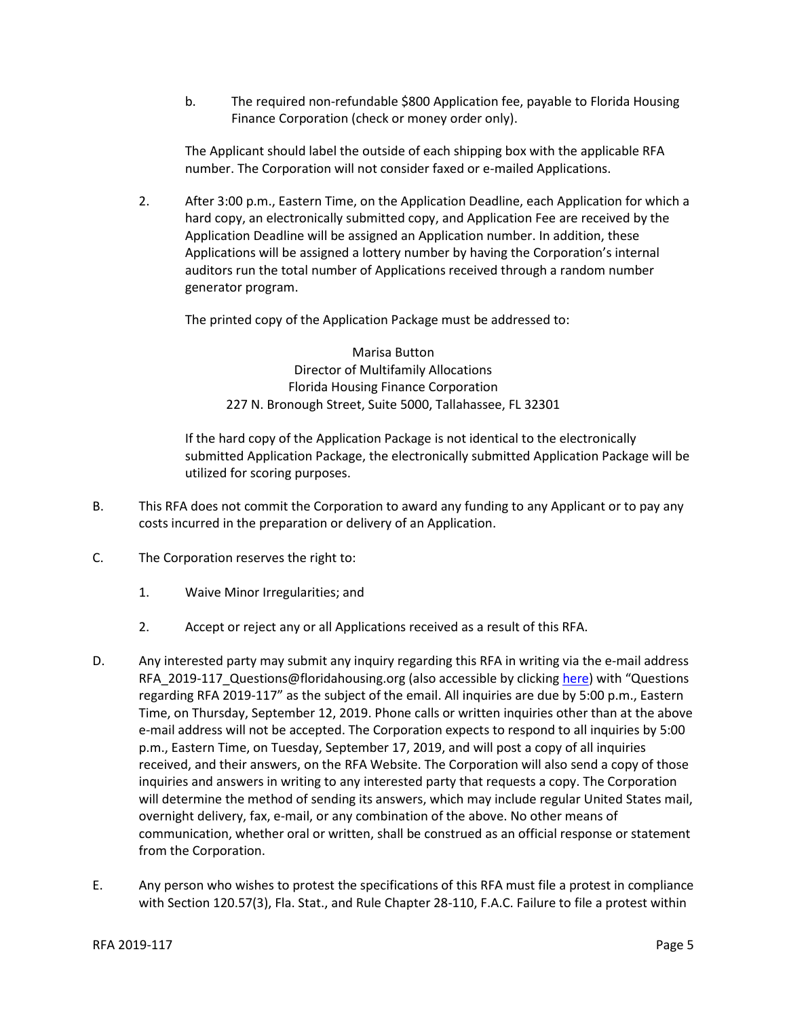b. The required non-refundable \$800 Application fee, payable to Florida Housing Finance Corporation (check or money order only).

The Applicant should label the outside of each shipping box with the applicable RFA number. The Corporation will not consider faxed or e-mailed Applications.

2. After 3:00 p.m., Eastern Time, on the Application Deadline, each Application for which a hard copy, an electronically submitted copy, and Application Fee are received by the Application Deadline will be assigned an Application number. In addition, these Applications will be assigned a lottery number by having the Corporation's internal auditors run the total number of Applications received through a random number generator program.

The printed copy of the Application Package must be addressed to:

Marisa Button Director of Multifamily Allocations Florida Housing Finance Corporation 227 N. Bronough Street, Suite 5000, Tallahassee, FL 32301

If the hard copy of the Application Package is not identical to the electronically submitted Application Package, the electronically submitted Application Package will be utilized for scoring purposes.

- B. This RFA does not commit the Corporation to award any funding to any Applicant or to pay any costs incurred in the preparation or delivery of an Application.
- C. The Corporation reserves the right to:
	- 1. Waive Minor Irregularities; and
	- 2. Accept or reject any or all Applications received as a result of this RFA.
- D. Any interested party may submit any inquiry regarding this RFA in writing via the e-mail address RFA\_2019-117\_Questions@floridahousing.org (also accessible by clickin[g here\)](mailto:RFA_2019-117_Questions@floridahousing.org?subject=RFA%202019-117%20Questions) with "Questions regarding RFA 2019-117" as the subject of the email. All inquiries are due by 5:00 p.m., Eastern Time, on Thursday, September 12, 2019. Phone calls or written inquiries other than at the above e-mail address will not be accepted. The Corporation expects to respond to all inquiries by 5:00 p.m., Eastern Time, on Tuesday, September 17, 2019, and will post a copy of all inquiries received, and their answers, on the RFA Website. The Corporation will also send a copy of those inquiries and answers in writing to any interested party that requests a copy. The Corporation will determine the method of sending its answers, which may include regular United States mail, overnight delivery, fax, e-mail, or any combination of the above. No other means of communication, whether oral or written, shall be construed as an official response or statement from the Corporation.
- E. Any person who wishes to protest the specifications of this RFA must file a protest in compliance with Section 120.57(3), Fla. Stat., and Rule Chapter 28-110, F.A.C. Failure to file a protest within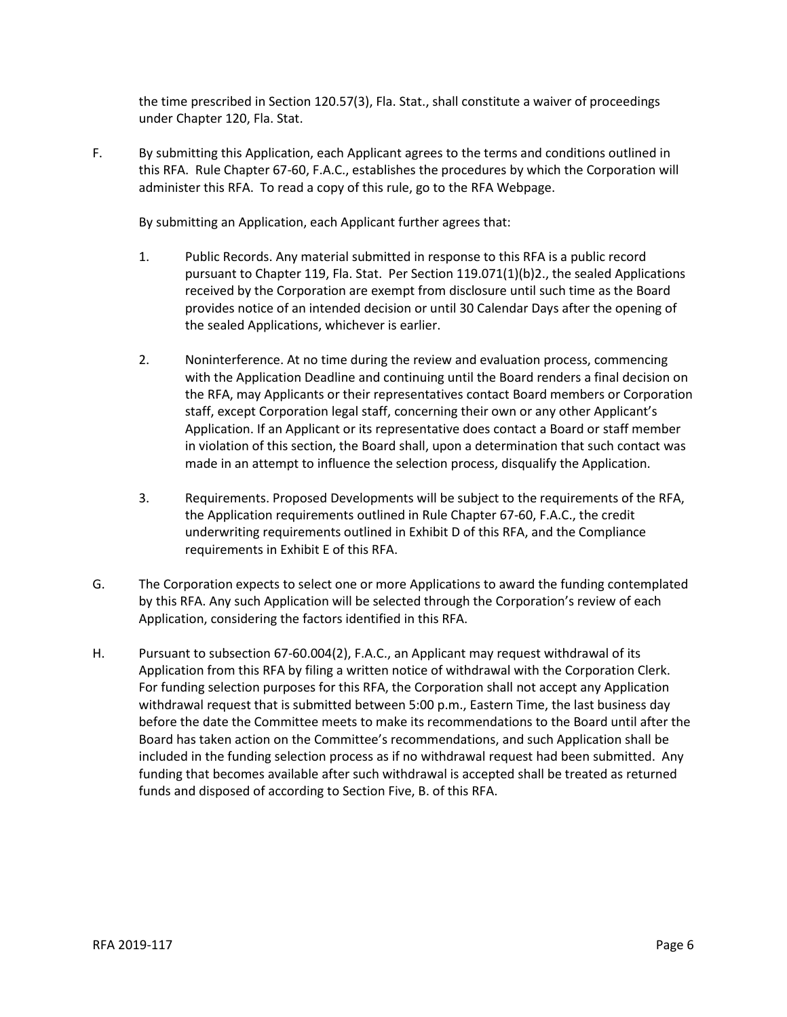the time prescribed in Section 120.57(3), Fla. Stat., shall constitute a waiver of proceedings under Chapter 120, Fla. Stat.

F. By submitting this Application, each Applicant agrees to the terms and conditions outlined in this RFA. Rule Chapter 67-60, F.A.C., establishes the procedures by which the Corporation will administer this RFA. To read a copy of this rule, go to the RFA Webpage.

By submitting an Application, each Applicant further agrees that:

- 1. Public Records. Any material submitted in response to this RFA is a public record pursuant to Chapter 119, Fla. Stat. Per Section 119.071(1)(b)2., the sealed Applications received by the Corporation are exempt from disclosure until such time as the Board provides notice of an intended decision or until 30 Calendar Days after the opening of the sealed Applications, whichever is earlier.
- 2. Noninterference. At no time during the review and evaluation process, commencing with the Application Deadline and continuing until the Board renders a final decision on the RFA, may Applicants or their representatives contact Board members or Corporation staff, except Corporation legal staff, concerning their own or any other Applicant's Application. If an Applicant or its representative does contact a Board or staff member in violation of this section, the Board shall, upon a determination that such contact was made in an attempt to influence the selection process, disqualify the Application.
- 3. Requirements. Proposed Developments will be subject to the requirements of the RFA, the Application requirements outlined in Rule Chapter 67-60, F.A.C., the credit underwriting requirements outlined in Exhibit D of this RFA, and the Compliance requirements in Exhibit E of this RFA.
- G. The Corporation expects to select one or more Applications to award the funding contemplated by this RFA. Any such Application will be selected through the Corporation's review of each Application, considering the factors identified in this RFA.
- H. Pursuant to subsection 67-60.004(2), F.A.C., an Applicant may request withdrawal of its Application from this RFA by filing a written notice of withdrawal with the Corporation Clerk. For funding selection purposes for this RFA, the Corporation shall not accept any Application withdrawal request that is submitted between 5:00 p.m., Eastern Time, the last business day before the date the Committee meets to make its recommendations to the Board until after the Board has taken action on the Committee's recommendations, and such Application shall be included in the funding selection process as if no withdrawal request had been submitted. Any funding that becomes available after such withdrawal is accepted shall be treated as returned funds and disposed of according to Section Five, B. of this RFA.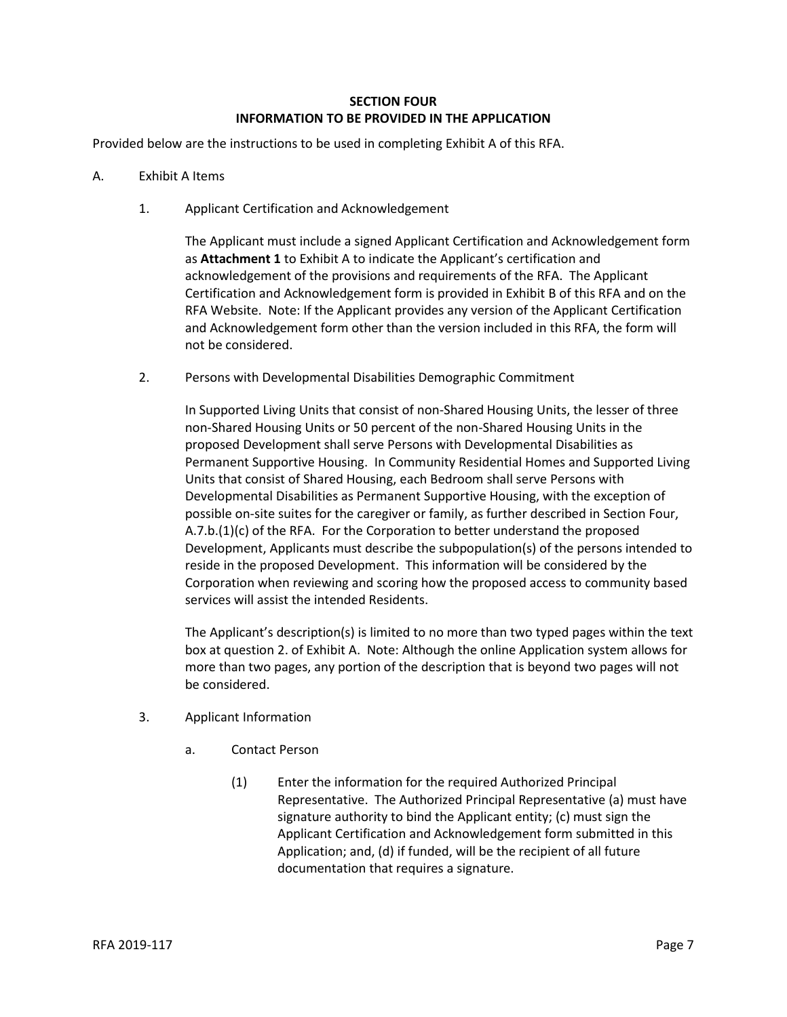## **SECTION FOUR INFORMATION TO BE PROVIDED IN THE APPLICATION**

Provided below are the instructions to be used in completing Exhibit A of this RFA.

- A. Exhibit A Items
	- 1. Applicant Certification and Acknowledgement

The Applicant must include a signed Applicant Certification and Acknowledgement form as **Attachment 1** to Exhibit A to indicate the Applicant's certification and acknowledgement of the provisions and requirements of the RFA. The Applicant Certification and Acknowledgement form is provided in Exhibit B of this RFA and on the RFA Website. Note: If the Applicant provides any version of the Applicant Certification and Acknowledgement form other than the version included in this RFA, the form will not be considered.

2. Persons with Developmental Disabilities Demographic Commitment

In Supported Living Units that consist of non-Shared Housing Units, the lesser of three non-Shared Housing Units or 50 percent of the non-Shared Housing Units in the proposed Development shall serve Persons with Developmental Disabilities as Permanent Supportive Housing. In Community Residential Homes and Supported Living Units that consist of Shared Housing, each Bedroom shall serve Persons with Developmental Disabilities as Permanent Supportive Housing, with the exception of possible on-site suites for the caregiver or family, as further described in Section Four,  $A.7.b.(1)(c)$  of the RFA. For the Corporation to better understand the proposed Development, Applicants must describe the subpopulation(s) of the persons intended to reside in the proposed Development. This information will be considered by the Corporation when reviewing and scoring how the proposed access to community based services will assist the intended Residents.

The Applicant's description(s) is limited to no more than two typed pages within the text box at question 2. of Exhibit A. Note: Although the online Application system allows for more than two pages, any portion of the description that is beyond two pages will not be considered.

- 3. Applicant Information
	- a. Contact Person
		- (1) Enter the information for the required Authorized Principal Representative. The Authorized Principal Representative (a) must have signature authority to bind the Applicant entity; (c) must sign the Applicant Certification and Acknowledgement form submitted in this Application; and, (d) if funded, will be the recipient of all future documentation that requires a signature.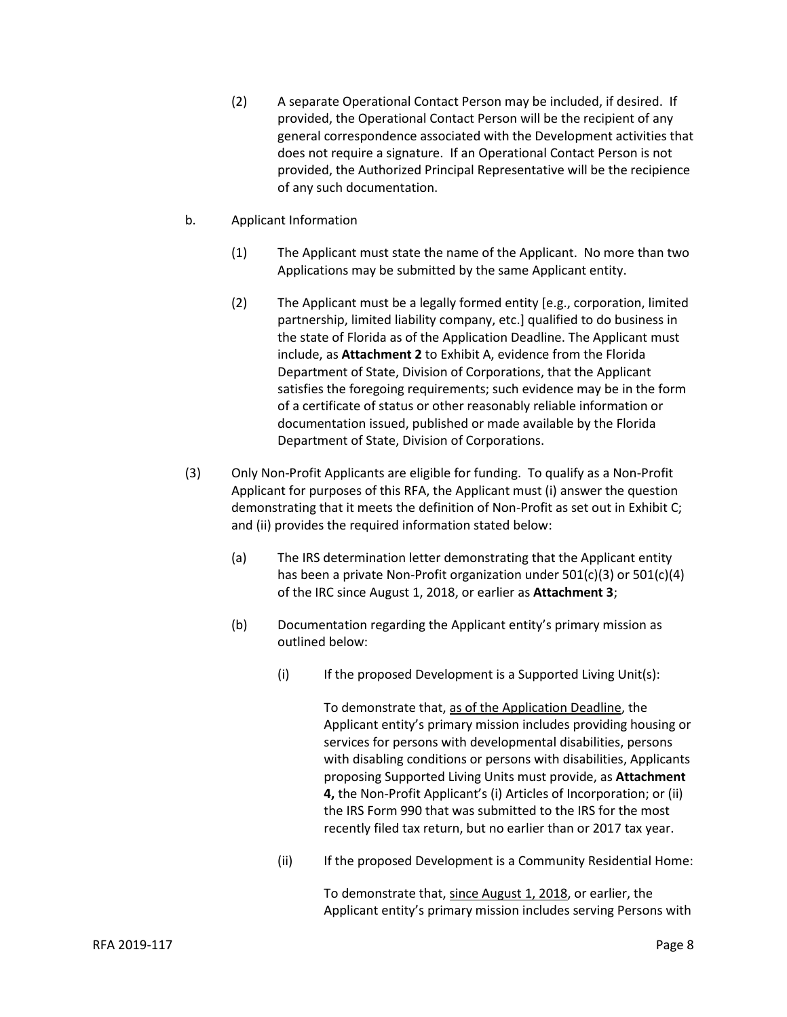- (2) A separate Operational Contact Person may be included, if desired. If provided, the Operational Contact Person will be the recipient of any general correspondence associated with the Development activities that does not require a signature. If an Operational Contact Person is not provided, the Authorized Principal Representative will be the recipience of any such documentation.
- b. Applicant Information
	- (1) The Applicant must state the name of the Applicant. No more than two Applications may be submitted by the same Applicant entity.
	- (2) The Applicant must be a legally formed entity [e.g., corporation, limited partnership, limited liability company, etc.] qualified to do business in the state of Florida as of the Application Deadline. The Applicant must include, as **Attachment 2** to Exhibit A, evidence from the Florida Department of State, Division of Corporations, that the Applicant satisfies the foregoing requirements; such evidence may be in the form of a certificate of status or other reasonably reliable information or documentation issued, published or made available by the Florida Department of State, Division of Corporations.
- (3) Only Non-Profit Applicants are eligible for funding. To qualify as a Non-Profit Applicant for purposes of this RFA, the Applicant must (i) answer the question demonstrating that it meets the definition of Non-Profit as set out in Exhibit C; and (ii) provides the required information stated below:
	- (a) The IRS determination letter demonstrating that the Applicant entity has been a private Non-Profit organization under 501(c)(3) or 501(c)(4) of the IRC since August 1, 2018, or earlier as **Attachment 3**;
	- (b) Documentation regarding the Applicant entity's primary mission as outlined below:
		- $(i)$  If the proposed Development is a Supported Living Unit(s):

To demonstrate that, as of the Application Deadline, the Applicant entity's primary mission includes providing housing or services for persons with developmental disabilities, persons with disabling conditions or persons with disabilities, Applicants proposing Supported Living Units must provide, as **Attachment 4,** the Non-Profit Applicant's (i) Articles of Incorporation; or (ii) the IRS Form 990 that was submitted to the IRS for the most recently filed tax return, but no earlier than or 2017 tax year.

(ii) If the proposed Development is a Community Residential Home:

To demonstrate that, since August 1, 2018, or earlier, the Applicant entity's primary mission includes serving Persons with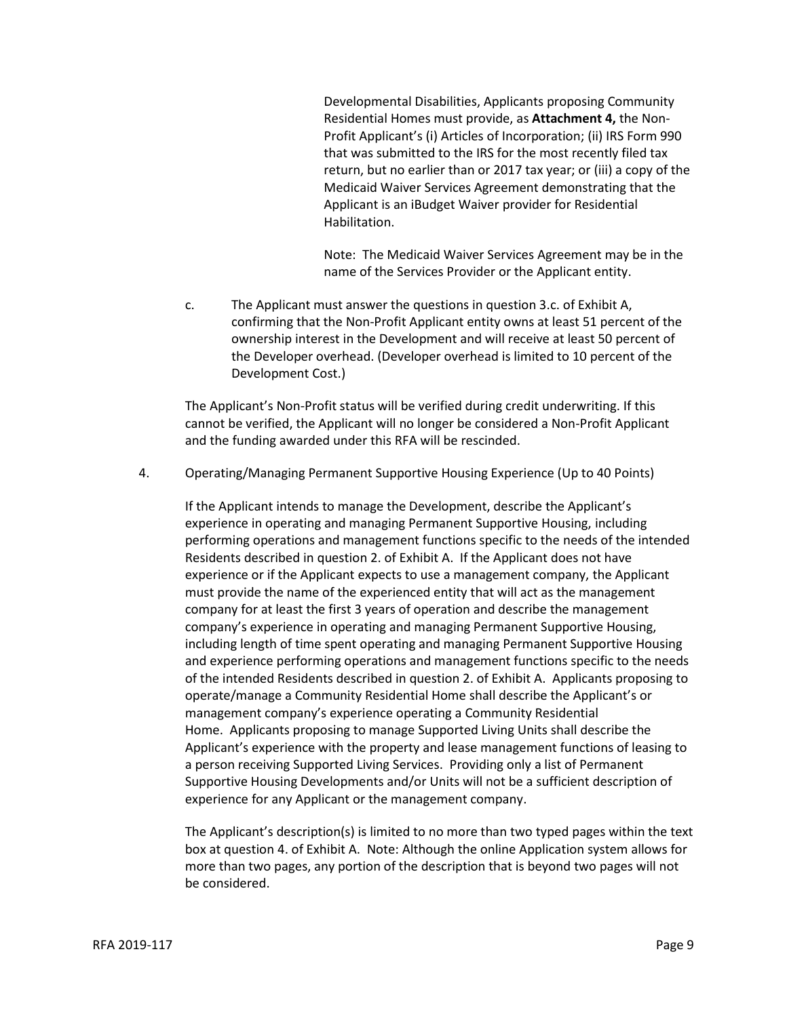Developmental Disabilities, Applicants proposing Community Residential Homes must provide, as **Attachment 4,** the Non-Profit Applicant's (i) Articles of Incorporation; (ii) IRS Form 990 that was submitted to the IRS for the most recently filed tax return, but no earlier than or 2017 tax year; or (iii) a copy of the Medicaid Waiver Services Agreement demonstrating that the Applicant is an iBudget Waiver provider for Residential Habilitation.

Note: The Medicaid Waiver Services Agreement may be in the name of the Services Provider or the Applicant entity.

c. The Applicant must answer the questions in question 3.c. of Exhibit A, confirming that the Non-Profit Applicant entity owns at least 51 percent of the ownership interest in the Development and will receive at least 50 percent of the Developer overhead. (Developer overhead is limited to 10 percent of the Development Cost.)

The Applicant's Non-Profit status will be verified during credit underwriting. If this cannot be verified, the Applicant will no longer be considered a Non-Profit Applicant and the funding awarded under this RFA will be rescinded.

4. Operating/Managing Permanent Supportive Housing Experience (Up to 40 Points)

If the Applicant intends to manage the Development, describe the Applicant's experience in operating and managing Permanent Supportive Housing, including performing operations and management functions specific to the needs of the intended Residents described in question 2. of Exhibit A. If the Applicant does not have experience or if the Applicant expects to use a management company, the Applicant must provide the name of the experienced entity that will act as the management company for at least the first 3 years of operation and describe the management company's experience in operating and managing Permanent Supportive Housing, including length of time spent operating and managing Permanent Supportive Housing and experience performing operations and management functions specific to the needs of the intended Residents described in question 2. of Exhibit A. Applicants proposing to operate/manage a Community Residential Home shall describe the Applicant's or management company's experience operating a Community Residential Home. Applicants proposing to manage Supported Living Units shall describe the Applicant's experience with the property and lease management functions of leasing to a person receiving Supported Living Services. Providing only a list of Permanent Supportive Housing Developments and/or Units will not be a sufficient description of experience for any Applicant or the management company.

The Applicant's description(s) is limited to no more than two typed pages within the text box at question 4. of Exhibit A. Note: Although the online Application system allows for more than two pages, any portion of the description that is beyond two pages will not be considered.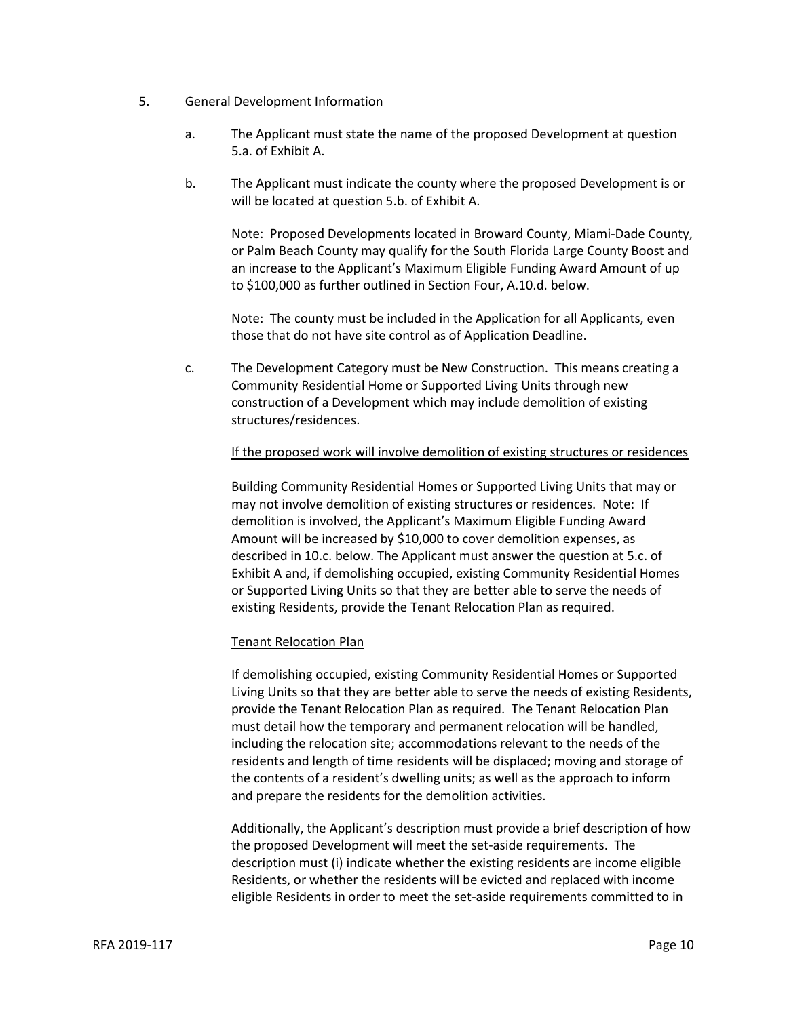- 5. General Development Information
	- a. The Applicant must state the name of the proposed Development at question 5.a. of Exhibit A.
	- b. The Applicant must indicate the county where the proposed Development is or will be located at question 5.b. of Exhibit A.

Note: Proposed Developments located in Broward County, Miami-Dade County, or Palm Beach County may qualify for the South Florida Large County Boost and an increase to the Applicant's Maximum Eligible Funding Award Amount of up to \$100,000 as further outlined in Section Four, A.10.d. below.

Note: The county must be included in the Application for all Applicants, even those that do not have site control as of Application Deadline.

c. The Development Category must be New Construction. This means creating a Community Residential Home or Supported Living Units through new construction of a Development which may include demolition of existing structures/residences.

#### If the proposed work will involve demolition of existing structures or residences

Building Community Residential Homes or Supported Living Units that may or may not involve demolition of existing structures or residences. Note: If demolition is involved, the Applicant's Maximum Eligible Funding Award Amount will be increased by \$10,000 to cover demolition expenses, as described in 10.c. below. The Applicant must answer the question at 5.c. of Exhibit A and, if demolishing occupied, existing Community Residential Homes or Supported Living Units so that they are better able to serve the needs of existing Residents, provide the Tenant Relocation Plan as required.

#### Tenant Relocation Plan

If demolishing occupied, existing Community Residential Homes or Supported Living Units so that they are better able to serve the needs of existing Residents, provide the Tenant Relocation Plan as required. The Tenant Relocation Plan must detail how the temporary and permanent relocation will be handled, including the relocation site; accommodations relevant to the needs of the residents and length of time residents will be displaced; moving and storage of the contents of a resident's dwelling units; as well as the approach to inform and prepare the residents for the demolition activities.

Additionally, the Applicant's description must provide a brief description of how the proposed Development will meet the set-aside requirements. The description must (i) indicate whether the existing residents are income eligible Residents, or whether the residents will be evicted and replaced with income eligible Residents in order to meet the set-aside requirements committed to in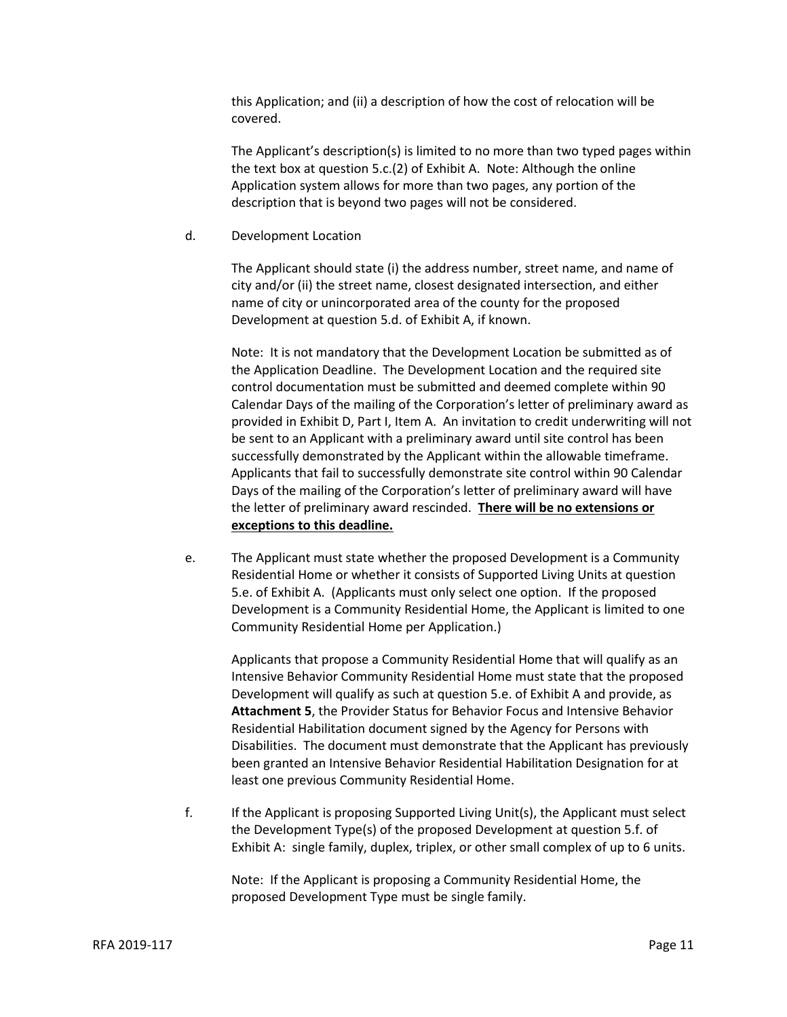this Application; and (ii) a description of how the cost of relocation will be covered.

The Applicant's description(s) is limited to no more than two typed pages within the text box at question 5.c.(2) of Exhibit A. Note: Although the online Application system allows for more than two pages, any portion of the description that is beyond two pages will not be considered.

d. Development Location

The Applicant should state (i) the address number, street name, and name of city and/or (ii) the street name, closest designated intersection, and either name of city or unincorporated area of the county for the proposed Development at question 5.d. of Exhibit A, if known.

Note: It is not mandatory that the Development Location be submitted as of the Application Deadline. The Development Location and the required site control documentation must be submitted and deemed complete within 90 Calendar Days of the mailing of the Corporation's letter of preliminary award as provided in Exhibit D, Part I, Item A. An invitation to credit underwriting will not be sent to an Applicant with a preliminary award until site control has been successfully demonstrated by the Applicant within the allowable timeframe. Applicants that fail to successfully demonstrate site control within 90 Calendar Days of the mailing of the Corporation's letter of preliminary award will have the letter of preliminary award rescinded. **There will be no extensions or exceptions to this deadline.**

e. The Applicant must state whether the proposed Development is a Community Residential Home or whether it consists of Supported Living Units at question 5.e. of Exhibit A. (Applicants must only select one option. If the proposed Development is a Community Residential Home, the Applicant is limited to one Community Residential Home per Application.)

Applicants that propose a Community Residential Home that will qualify as an Intensive Behavior Community Residential Home must state that the proposed Development will qualify as such at question 5.e. of Exhibit A and provide, as **Attachment 5**, the Provider Status for Behavior Focus and Intensive Behavior Residential Habilitation document signed by the Agency for Persons with Disabilities. The document must demonstrate that the Applicant has previously been granted an Intensive Behavior Residential Habilitation Designation for at least one previous Community Residential Home.

f. If the Applicant is proposing Supported Living Unit(s), the Applicant must select the Development Type(s) of the proposed Development at question 5.f. of Exhibit A: single family, duplex, triplex, or other small complex of up to 6 units.

Note: If the Applicant is proposing a Community Residential Home, the proposed Development Type must be single family.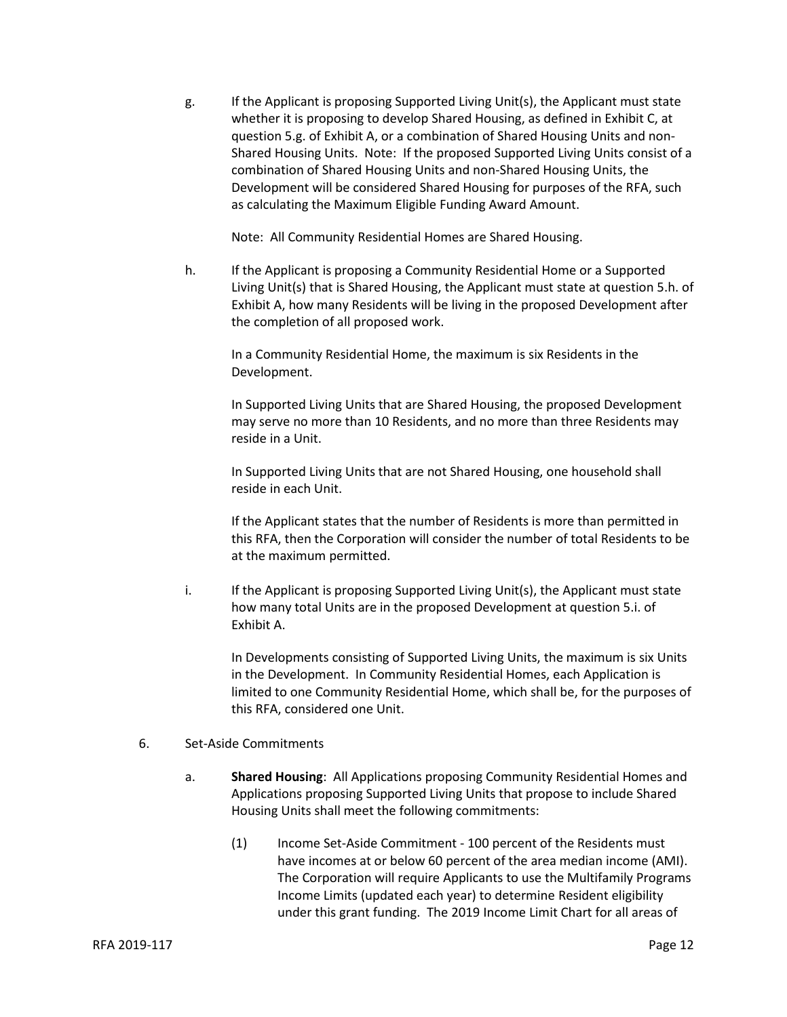g. If the Applicant is proposing Supported Living Unit(s), the Applicant must state whether it is proposing to develop Shared Housing, as defined in Exhibit C, at question 5.g. of Exhibit A, or a combination of Shared Housing Units and non-Shared Housing Units. Note: If the proposed Supported Living Units consist of a combination of Shared Housing Units and non-Shared Housing Units, the Development will be considered Shared Housing for purposes of the RFA, such as calculating the Maximum Eligible Funding Award Amount.

Note: All Community Residential Homes are Shared Housing.

h. If the Applicant is proposing a Community Residential Home or a Supported Living Unit(s) that is Shared Housing, the Applicant must state at question 5.h. of Exhibit A, how many Residents will be living in the proposed Development after the completion of all proposed work.

In a Community Residential Home, the maximum is six Residents in the Development.

In Supported Living Units that are Shared Housing, the proposed Development may serve no more than 10 Residents, and no more than three Residents may reside in a Unit.

In Supported Living Units that are not Shared Housing, one household shall reside in each Unit.

If the Applicant states that the number of Residents is more than permitted in this RFA, then the Corporation will consider the number of total Residents to be at the maximum permitted.

i. If the Applicant is proposing Supported Living Unit(s), the Applicant must state how many total Units are in the proposed Development at question 5.i. of Exhibit A.

In Developments consisting of Supported Living Units, the maximum is six Units in the Development. In Community Residential Homes, each Application is limited to one Community Residential Home, which shall be, for the purposes of this RFA, considered one Unit.

#### 6. Set-Aside Commitments

- a. **Shared Housing**: All Applications proposing Community Residential Homes and Applications proposing Supported Living Units that propose to include Shared Housing Units shall meet the following commitments:
	- (1) Income Set-Aside Commitment 100 percent of the Residents must have incomes at or below 60 percent of the area median income (AMI). The Corporation will require Applicants to use the Multifamily Programs Income Limits (updated each year) to determine Resident eligibility under this grant funding. The 2019 Income Limit Chart for all areas of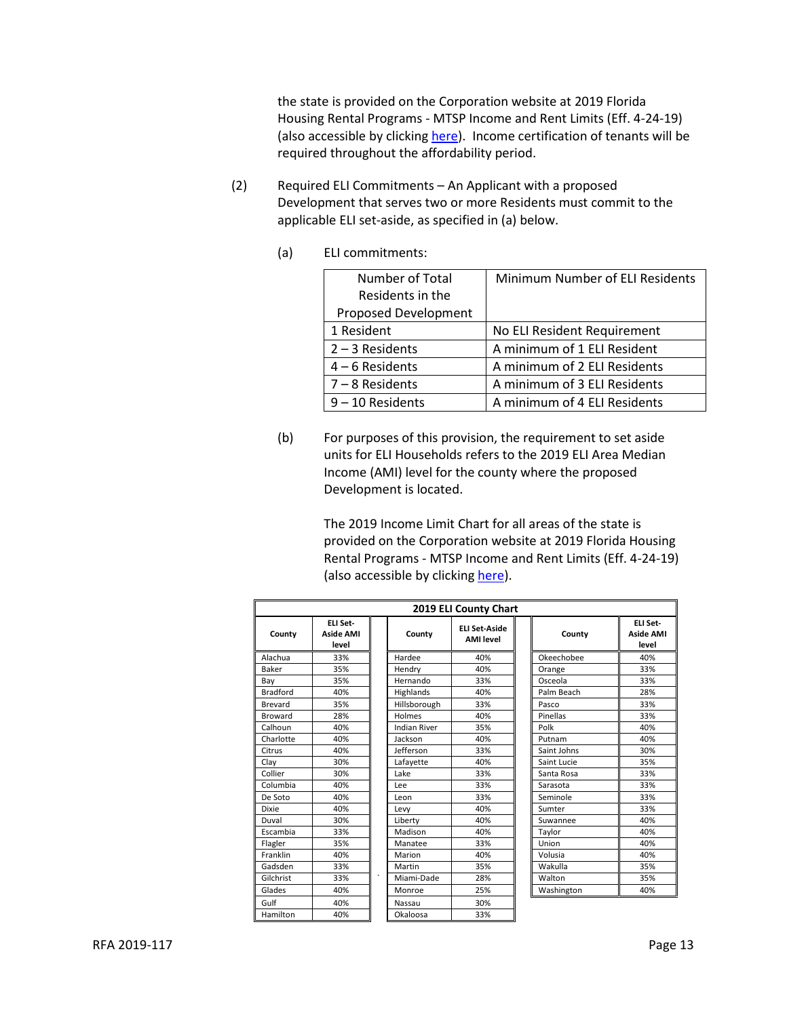the state is provided on the Corporation website at 2019 Florida Housing Rental Programs - MTSP Income and Rent Limits (Eff. 4-24-19) (also accessible by clickin[g here\)](https://www.floridahousing.org/owners-and-managers/compliance/rent-limits). Income certification of tenants will be required throughout the affordability period.

- (2) Required ELI Commitments An Applicant with a proposed Development that serves two or more Residents must commit to the applicable ELI set-aside, as specified in (a) below.
	- (a) ELI commitments:

| Number of Total      | Minimum Number of ELI Residents |
|----------------------|---------------------------------|
| Residents in the     |                                 |
| Proposed Development |                                 |
| 1 Resident           | No ELI Resident Requirement     |
| $2 - 3$ Residents    | A minimum of 1 ELI Resident     |
| $4 - 6$ Residents    | A minimum of 2 ELI Residents    |
| $7 - 8$ Residents    | A minimum of 3 ELI Residents    |
| $9 - 10$ Residents   | A minimum of 4 ELI Residents    |

(b) For purposes of this provision, the requirement to set aside units for ELI Households refers to the 2019 ELI Area Median Income (AMI) level for the county where the proposed Development is located.

> The 2019 Income Limit Chart for all areas of the state is provided on the Corporation website at 2019 Florida Housing Rental Programs - MTSP Income and Rent Limits (Eff. 4-24-19) (also accessible by clickin[g here\)](https://www.floridahousing.org/owners-and-managers/compliance/rent-limits).

| 2019 ELI County Chart |                                       |         |                     |                                          |             |                                       |
|-----------------------|---------------------------------------|---------|---------------------|------------------------------------------|-------------|---------------------------------------|
| County                | ELI Set-<br><b>Aside AMI</b><br>level |         | County              | <b>ELI Set-Aside</b><br><b>AMI</b> level | County      | ELI Set-<br><b>Aside AMI</b><br>level |
| Alachua               | 33%                                   |         | Hardee              | 40%                                      | Okeechobee  | 40%                                   |
| Baker                 | 35%                                   |         | Hendry              | 40%                                      | Orange      | 33%                                   |
| Bay                   | 35%                                   |         | Hernando            | 33%                                      | Osceola     | 33%                                   |
| <b>Bradford</b>       | 40%                                   |         | Highlands           | 40%                                      | Palm Beach  | 28%                                   |
| Brevard               | 35%                                   |         | Hillsborough        | 33%                                      | Pasco       | 33%                                   |
| <b>Broward</b>        | 28%                                   |         | Holmes              | 40%                                      | Pinellas    | 33%                                   |
| Calhoun               | 40%                                   |         | <b>Indian River</b> | 35%                                      | Polk        | 40%                                   |
| Charlotte             | 40%                                   |         | Jackson             | 40%                                      | Putnam      | 40%                                   |
| Citrus                | 40%                                   |         | Jefferson           | 33%                                      | Saint Johns | 30%                                   |
| Clay                  | 30%                                   |         | Lafayette           | 40%                                      | Saint Lucie | 35%                                   |
| Collier               | 30%                                   |         | Lake                | 33%                                      | Santa Rosa  | 33%                                   |
| Columbia              | 40%                                   |         | Lee                 | 33%                                      | Sarasota    | 33%                                   |
| De Soto               | 40%                                   |         | Leon                | 33%                                      | Seminole    | 33%                                   |
| <b>Dixie</b>          | 40%                                   |         | Levy                | 40%                                      | Sumter      | 33%                                   |
| Duval                 | 30%                                   |         | Liberty             | 40%                                      | Suwannee    | 40%                                   |
| Escambia              | 33%                                   |         | Madison             | 40%                                      | Taylor      | 40%                                   |
| Flagler               | 35%                                   |         | Manatee             | 33%                                      | Union       | 40%                                   |
| Franklin              | 40%                                   |         | Marion              | 40%                                      | Volusia     | 40%                                   |
| Gadsden               | 33%                                   |         | Martin              | 35%                                      | Wakulla     | 35%                                   |
| Gilchrist             | 33%                                   | $\cdot$ | Miami-Dade          | 28%                                      | Walton      | 35%                                   |
| Glades                | 40%                                   |         | Monroe              | 25%                                      | Washington  | 40%                                   |
| Gulf                  | 40%                                   |         | Nassau              | 30%                                      |             |                                       |
| Hamilton              | 40%                                   |         | Okaloosa            | 33%                                      |             |                                       |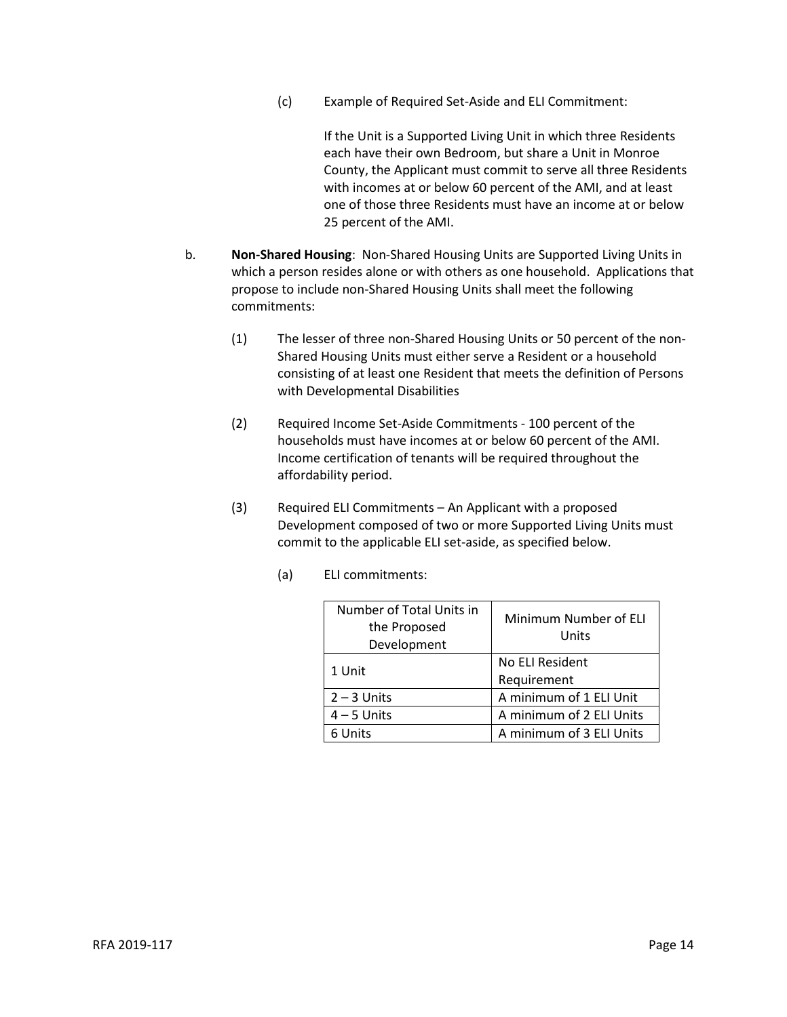(c) Example of Required Set-Aside and ELI Commitment:

If the Unit is a Supported Living Unit in which three Residents each have their own Bedroom, but share a Unit in Monroe County, the Applicant must commit to serve all three Residents with incomes at or below 60 percent of the AMI, and at least one of those three Residents must have an income at or below 25 percent of the AMI.

- b. **Non-Shared Housing**: Non-Shared Housing Units are Supported Living Units in which a person resides alone or with others as one household. Applications that propose to include non-Shared Housing Units shall meet the following commitments:
	- (1) The lesser of three non-Shared Housing Units or 50 percent of the non-Shared Housing Units must either serve a Resident or a household consisting of at least one Resident that meets the definition of Persons with Developmental Disabilities
	- (2) Required Income Set-Aside Commitments 100 percent of the households must have incomes at or below 60 percent of the AMI. Income certification of tenants will be required throughout the affordability period.
	- (3) Required ELI Commitments An Applicant with a proposed Development composed of two or more Supported Living Units must commit to the applicable ELI set-aside, as specified below.
		- (a) ELI commitments:

| Number of Total Units in<br>the Proposed<br>Development | Minimum Number of ELI<br>Units |  |
|---------------------------------------------------------|--------------------------------|--|
| 1 Unit                                                  | No ELI Resident                |  |
|                                                         | Requirement                    |  |
| $2 - 3$ Units                                           | A minimum of 1 ELI Unit        |  |
| $4 - 5$ Units                                           | A minimum of 2 ELI Units       |  |
| 6 Units                                                 | A minimum of 3 ELI Units       |  |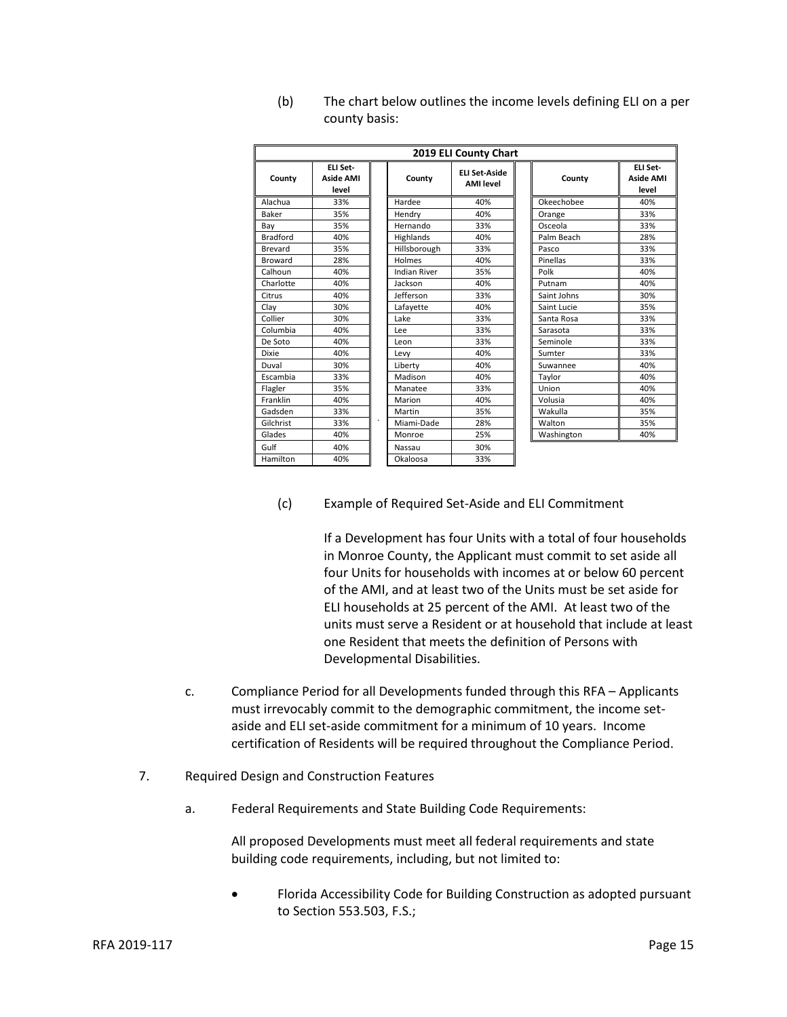| 2019 ELI County Chart |                                       |         |                     |                                   |             |                                       |
|-----------------------|---------------------------------------|---------|---------------------|-----------------------------------|-------------|---------------------------------------|
| County                | ELI Set-<br><b>Aside AMI</b><br>level |         | County              | FLI Set-Aside<br><b>AMI</b> level | County      | ELI Set-<br><b>Aside AMI</b><br>level |
| Alachua               | 33%                                   |         | Hardee              | 40%                               | Okeechobee  | 40%                                   |
| Baker                 | 35%                                   |         | Hendry              | 40%                               | Orange      | 33%                                   |
| Bay                   | 35%                                   |         | Hernando            | 33%                               | Osceola     | 33%                                   |
| <b>Bradford</b>       | 40%                                   |         | Highlands           | 40%                               | Palm Beach  | 28%                                   |
| Brevard               | 35%                                   |         | Hillsborough        | 33%                               | Pasco       | 33%                                   |
| <b>Broward</b>        | 28%                                   |         | Holmes              | 40%                               | Pinellas    | 33%                                   |
| Calhoun               | 40%                                   |         | <b>Indian River</b> | 35%                               | Polk        | 40%                                   |
| Charlotte             | 40%                                   |         | Jackson             | 40%                               | Putnam      | 40%                                   |
| Citrus                | 40%                                   |         | Jefferson           | 33%                               | Saint Johns | 30%                                   |
| Clay                  | 30%                                   |         | Lafayette           | 40%                               | Saint Lucie | 35%                                   |
| Collier               | 30%                                   |         | Lake                | 33%                               | Santa Rosa  | 33%                                   |
| Columbia              | 40%                                   |         | Lee                 | 33%                               | Sarasota    | 33%                                   |
| De Soto               | 40%                                   |         | Leon                | 33%                               | Seminole    | 33%                                   |
| <b>Dixie</b>          | 40%                                   |         | Levy                | 40%                               | Sumter      | 33%                                   |
| Duval                 | 30%                                   |         | Liberty             | 40%                               | Suwannee    | 40%                                   |
| Escambia              | 33%                                   |         | Madison             | 40%                               | Taylor      | 40%                                   |
| Flagler               | 35%                                   |         | Manatee             | 33%                               | Union       | 40%                                   |
| Franklin              | 40%                                   |         | Marion              | 40%                               | Volusia     | 40%                                   |
| Gadsden               | 33%                                   |         | Martin              | 35%                               | Wakulla     | 35%                                   |
| Gilchrist             | 33%                                   | $\cdot$ | Miami-Dade          | 28%                               | Walton      | 35%                                   |
| Glades                | 40%                                   |         | Monroe              | 25%                               | Washington  | 40%                                   |
| Gulf                  | 40%                                   |         | Nassau              | 30%                               |             |                                       |
| Hamilton              | 40%                                   |         | Okaloosa            | 33%                               |             |                                       |

(b) The chart below outlines the income levels defining ELI on a per county basis:

## (c) Example of Required Set-Aside and ELI Commitment

If a Development has four Units with a total of four households in Monroe County, the Applicant must commit to set aside all four Units for households with incomes at or below 60 percent of the AMI, and at least two of the Units must be set aside for ELI households at 25 percent of the AMI. At least two of the units must serve a Resident or at household that include at least one Resident that meets the definition of Persons with Developmental Disabilities.

- c. Compliance Period for all Developments funded through this RFA Applicants must irrevocably commit to the demographic commitment, the income setaside and ELI set-aside commitment for a minimum of 10 years. Income certification of Residents will be required throughout the Compliance Period.
- 7. Required Design and Construction Features
	- a. Federal Requirements and State Building Code Requirements:

All proposed Developments must meet all federal requirements and state building code requirements, including, but not limited to:

• Florida Accessibility Code for Building Construction as adopted pursuant to Section 553.503, F.S.;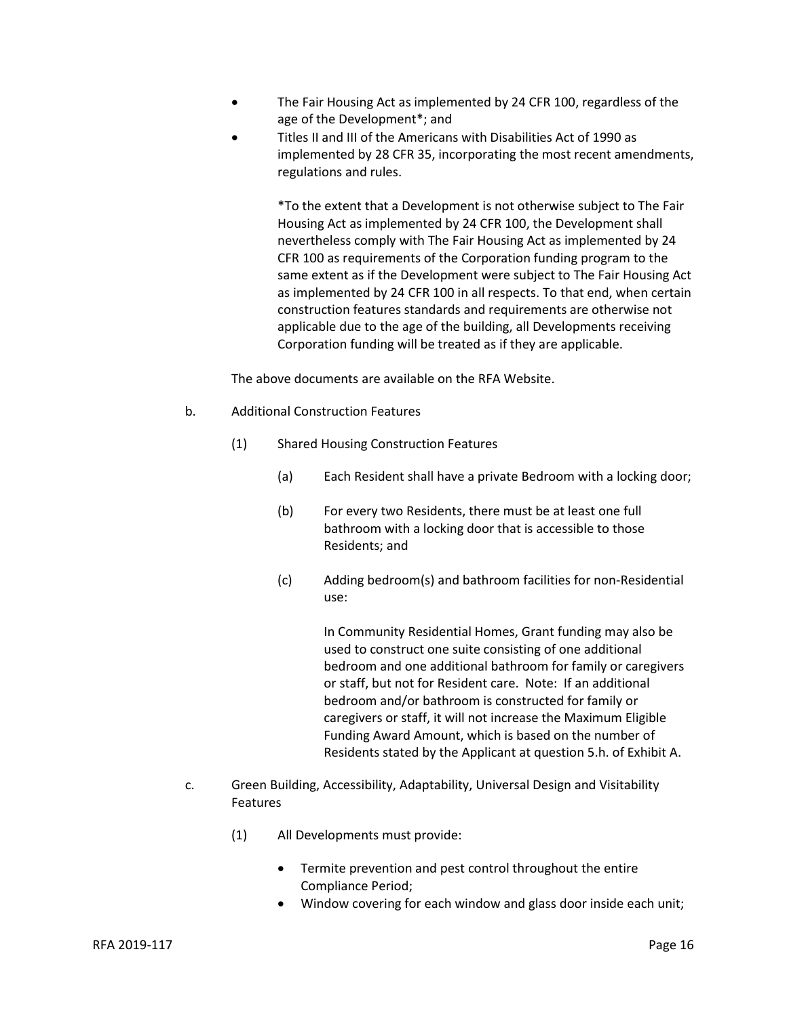- The Fair Housing Act as implemented by 24 CFR 100, regardless of the age of the Development\*; and
- Titles II and III of the Americans with Disabilities Act of 1990 as implemented by 28 CFR 35, incorporating the most recent amendments, regulations and rules.

\*To the extent that a Development is not otherwise subject to The Fair Housing Act as implemented by 24 CFR 100, the Development shall nevertheless comply with The Fair Housing Act as implemented by 24 CFR 100 as requirements of the Corporation funding program to the same extent as if the Development were subject to The Fair Housing Act as implemented by 24 CFR 100 in all respects. To that end, when certain construction features standards and requirements are otherwise not applicable due to the age of the building, all Developments receiving Corporation funding will be treated as if they are applicable.

The above documents are available on the RFA Website.

- b. Additional Construction Features
	- (1) Shared Housing Construction Features
		- (a) Each Resident shall have a private Bedroom with a locking door;
		- (b) For every two Residents, there must be at least one full bathroom with a locking door that is accessible to those Residents; and
		- (c) Adding bedroom(s) and bathroom facilities for non-Residential use:

In Community Residential Homes, Grant funding may also be used to construct one suite consisting of one additional bedroom and one additional bathroom for family or caregivers or staff, but not for Resident care. Note: If an additional bedroom and/or bathroom is constructed for family or caregivers or staff, it will not increase the Maximum Eligible Funding Award Amount, which is based on the number of Residents stated by the Applicant at question 5.h. of Exhibit A.

- c. Green Building, Accessibility, Adaptability, Universal Design and Visitability Features
	- (1) All Developments must provide:
		- Termite prevention and pest control throughout the entire Compliance Period;
		- Window covering for each window and glass door inside each unit;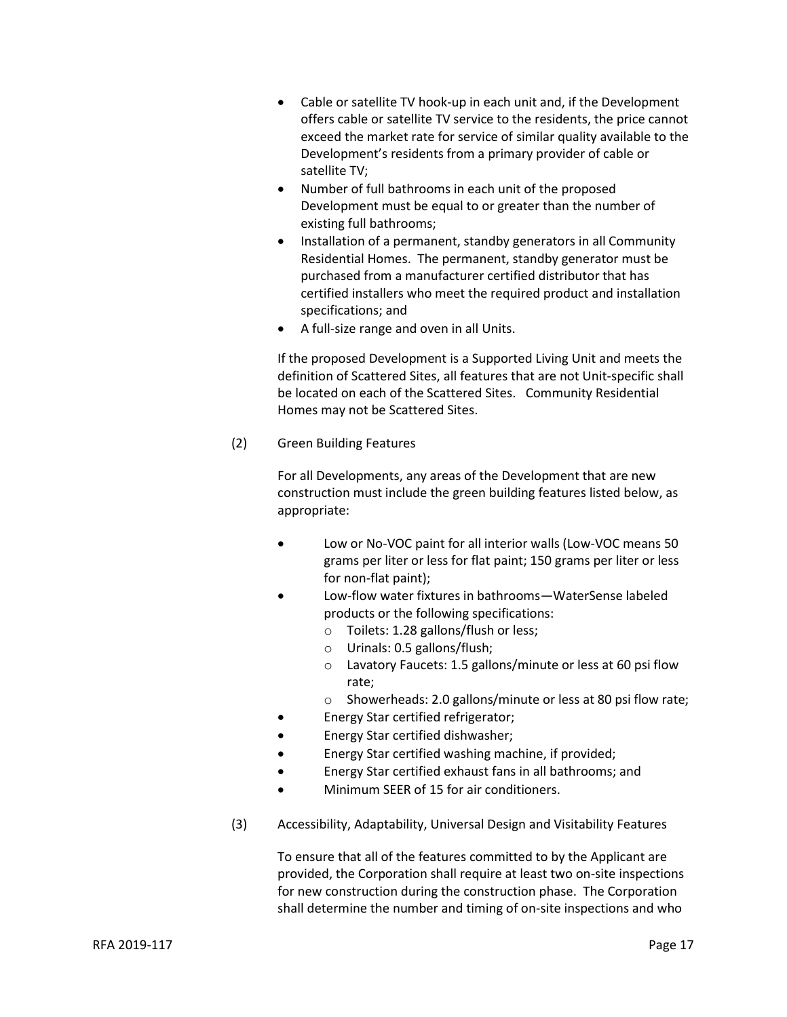- Cable or satellite TV hook-up in each unit and, if the Development offers cable or satellite TV service to the residents, the price cannot exceed the market rate for service of similar quality available to the Development's residents from a primary provider of cable or satellite TV;
- Number of full bathrooms in each unit of the proposed Development must be equal to or greater than the number of existing full bathrooms;
- Installation of a permanent, standby generators in all Community Residential Homes. The permanent, standby generator must be purchased from a manufacturer certified distributor that has certified installers who meet the required product and installation specifications; and
- A full-size range and oven in all Units.

If the proposed Development is a Supported Living Unit and meets the definition of Scattered Sites, all features that are not Unit-specific shall be located on each of the Scattered Sites. Community Residential Homes may not be Scattered Sites.

(2) Green Building Features

For all Developments, any areas of the Development that are new construction must include the green building features listed below, as appropriate:

- Low or No-VOC paint for all interior walls (Low-VOC means 50 grams per liter or less for flat paint; 150 grams per liter or less for non-flat paint);
- Low-flow water fixtures in bathrooms—WaterSense labeled products or the following specifications:
	- o Toilets: 1.28 gallons/flush or less;
	- o Urinals: 0.5 gallons/flush;
	- o Lavatory Faucets: 1.5 gallons/minute or less at 60 psi flow rate;
	- o Showerheads: 2.0 gallons/minute or less at 80 psi flow rate;
- Energy Star certified refrigerator;
- Energy Star certified dishwasher;
- Energy Star certified washing machine, if provided;
- Energy Star certified exhaust fans in all bathrooms; and
- Minimum SEER of 15 for air conditioners.
- (3) Accessibility, Adaptability, Universal Design and Visitability Features

To ensure that all of the features committed to by the Applicant are provided, the Corporation shall require at least two on-site inspections for new construction during the construction phase. The Corporation shall determine the number and timing of on-site inspections and who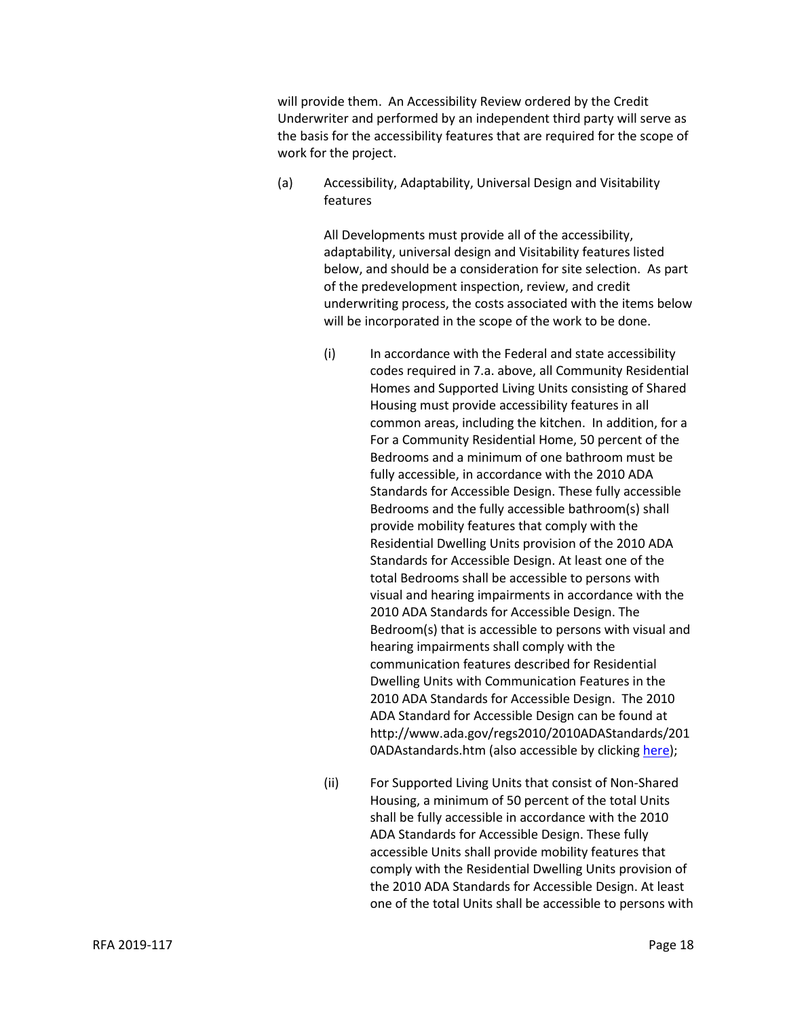will provide them. An Accessibility Review ordered by the Credit Underwriter and performed by an independent third party will serve as the basis for the accessibility features that are required for the scope of work for the project.

(a) Accessibility, Adaptability, Universal Design and Visitability features

> All Developments must provide all of the accessibility, adaptability, universal design and Visitability features listed below, and should be a consideration for site selection. As part of the predevelopment inspection, review, and credit underwriting process, the costs associated with the items below will be incorporated in the scope of the work to be done.

- (i) In accordance with the Federal and state accessibility codes required in 7.a. above, all Community Residential Homes and Supported Living Units consisting of Shared Housing must provide accessibility features in all common areas, including the kitchen. In addition, for a For a Community Residential Home, 50 percent of the Bedrooms and a minimum of one bathroom must be fully accessible, in accordance with the 2010 ADA Standards for Accessible Design. These fully accessible Bedrooms and the fully accessible bathroom(s) shall provide mobility features that comply with the Residential Dwelling Units provision of the 2010 ADA Standards for Accessible Design. At least one of the total Bedrooms shall be accessible to persons with visual and hearing impairments in accordance with the 2010 ADA Standards for Accessible Design. The Bedroom(s) that is accessible to persons with visual and hearing impairments shall comply with the communication features described for Residential Dwelling Units with Communication Features in the 2010 ADA Standards for Accessible Design. The 2010 ADA Standard for Accessible Design can be found at http://www.ada.gov/regs2010/2010ADAStandards/201 0ADAstandards.htm (also accessible by clickin[g here\)](http://www.ada.gov/regs2010/2010ADAStandards/2010ADAstandards.htm);
- (ii) For Supported Living Units that consist of Non-Shared Housing, a minimum of 50 percent of the total Units shall be fully accessible in accordance with the 2010 ADA Standards for Accessible Design. These fully accessible Units shall provide mobility features that comply with the Residential Dwelling Units provision of the 2010 ADA Standards for Accessible Design. At least one of the total Units shall be accessible to persons with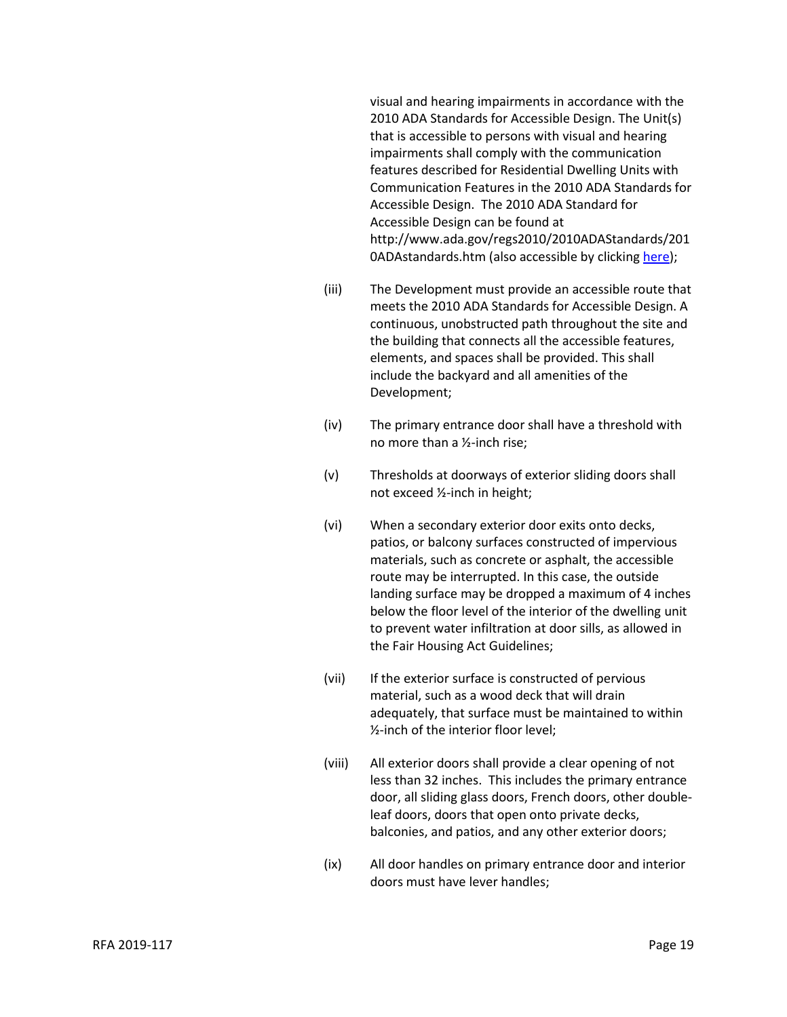visual and hearing impairments in accordance with the 2010 ADA Standards for Accessible Design. The Unit(s) that is accessible to persons with visual and hearing impairments shall comply with the communication features described for Residential Dwelling Units with Communication Features in the 2010 ADA Standards for Accessible Design. The 2010 ADA Standard for Accessible Design can be found at http://www.ada.gov/regs2010/2010ADAStandards/201 0ADAstandards.htm (also accessible by clicking [here\)](http://www.ada.gov/regs2010/2010ADAStandards/2010ADAstandards.htm);

- (iii) The Development must provide an accessible route that meets the 2010 ADA Standards for Accessible Design. A continuous, unobstructed path throughout the site and the building that connects all the accessible features, elements, and spaces shall be provided. This shall include the backyard and all amenities of the Development;
- (iv) The primary entrance door shall have a threshold with no more than a ½-inch rise;
- (v) Thresholds at doorways of exterior sliding doors shall not exceed ½-inch in height;
- (vi) When a secondary exterior door exits onto decks, patios, or balcony surfaces constructed of impervious materials, such as concrete or asphalt, the accessible route may be interrupted. In this case, the outside landing surface may be dropped a maximum of 4 inches below the floor level of the interior of the dwelling unit to prevent water infiltration at door sills, as allowed in the Fair Housing Act Guidelines;
- (vii) If the exterior surface is constructed of pervious material, such as a wood deck that will drain adequately, that surface must be maintained to within ½-inch of the interior floor level;
- (viii) All exterior doors shall provide a clear opening of not less than 32 inches. This includes the primary entrance door, all sliding glass doors, French doors, other doubleleaf doors, doors that open onto private decks, balconies, and patios, and any other exterior doors;
- (ix) All door handles on primary entrance door and interior doors must have lever handles;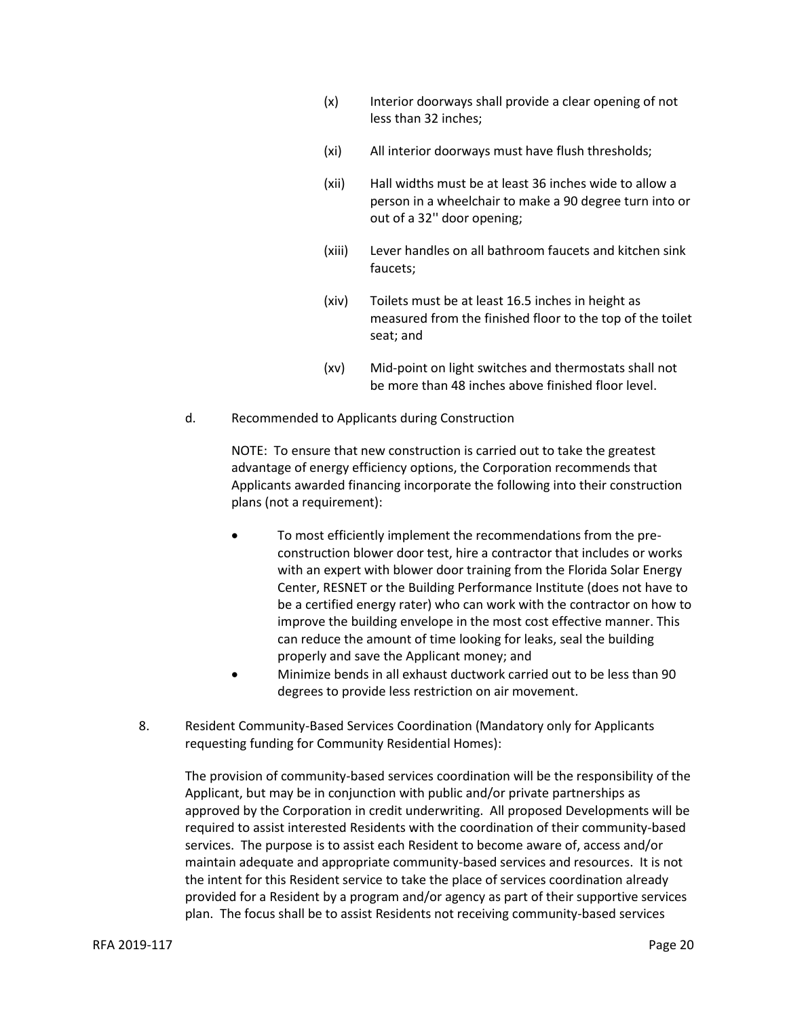- (x) Interior doorways shall provide a clear opening of not less than 32 inches;
- (xi) All interior doorways must have flush thresholds;
- (xii) Hall widths must be at least 36 inches wide to allow a person in a wheelchair to make a 90 degree turn into or out of a 32'' door opening;
- (xiii) Lever handles on all bathroom faucets and kitchen sink faucets;
- (xiv) Toilets must be at least 16.5 inches in height as measured from the finished floor to the top of the toilet seat; and
- (xv) Mid-point on light switches and thermostats shall not be more than 48 inches above finished floor level.
- d. Recommended to Applicants during Construction

NOTE: To ensure that new construction is carried out to take the greatest advantage of energy efficiency options, the Corporation recommends that Applicants awarded financing incorporate the following into their construction plans (not a requirement):

- To most efficiently implement the recommendations from the preconstruction blower door test, hire a contractor that includes or works with an expert with blower door training from the Florida Solar Energy Center, RESNET or the Building Performance Institute (does not have to be a certified energy rater) who can work with the contractor on how to improve the building envelope in the most cost effective manner. This can reduce the amount of time looking for leaks, seal the building properly and save the Applicant money; and
- Minimize bends in all exhaust ductwork carried out to be less than 90 degrees to provide less restriction on air movement.
- 8. Resident Community-Based Services Coordination (Mandatory only for Applicants requesting funding for Community Residential Homes):

The provision of community-based services coordination will be the responsibility of the Applicant, but may be in conjunction with public and/or private partnerships as approved by the Corporation in credit underwriting. All proposed Developments will be required to assist interested Residents with the coordination of their community-based services. The purpose is to assist each Resident to become aware of, access and/or maintain adequate and appropriate community-based services and resources. It is not the intent for this Resident service to take the place of services coordination already provided for a Resident by a program and/or agency as part of their supportive services plan. The focus shall be to assist Residents not receiving community-based services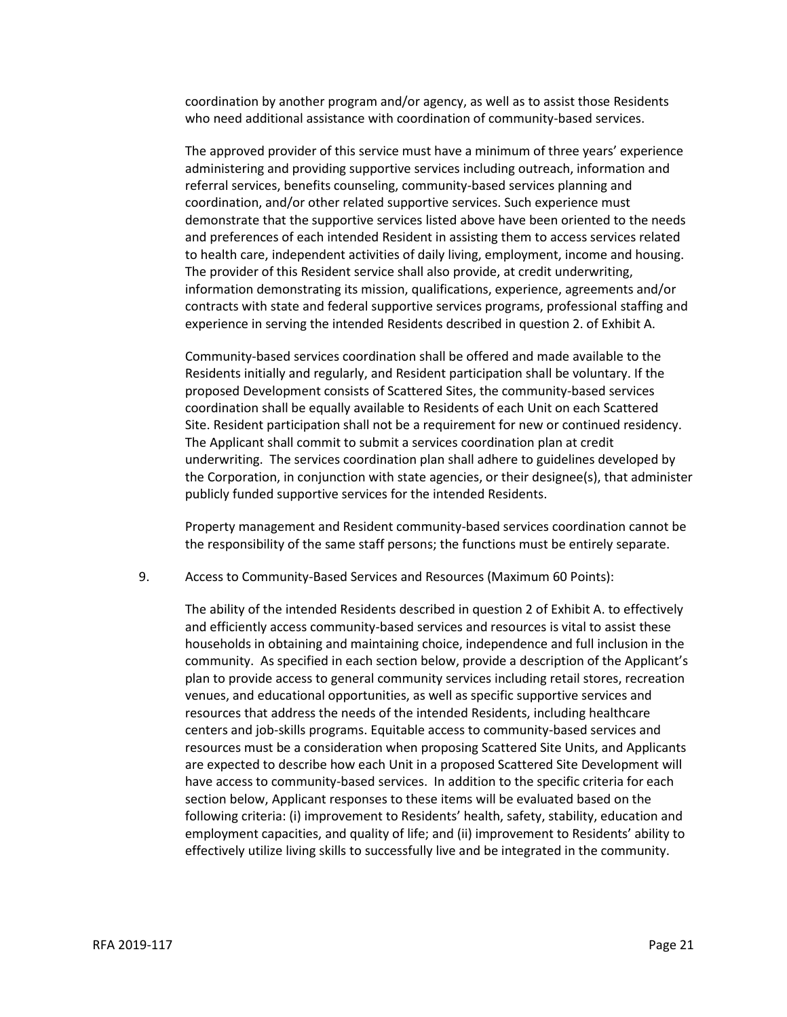coordination by another program and/or agency, as well as to assist those Residents who need additional assistance with coordination of community-based services.

The approved provider of this service must have a minimum of three years' experience administering and providing supportive services including outreach, information and referral services, benefits counseling, community-based services planning and coordination, and/or other related supportive services. Such experience must demonstrate that the supportive services listed above have been oriented to the needs and preferences of each intended Resident in assisting them to access services related to health care, independent activities of daily living, employment, income and housing. The provider of this Resident service shall also provide, at credit underwriting, information demonstrating its mission, qualifications, experience, agreements and/or contracts with state and federal supportive services programs, professional staffing and experience in serving the intended Residents described in question 2. of Exhibit A.

Community-based services coordination shall be offered and made available to the Residents initially and regularly, and Resident participation shall be voluntary. If the proposed Development consists of Scattered Sites, the community-based services coordination shall be equally available to Residents of each Unit on each Scattered Site. Resident participation shall not be a requirement for new or continued residency. The Applicant shall commit to submit a services coordination plan at credit underwriting. The services coordination plan shall adhere to guidelines developed by the Corporation, in conjunction with state agencies, or their designee(s), that administer publicly funded supportive services for the intended Residents.

Property management and Resident community-based services coordination cannot be the responsibility of the same staff persons; the functions must be entirely separate.

9. Access to Community-Based Services and Resources (Maximum 60 Points):

The ability of the intended Residents described in question 2 of Exhibit A. to effectively and efficiently access community-based services and resources is vital to assist these households in obtaining and maintaining choice, independence and full inclusion in the community. As specified in each section below, provide a description of the Applicant's plan to provide access to general community services including retail stores, recreation venues, and educational opportunities, as well as specific supportive services and resources that address the needs of the intended Residents, including healthcare centers and job-skills programs. Equitable access to community-based services and resources must be a consideration when proposing Scattered Site Units, and Applicants are expected to describe how each Unit in a proposed Scattered Site Development will have access to community-based services. In addition to the specific criteria for each section below, Applicant responses to these items will be evaluated based on the following criteria: (i) improvement to Residents' health, safety, stability, education and employment capacities, and quality of life; and (ii) improvement to Residents' ability to effectively utilize living skills to successfully live and be integrated in the community.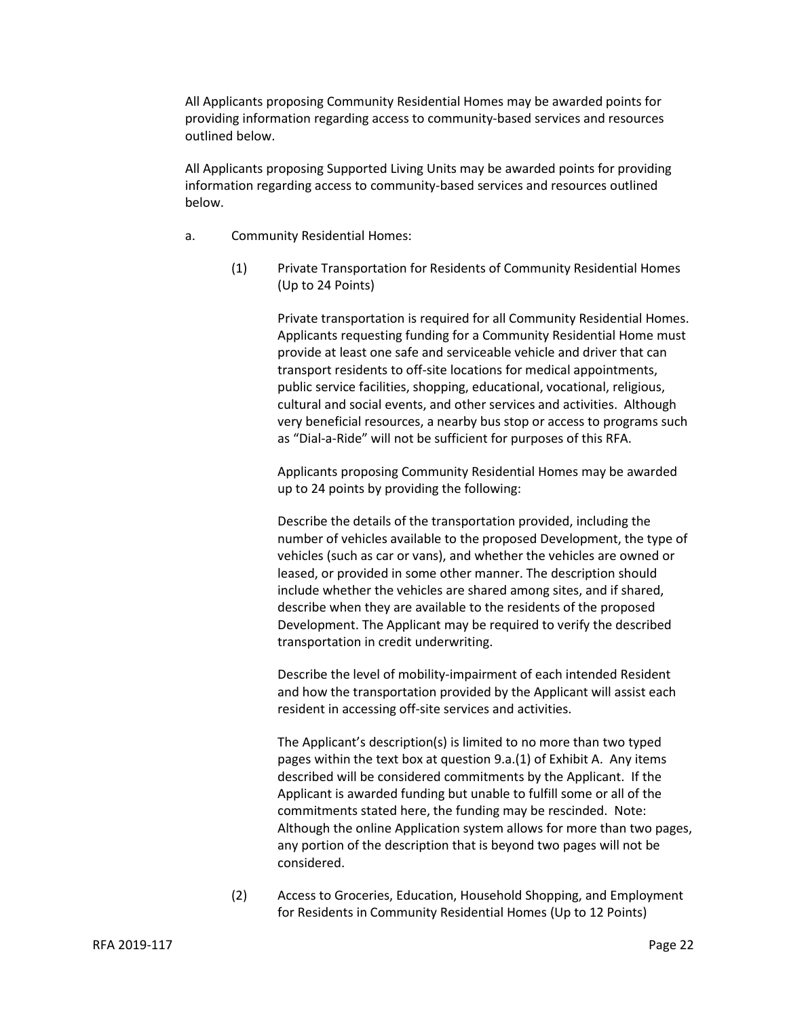All Applicants proposing Community Residential Homes may be awarded points for providing information regarding access to community-based services and resources outlined below.

All Applicants proposing Supported Living Units may be awarded points for providing information regarding access to community-based services and resources outlined below.

- a. Community Residential Homes:
	- (1) Private Transportation for Residents of Community Residential Homes (Up to 24 Points)

Private transportation is required for all Community Residential Homes. Applicants requesting funding for a Community Residential Home must provide at least one safe and serviceable vehicle and driver that can transport residents to off-site locations for medical appointments, public service facilities, shopping, educational, vocational, religious, cultural and social events, and other services and activities. Although very beneficial resources, a nearby bus stop or access to programs such as "Dial-a-Ride" will not be sufficient for purposes of this RFA.

Applicants proposing Community Residential Homes may be awarded up to 24 points by providing the following:

Describe the details of the transportation provided, including the number of vehicles available to the proposed Development, the type of vehicles (such as car or vans), and whether the vehicles are owned or leased, or provided in some other manner. The description should include whether the vehicles are shared among sites, and if shared, describe when they are available to the residents of the proposed Development. The Applicant may be required to verify the described transportation in credit underwriting.

Describe the level of mobility-impairment of each intended Resident and how the transportation provided by the Applicant will assist each resident in accessing off-site services and activities.

The Applicant's description(s) is limited to no more than two typed pages within the text box at question 9.a.(1) of Exhibit A. Any items described will be considered commitments by the Applicant. If the Applicant is awarded funding but unable to fulfill some or all of the commitments stated here, the funding may be rescinded. Note: Although the online Application system allows for more than two pages, any portion of the description that is beyond two pages will not be considered.

(2) Access to Groceries, Education, Household Shopping, and Employment for Residents in Community Residential Homes (Up to 12 Points)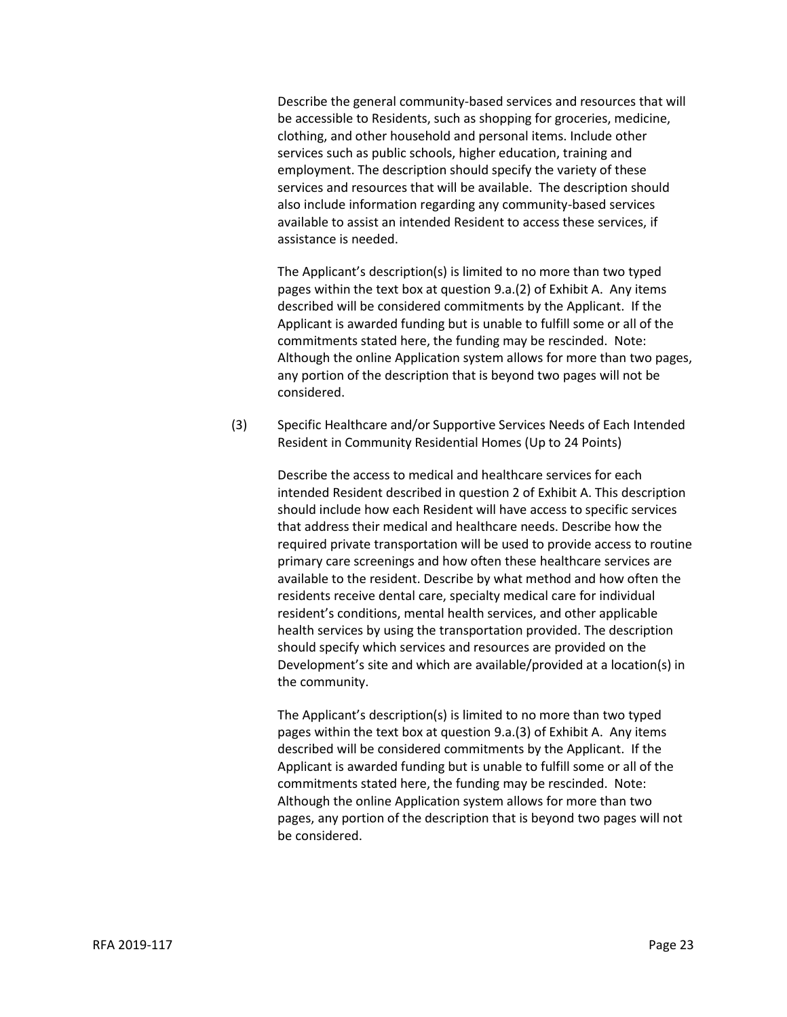Describe the general community-based services and resources that will be accessible to Residents, such as shopping for groceries, medicine, clothing, and other household and personal items. Include other services such as public schools, higher education, training and employment. The description should specify the variety of these services and resources that will be available. The description should also include information regarding any community-based services available to assist an intended Resident to access these services, if assistance is needed.

The Applicant's description(s) is limited to no more than two typed pages within the text box at question 9.a.(2) of Exhibit A. Any items described will be considered commitments by the Applicant. If the Applicant is awarded funding but is unable to fulfill some or all of the commitments stated here, the funding may be rescinded. Note: Although the online Application system allows for more than two pages, any portion of the description that is beyond two pages will not be considered.

(3) Specific Healthcare and/or Supportive Services Needs of Each Intended Resident in Community Residential Homes (Up to 24 Points)

> Describe the access to medical and healthcare services for each intended Resident described in question 2 of Exhibit A. This description should include how each Resident will have access to specific services that address their medical and healthcare needs. Describe how the required private transportation will be used to provide access to routine primary care screenings and how often these healthcare services are available to the resident. Describe by what method and how often the residents receive dental care, specialty medical care for individual resident's conditions, mental health services, and other applicable health services by using the transportation provided. The description should specify which services and resources are provided on the Development's site and which are available/provided at a location(s) in the community.

The Applicant's description(s) is limited to no more than two typed pages within the text box at question 9.a.(3) of Exhibit A. Any items described will be considered commitments by the Applicant. If the Applicant is awarded funding but is unable to fulfill some or all of the commitments stated here, the funding may be rescinded. Note: Although the online Application system allows for more than two pages, any portion of the description that is beyond two pages will not be considered.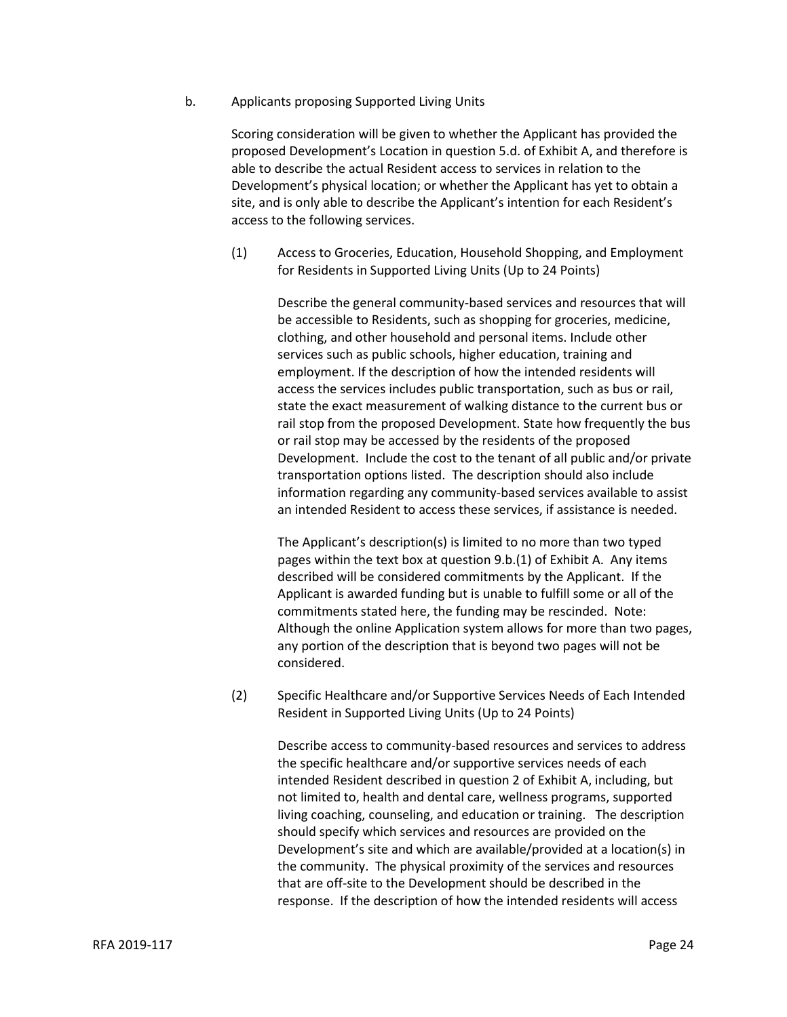b. Applicants proposing Supported Living Units

Scoring consideration will be given to whether the Applicant has provided the proposed Development's Location in question 5.d. of Exhibit A, and therefore is able to describe the actual Resident access to services in relation to the Development's physical location; or whether the Applicant has yet to obtain a site, and is only able to describe the Applicant's intention for each Resident's access to the following services.

(1) Access to Groceries, Education, Household Shopping, and Employment for Residents in Supported Living Units (Up to 24 Points)

> Describe the general community-based services and resources that will be accessible to Residents, such as shopping for groceries, medicine, clothing, and other household and personal items. Include other services such as public schools, higher education, training and employment. If the description of how the intended residents will access the services includes public transportation, such as bus or rail, state the exact measurement of walking distance to the current bus or rail stop from the proposed Development. State how frequently the bus or rail stop may be accessed by the residents of the proposed Development. Include the cost to the tenant of all public and/or private transportation options listed. The description should also include information regarding any community-based services available to assist an intended Resident to access these services, if assistance is needed.

> The Applicant's description(s) is limited to no more than two typed pages within the text box at question 9.b.(1) of Exhibit A. Any items described will be considered commitments by the Applicant. If the Applicant is awarded funding but is unable to fulfill some or all of the commitments stated here, the funding may be rescinded. Note: Although the online Application system allows for more than two pages, any portion of the description that is beyond two pages will not be considered.

(2) Specific Healthcare and/or Supportive Services Needs of Each Intended Resident in Supported Living Units (Up to 24 Points)

> Describe access to community-based resources and services to address the specific healthcare and/or supportive services needs of each intended Resident described in question 2 of Exhibit A, including, but not limited to, health and dental care, wellness programs, supported living coaching, counseling, and education or training. The description should specify which services and resources are provided on the Development's site and which are available/provided at a location(s) in the community. The physical proximity of the services and resources that are off-site to the Development should be described in the response. If the description of how the intended residents will access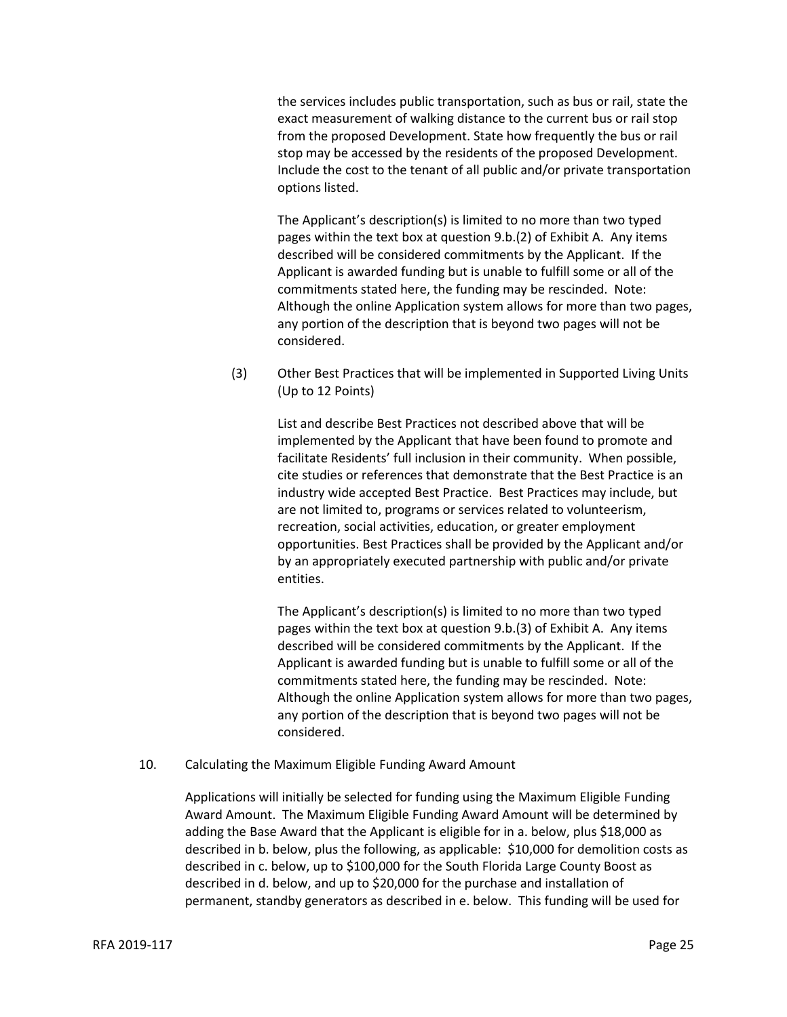the services includes public transportation, such as bus or rail, state the exact measurement of walking distance to the current bus or rail stop from the proposed Development. State how frequently the bus or rail stop may be accessed by the residents of the proposed Development. Include the cost to the tenant of all public and/or private transportation options listed.

The Applicant's description(s) is limited to no more than two typed pages within the text box at question 9.b.(2) of Exhibit A. Any items described will be considered commitments by the Applicant. If the Applicant is awarded funding but is unable to fulfill some or all of the commitments stated here, the funding may be rescinded. Note: Although the online Application system allows for more than two pages, any portion of the description that is beyond two pages will not be considered.

(3) Other Best Practices that will be implemented in Supported Living Units (Up to 12 Points)

> List and describe Best Practices not described above that will be implemented by the Applicant that have been found to promote and facilitate Residents' full inclusion in their community. When possible, cite studies or references that demonstrate that the Best Practice is an industry wide accepted Best Practice. Best Practices may include, but are not limited to, programs or services related to volunteerism, recreation, social activities, education, or greater employment opportunities. Best Practices shall be provided by the Applicant and/or by an appropriately executed partnership with public and/or private entities.

The Applicant's description(s) is limited to no more than two typed pages within the text box at question 9.b.(3) of Exhibit A. Any items described will be considered commitments by the Applicant. If the Applicant is awarded funding but is unable to fulfill some or all of the commitments stated here, the funding may be rescinded. Note: Although the online Application system allows for more than two pages, any portion of the description that is beyond two pages will not be considered.

10. Calculating the Maximum Eligible Funding Award Amount

Applications will initially be selected for funding using the Maximum Eligible Funding Award Amount. The Maximum Eligible Funding Award Amount will be determined by adding the Base Award that the Applicant is eligible for in a. below, plus \$18,000 as described in b. below, plus the following, as applicable: \$10,000 for demolition costs as described in c. below, up to \$100,000 for the South Florida Large County Boost as described in d. below, and up to \$20,000 for the purchase and installation of permanent, standby generators as described in e. below. This funding will be used for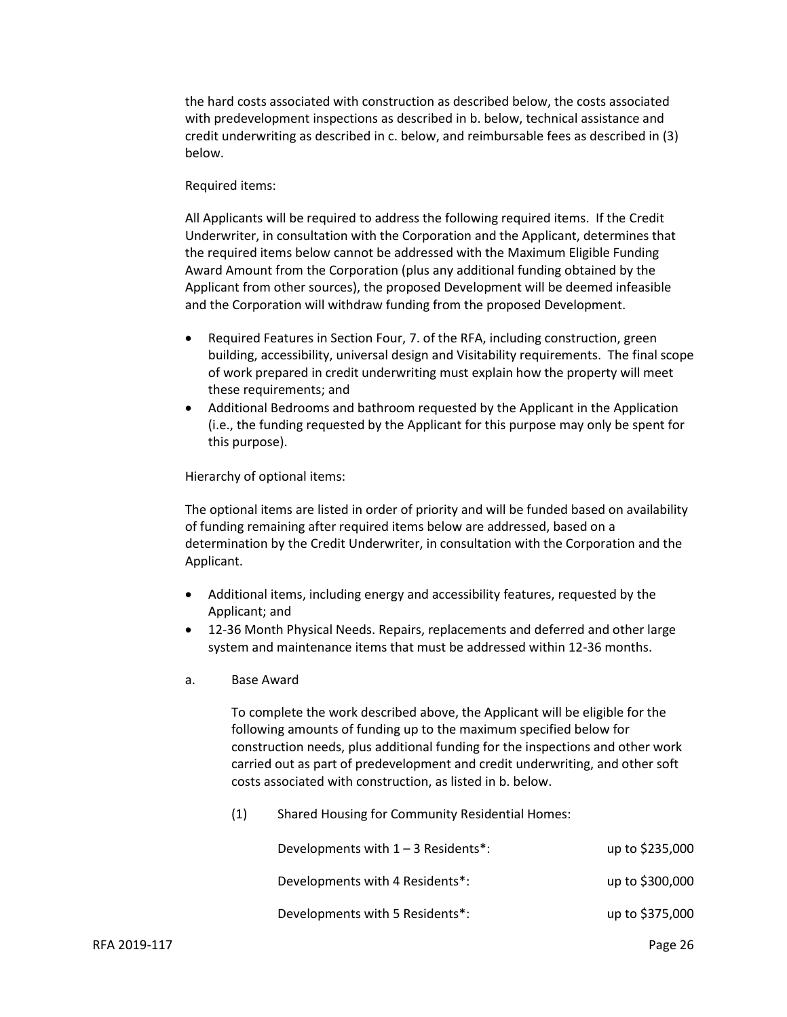the hard costs associated with construction as described below, the costs associated with predevelopment inspections as described in b. below, technical assistance and credit underwriting as described in c. below, and reimbursable fees as described in (3) below.

#### Required items:

All Applicants will be required to address the following required items. If the Credit Underwriter, in consultation with the Corporation and the Applicant, determines that the required items below cannot be addressed with the Maximum Eligible Funding Award Amount from the Corporation (plus any additional funding obtained by the Applicant from other sources), the proposed Development will be deemed infeasible and the Corporation will withdraw funding from the proposed Development.

- Required Features in Section Four, 7. of the RFA, including construction, green building, accessibility, universal design and Visitability requirements. The final scope of work prepared in credit underwriting must explain how the property will meet these requirements; and
- Additional Bedrooms and bathroom requested by the Applicant in the Application (i.e., the funding requested by the Applicant for this purpose may only be spent for this purpose).

Hierarchy of optional items:

The optional items are listed in order of priority and will be funded based on availability of funding remaining after required items below are addressed, based on a determination by the Credit Underwriter, in consultation with the Corporation and the Applicant.

- Additional items, including energy and accessibility features, requested by the Applicant; and
- 12-36 Month Physical Needs. Repairs, replacements and deferred and other large system and maintenance items that must be addressed within 12-36 months.
- a. Base Award

To complete the work described above, the Applicant will be eligible for the following amounts of funding up to the maximum specified below for construction needs, plus additional funding for the inspections and other work carried out as part of predevelopment and credit underwriting, and other soft costs associated with construction, as listed in b. below.

(1) Shared Housing for Community Residential Homes:

| Developments with $1 - 3$ Residents*: | up to \$235,000 |
|---------------------------------------|-----------------|
| Developments with 4 Residents*:       | up to \$300,000 |
| Developments with 5 Residents*:       | up to \$375,000 |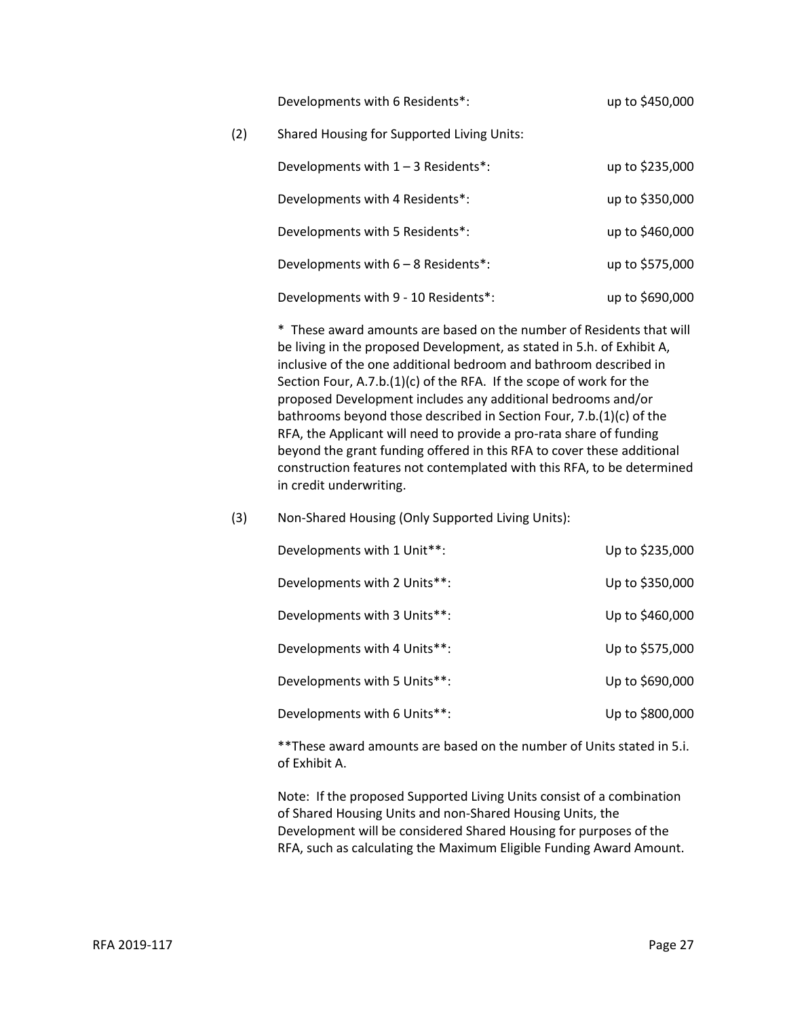Developments with 6 Residents<sup>\*</sup>: up to \$450,000

(2) Shared Housing for Supported Living Units:

| Developments with $1 - 3$ Residents*: | up to \$235,000 |
|---------------------------------------|-----------------|
| Developments with 4 Residents*:       | up to \$350,000 |
| Developments with 5 Residents*:       | up to \$460,000 |
| Developments with 6 - 8 Residents*:   | up to \$575,000 |
| Developments with 9 - 10 Residents*:  | up to \$690,000 |

\* These award amounts are based on the number of Residents that will be living in the proposed Development, as stated in 5.h. of Exhibit A, inclusive of the one additional bedroom and bathroom described in Section Four, A.7.b.(1)(c) of the RFA. If the scope of work for the proposed Development includes any additional bedrooms and/or bathrooms beyond those described in Section Four, 7.b.(1)(c) of the RFA, the Applicant will need to provide a pro-rata share of funding beyond the grant funding offered in this RFA to cover these additional construction features not contemplated with this RFA, to be determined in credit underwriting.

#### (3) Non-Shared Housing (Only Supported Living Units):

| Developments with 1 Unit**:  | Up to \$235,000 |
|------------------------------|-----------------|
| Developments with 2 Units**: | Up to \$350,000 |
| Developments with 3 Units**: | Up to \$460,000 |
| Developments with 4 Units**: | Up to \$575,000 |
| Developments with 5 Units**: | Up to \$690,000 |
| Developments with 6 Units**: | Up to \$800,000 |

\*\*These award amounts are based on the number of Units stated in 5.i. of Exhibit A.

Note: If the proposed Supported Living Units consist of a combination of Shared Housing Units and non-Shared Housing Units, the Development will be considered Shared Housing for purposes of the RFA, such as calculating the Maximum Eligible Funding Award Amount.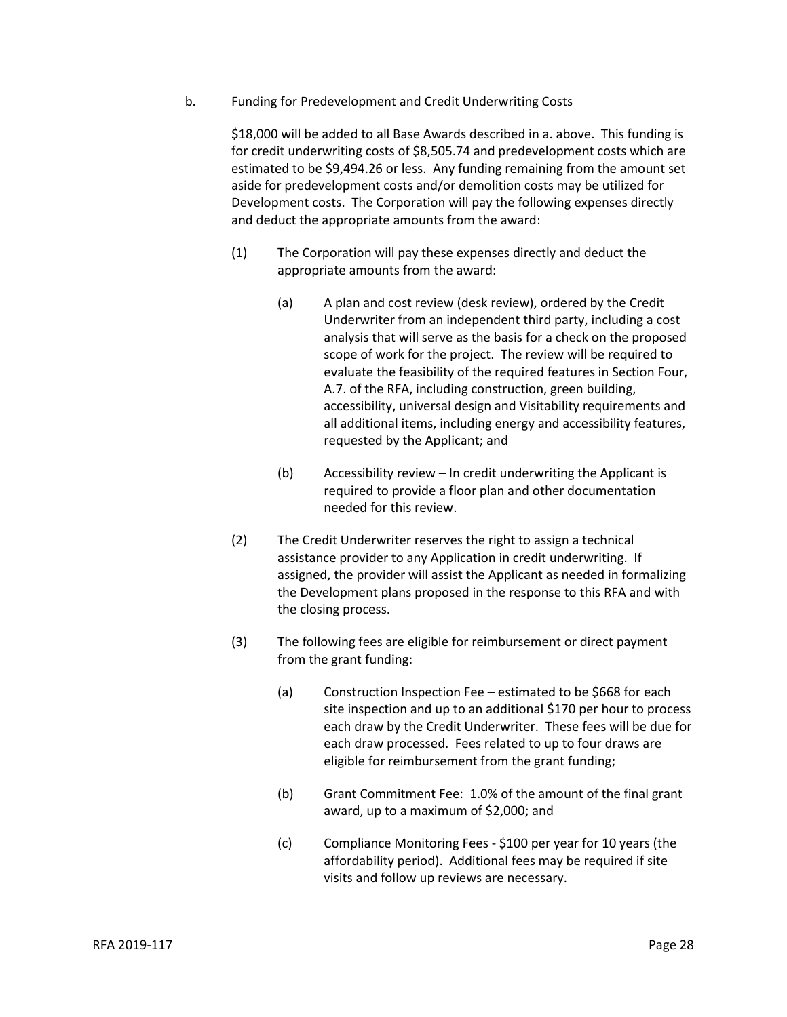b. Funding for Predevelopment and Credit Underwriting Costs

\$18,000 will be added to all Base Awards described in a. above. This funding is for credit underwriting costs of \$8,505.74 and predevelopment costs which are estimated to be \$9,494.26 or less. Any funding remaining from the amount set aside for predevelopment costs and/or demolition costs may be utilized for Development costs. The Corporation will pay the following expenses directly and deduct the appropriate amounts from the award:

- (1) The Corporation will pay these expenses directly and deduct the appropriate amounts from the award:
	- (a) A plan and cost review (desk review), ordered by the Credit Underwriter from an independent third party, including a cost analysis that will serve as the basis for a check on the proposed scope of work for the project. The review will be required to evaluate the feasibility of the required features in Section Four, A.7. of the RFA, including construction, green building, accessibility, universal design and Visitability requirements and all additional items, including energy and accessibility features, requested by the Applicant; and
	- (b) Accessibility review In credit underwriting the Applicant is required to provide a floor plan and other documentation needed for this review.
- (2) The Credit Underwriter reserves the right to assign a technical assistance provider to any Application in credit underwriting. If assigned, the provider will assist the Applicant as needed in formalizing the Development plans proposed in the response to this RFA and with the closing process.
- (3) The following fees are eligible for reimbursement or direct payment from the grant funding:
	- (a) Construction Inspection Fee estimated to be \$668 for each site inspection and up to an additional \$170 per hour to process each draw by the Credit Underwriter. These fees will be due for each draw processed. Fees related to up to four draws are eligible for reimbursement from the grant funding;
	- (b) Grant Commitment Fee: 1.0% of the amount of the final grant award, up to a maximum of \$2,000; and
	- (c) Compliance Monitoring Fees \$100 per year for 10 years (the affordability period). Additional fees may be required if site visits and follow up reviews are necessary.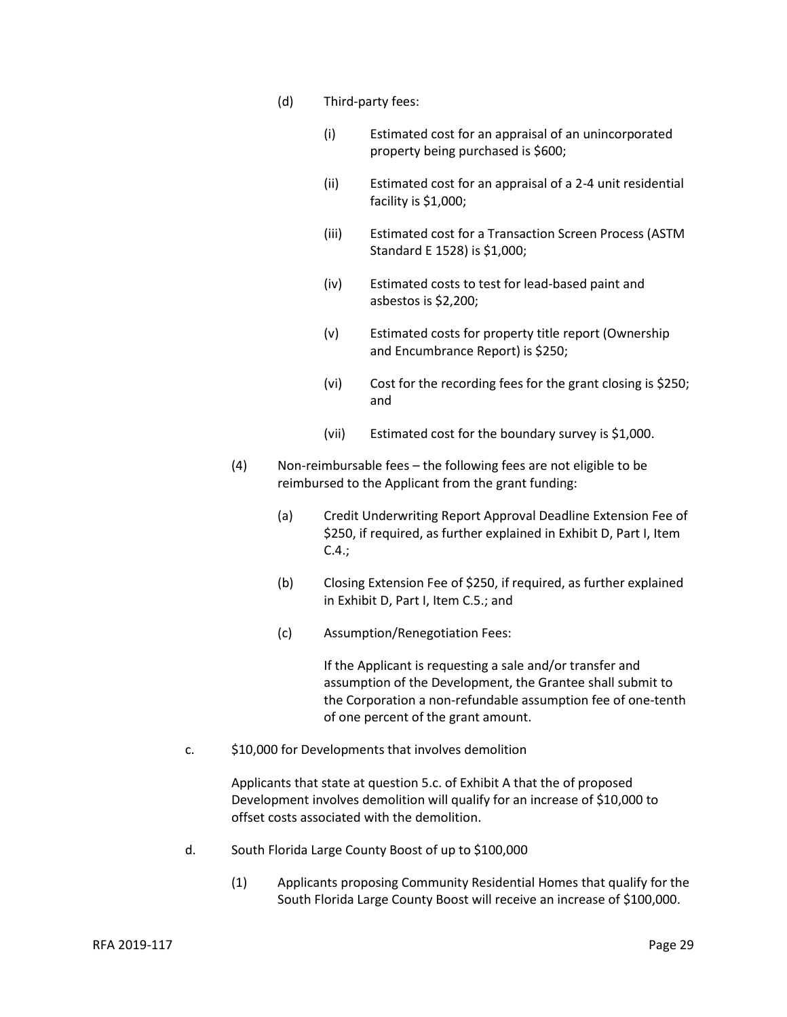- (d) Third-party fees:
	- (i) Estimated cost for an appraisal of an unincorporated property being purchased is \$600;
	- (ii) Estimated cost for an appraisal of a 2-4 unit residential facility is \$1,000;
	- (iii) Estimated cost for a Transaction Screen Process (ASTM Standard E 1528) is \$1,000;
	- (iv) Estimated costs to test for lead-based paint and asbestos is \$2,200;
	- (v) Estimated costs for property title report (Ownership and Encumbrance Report) is \$250;
	- (vi) Cost for the recording fees for the grant closing is \$250; and
	- (vii) Estimated cost for the boundary survey is \$1,000.
- (4) Non-reimbursable fees the following fees are not eligible to be reimbursed to the Applicant from the grant funding:
	- (a) Credit Underwriting Report Approval Deadline Extension Fee of \$250, if required, as further explained in Exhibit D, Part I, Item C.4.;
	- (b) Closing Extension Fee of \$250, if required, as further explained in Exhibit D, Part I, Item C.5.; and
	- (c) Assumption/Renegotiation Fees:

If the Applicant is requesting a sale and/or transfer and assumption of the Development, the Grantee shall submit to the Corporation a non-refundable assumption fee of one-tenth of one percent of the grant amount.

c. \$10,000 for Developments that involves demolition

Applicants that state at question 5.c. of Exhibit A that the of proposed Development involves demolition will qualify for an increase of \$10,000 to offset costs associated with the demolition.

- d. South Florida Large County Boost of up to \$100,000
	- (1) Applicants proposing Community Residential Homes that qualify for the South Florida Large County Boost will receive an increase of \$100,000.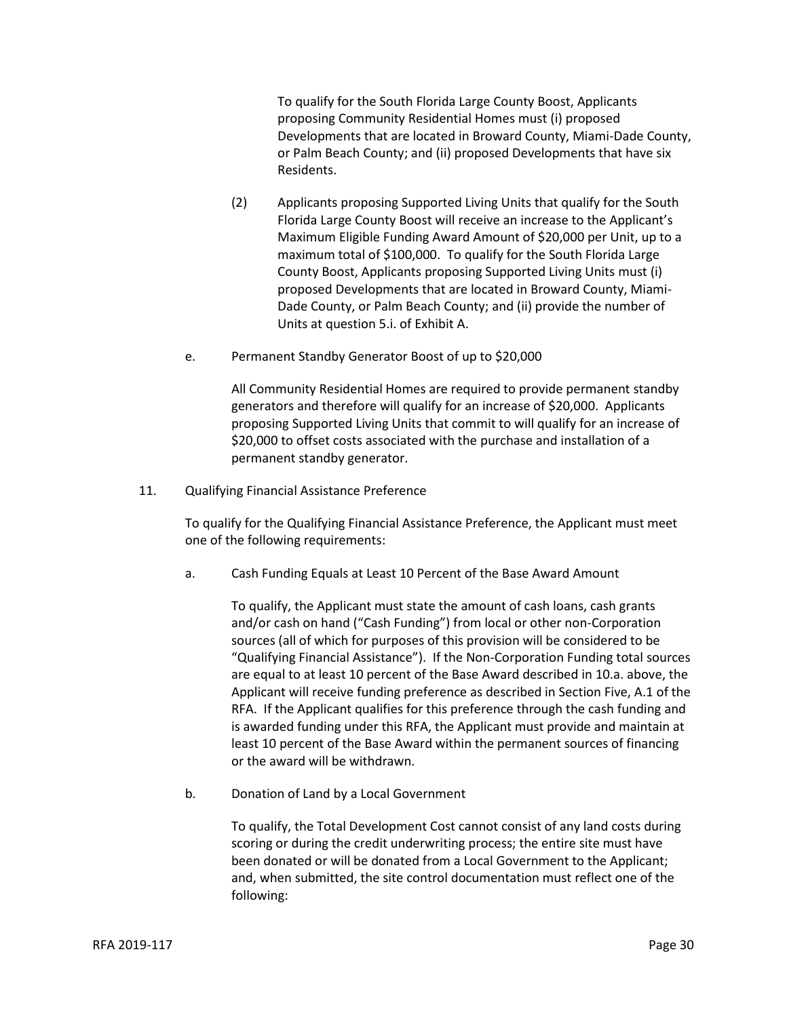To qualify for the South Florida Large County Boost, Applicants proposing Community Residential Homes must (i) proposed Developments that are located in Broward County, Miami-Dade County, or Palm Beach County; and (ii) proposed Developments that have six Residents.

- (2) Applicants proposing Supported Living Units that qualify for the South Florida Large County Boost will receive an increase to the Applicant's Maximum Eligible Funding Award Amount of \$20,000 per Unit, up to a maximum total of \$100,000. To qualify for the South Florida Large County Boost, Applicants proposing Supported Living Units must (i) proposed Developments that are located in Broward County, Miami-Dade County, or Palm Beach County; and (ii) provide the number of Units at question 5.i. of Exhibit A.
- e. Permanent Standby Generator Boost of up to \$20,000

All Community Residential Homes are required to provide permanent standby generators and therefore will qualify for an increase of \$20,000. Applicants proposing Supported Living Units that commit to will qualify for an increase of \$20,000 to offset costs associated with the purchase and installation of a permanent standby generator.

11. Qualifying Financial Assistance Preference

To qualify for the Qualifying Financial Assistance Preference, the Applicant must meet one of the following requirements:

a. Cash Funding Equals at Least 10 Percent of the Base Award Amount

To qualify, the Applicant must state the amount of cash loans, cash grants and/or cash on hand ("Cash Funding") from local or other non-Corporation sources (all of which for purposes of this provision will be considered to be "Qualifying Financial Assistance"). If the Non-Corporation Funding total sources are equal to at least 10 percent of the Base Award described in 10.a. above, the Applicant will receive funding preference as described in Section Five, A.1 of the RFA. If the Applicant qualifies for this preference through the cash funding and is awarded funding under this RFA, the Applicant must provide and maintain at least 10 percent of the Base Award within the permanent sources of financing or the award will be withdrawn.

b. Donation of Land by a Local Government

To qualify, the Total Development Cost cannot consist of any land costs during scoring or during the credit underwriting process; the entire site must have been donated or will be donated from a Local Government to the Applicant; and, when submitted, the site control documentation must reflect one of the following: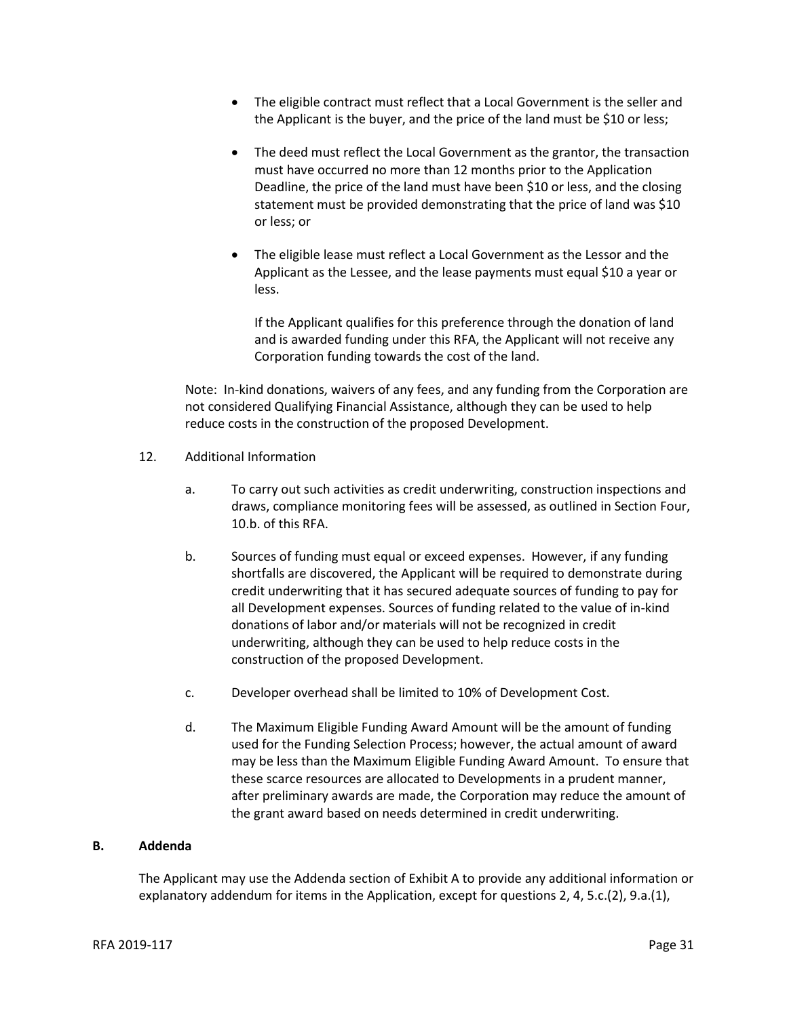- The eligible contract must reflect that a Local Government is the seller and the Applicant is the buyer, and the price of the land must be \$10 or less;
- The deed must reflect the Local Government as the grantor, the transaction must have occurred no more than 12 months prior to the Application Deadline, the price of the land must have been \$10 or less, and the closing statement must be provided demonstrating that the price of land was \$10 or less; or
- The eligible lease must reflect a Local Government as the Lessor and the Applicant as the Lessee, and the lease payments must equal \$10 a year or less.

If the Applicant qualifies for this preference through the donation of land and is awarded funding under this RFA, the Applicant will not receive any Corporation funding towards the cost of the land.

Note: In-kind donations, waivers of any fees, and any funding from the Corporation are not considered Qualifying Financial Assistance, although they can be used to help reduce costs in the construction of the proposed Development.

- 12. Additional Information
	- a. To carry out such activities as credit underwriting, construction inspections and draws, compliance monitoring fees will be assessed, as outlined in Section Four, 10.b. of this RFA.
	- b. Sources of funding must equal or exceed expenses. However, if any funding shortfalls are discovered, the Applicant will be required to demonstrate during credit underwriting that it has secured adequate sources of funding to pay for all Development expenses. Sources of funding related to the value of in-kind donations of labor and/or materials will not be recognized in credit underwriting, although they can be used to help reduce costs in the construction of the proposed Development.
	- c. Developer overhead shall be limited to 10% of Development Cost.
	- d. The Maximum Eligible Funding Award Amount will be the amount of funding used for the Funding Selection Process; however, the actual amount of award may be less than the Maximum Eligible Funding Award Amount. To ensure that these scarce resources are allocated to Developments in a prudent manner, after preliminary awards are made, the Corporation may reduce the amount of the grant award based on needs determined in credit underwriting.

#### **B. Addenda**

The Applicant may use the Addenda section of Exhibit A to provide any additional information or explanatory addendum for items in the Application, except for questions 2, 4, 5.c.(2), 9.a.(1),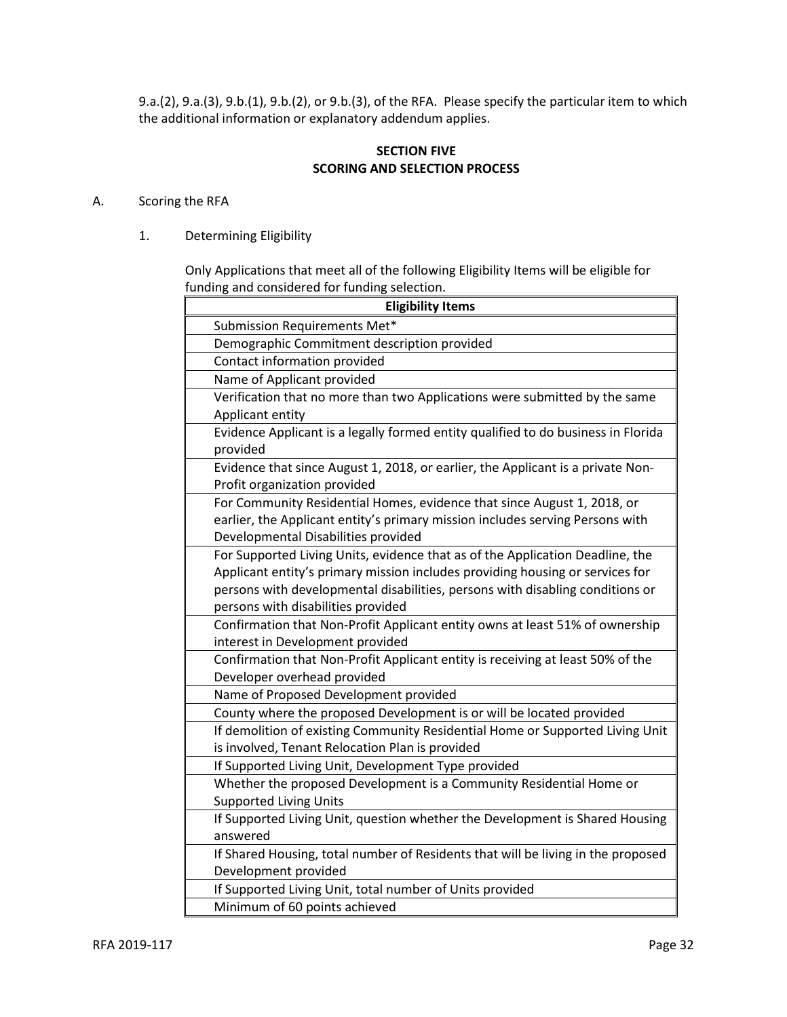9.a.(2), 9.a.(3), 9.b.(1), 9.b.(2), or 9.b.(3), of the RFA. Please specify the particular item to which the additional information or explanatory addendum applies.

## **SECTION FIVE SCORING AND SELECTION PROCESS**

## A. Scoring the RFA

1. Determining Eligibility

Only Applications that meet all of the following Eligibility Items will be eligible for funding and considered for funding selection.

| <b>Eligibility Items</b>                                                          |
|-----------------------------------------------------------------------------------|
| Submission Requirements Met*                                                      |
| Demographic Commitment description provided                                       |
| Contact information provided                                                      |
| Name of Applicant provided                                                        |
| Verification that no more than two Applications were submitted by the same        |
| Applicant entity                                                                  |
| Evidence Applicant is a legally formed entity qualified to do business in Florida |
| provided                                                                          |
| Evidence that since August 1, 2018, or earlier, the Applicant is a private Non-   |
| Profit organization provided                                                      |
| For Community Residential Homes, evidence that since August 1, 2018, or           |
| earlier, the Applicant entity's primary mission includes serving Persons with     |
| Developmental Disabilities provided                                               |
| For Supported Living Units, evidence that as of the Application Deadline, the     |
| Applicant entity's primary mission includes providing housing or services for     |
| persons with developmental disabilities, persons with disabling conditions or     |
| persons with disabilities provided                                                |
| Confirmation that Non-Profit Applicant entity owns at least 51% of ownership      |
| interest in Development provided                                                  |
| Confirmation that Non-Profit Applicant entity is receiving at least 50% of the    |
| Developer overhead provided                                                       |
| Name of Proposed Development provided                                             |
| County where the proposed Development is or will be located provided              |
| If demolition of existing Community Residential Home or Supported Living Unit     |
| is involved, Tenant Relocation Plan is provided                                   |
| If Supported Living Unit, Development Type provided                               |
| Whether the proposed Development is a Community Residential Home or               |
| <b>Supported Living Units</b>                                                     |
| If Supported Living Unit, question whether the Development is Shared Housing      |
| answered                                                                          |
| If Shared Housing, total number of Residents that will be living in the proposed  |
| Development provided                                                              |
| If Supported Living Unit, total number of Units provided                          |
| Minimum of 60 points achieved                                                     |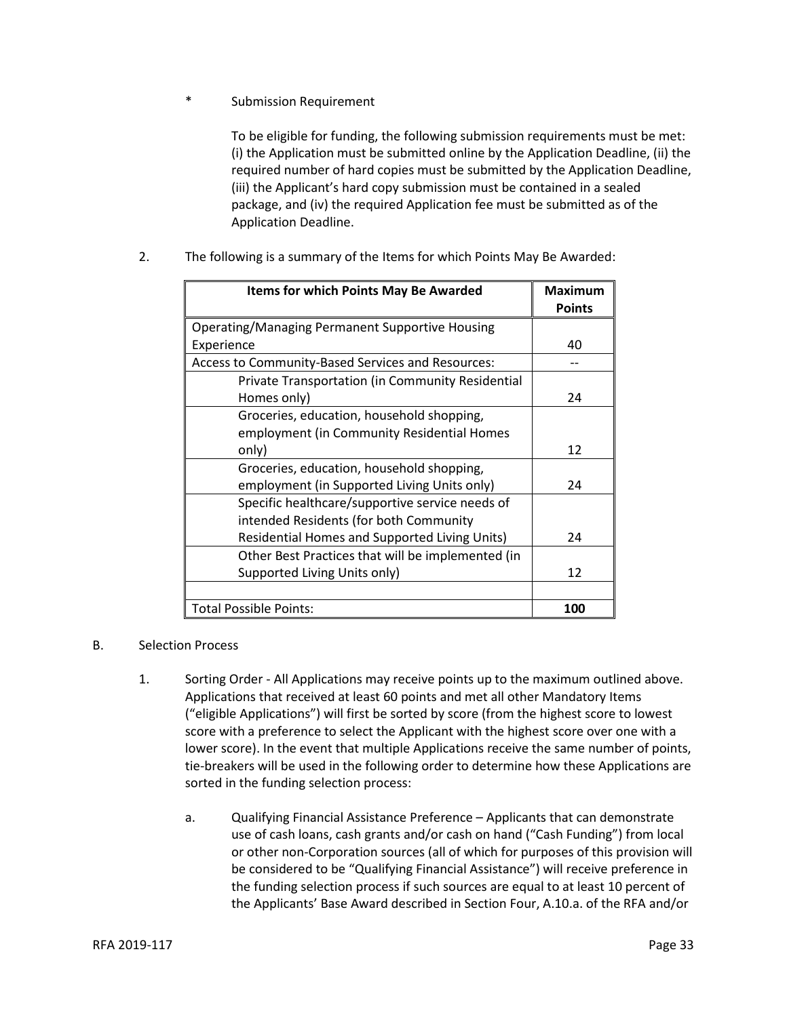Submission Requirement

To be eligible for funding, the following submission requirements must be met: (i) the Application must be submitted online by the Application Deadline, (ii) the required number of hard copies must be submitted by the Application Deadline, (iii) the Applicant's hard copy submission must be contained in a sealed package, and (iv) the required Application fee must be submitted as of the Application Deadline.

| <b>Items for which Points May Be Awarded</b>      | <b>Maximum</b> |
|---------------------------------------------------|----------------|
|                                                   | <b>Points</b>  |
| Operating/Managing Permanent Supportive Housing   |                |
| Experience                                        | 40             |
| Access to Community-Based Services and Resources: |                |
| Private Transportation (in Community Residential  |                |
| Homes only)                                       | 24             |
| Groceries, education, household shopping,         |                |
| employment (in Community Residential Homes        |                |
| only)                                             | 12             |
| Groceries, education, household shopping,         |                |
| employment (in Supported Living Units only)       | 24             |
| Specific healthcare/supportive service needs of   |                |
| intended Residents (for both Community            |                |
| Residential Homes and Supported Living Units)     | 24             |
| Other Best Practices that will be implemented (in |                |
| Supported Living Units only)                      | 12             |
|                                                   |                |
| <b>Total Possible Points:</b>                     | 100            |

2. The following is a summary of the Items for which Points May Be Awarded:

#### B. Selection Process

- 1. Sorting Order All Applications may receive points up to the maximum outlined above. Applications that received at least 60 points and met all other Mandatory Items ("eligible Applications") will first be sorted by score (from the highest score to lowest score with a preference to select the Applicant with the highest score over one with a lower score). In the event that multiple Applications receive the same number of points, tie-breakers will be used in the following order to determine how these Applications are sorted in the funding selection process:
	- a. Qualifying Financial Assistance Preference Applicants that can demonstrate use of cash loans, cash grants and/or cash on hand ("Cash Funding") from local or other non-Corporation sources (all of which for purposes of this provision will be considered to be "Qualifying Financial Assistance") will receive preference in the funding selection process if such sources are equal to at least 10 percent of the Applicants' Base Award described in Section Four, A.10.a. of the RFA and/or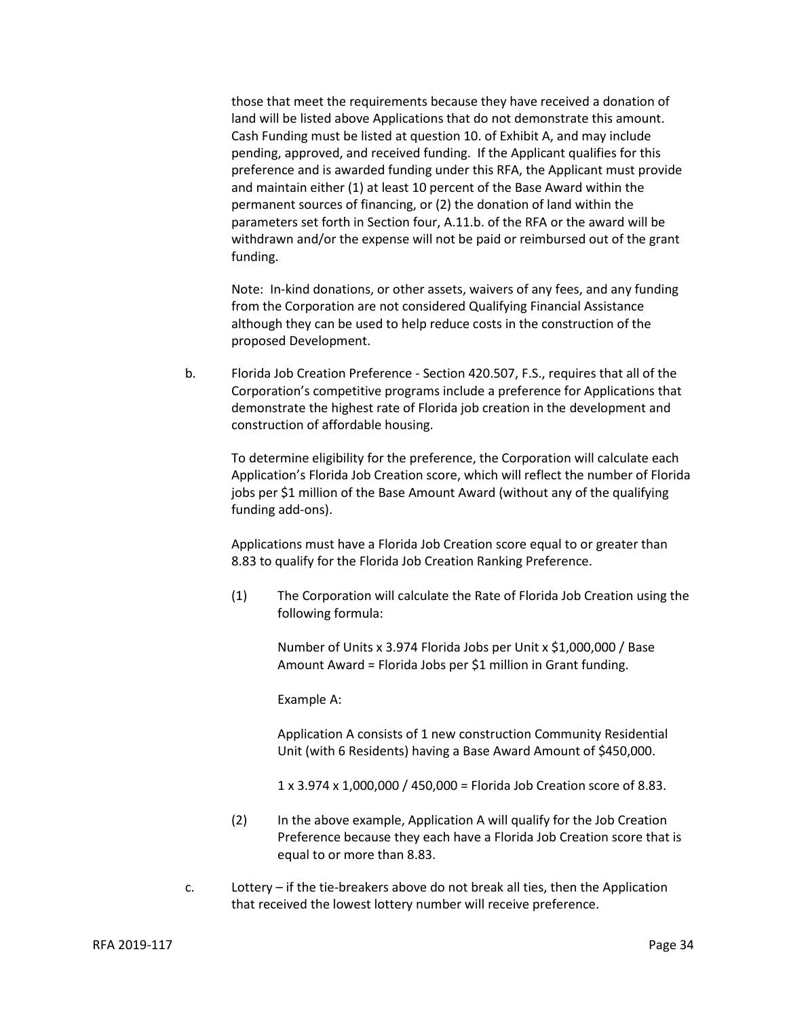those that meet the requirements because they have received a donation of land will be listed above Applications that do not demonstrate this amount. Cash Funding must be listed at question 10. of Exhibit A, and may include pending, approved, and received funding. If the Applicant qualifies for this preference and is awarded funding under this RFA, the Applicant must provide and maintain either (1) at least 10 percent of the Base Award within the permanent sources of financing, or (2) the donation of land within the parameters set forth in Section four, A.11.b. of the RFA or the award will be withdrawn and/or the expense will not be paid or reimbursed out of the grant funding.

Note: In-kind donations, or other assets, waivers of any fees, and any funding from the Corporation are not considered Qualifying Financial Assistance although they can be used to help reduce costs in the construction of the proposed Development.

b. Florida Job Creation Preference - Section 420.507, F.S., requires that all of the Corporation's competitive programs include a preference for Applications that demonstrate the highest rate of Florida job creation in the development and construction of affordable housing.

To determine eligibility for the preference, the Corporation will calculate each Application's Florida Job Creation score, which will reflect the number of Florida jobs per \$1 million of the Base Amount Award (without any of the qualifying funding add-ons).

Applications must have a Florida Job Creation score equal to or greater than 8.83 to qualify for the Florida Job Creation Ranking Preference.

(1) The Corporation will calculate the Rate of Florida Job Creation using the following formula:

Number of Units x 3.974 Florida Jobs per Unit x \$1,000,000 / Base Amount Award = Florida Jobs per \$1 million in Grant funding.

Example A:

Application A consists of 1 new construction Community Residential Unit (with 6 Residents) having a Base Award Amount of \$450,000.

1 x 3.974 x 1,000,000 / 450,000 = Florida Job Creation score of 8.83.

- (2) In the above example, Application A will qualify for the Job Creation Preference because they each have a Florida Job Creation score that is equal to or more than 8.83.
- c. Lottery if the tie-breakers above do not break all ties, then the Application that received the lowest lottery number will receive preference.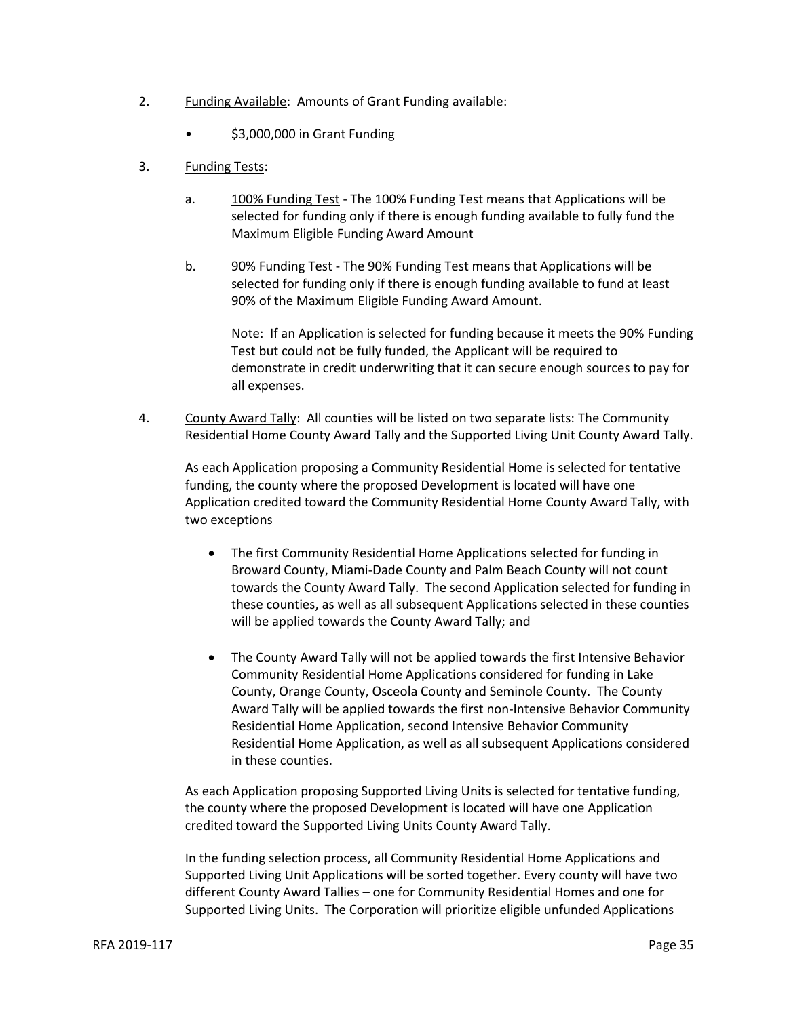- 2. Funding Available: Amounts of Grant Funding available:
	- \$3,000,000 in Grant Funding
- 3. Funding Tests:
	- a. 100% Funding Test The 100% Funding Test means that Applications will be selected for funding only if there is enough funding available to fully fund the Maximum Eligible Funding Award Amount
	- b. 90% Funding Test The 90% Funding Test means that Applications will be selected for funding only if there is enough funding available to fund at least 90% of the Maximum Eligible Funding Award Amount.

Note: If an Application is selected for funding because it meets the 90% Funding Test but could not be fully funded, the Applicant will be required to demonstrate in credit underwriting that it can secure enough sources to pay for all expenses.

4. County Award Tally: All counties will be listed on two separate lists: The Community Residential Home County Award Tally and the Supported Living Unit County Award Tally.

As each Application proposing a Community Residential Home is selected for tentative funding, the county where the proposed Development is located will have one Application credited toward the Community Residential Home County Award Tally, with two exceptions

- The first Community Residential Home Applications selected for funding in Broward County, Miami-Dade County and Palm Beach County will not count towards the County Award Tally. The second Application selected for funding in these counties, as well as all subsequent Applications selected in these counties will be applied towards the County Award Tally; and
- The County Award Tally will not be applied towards the first Intensive Behavior Community Residential Home Applications considered for funding in Lake County, Orange County, Osceola County and Seminole County. The County Award Tally will be applied towards the first non-Intensive Behavior Community Residential Home Application, second Intensive Behavior Community Residential Home Application, as well as all subsequent Applications considered in these counties.

As each Application proposing Supported Living Units is selected for tentative funding, the county where the proposed Development is located will have one Application credited toward the Supported Living Units County Award Tally.

In the funding selection process, all Community Residential Home Applications and Supported Living Unit Applications will be sorted together. Every county will have two different County Award Tallies – one for Community Residential Homes and one for Supported Living Units. The Corporation will prioritize eligible unfunded Applications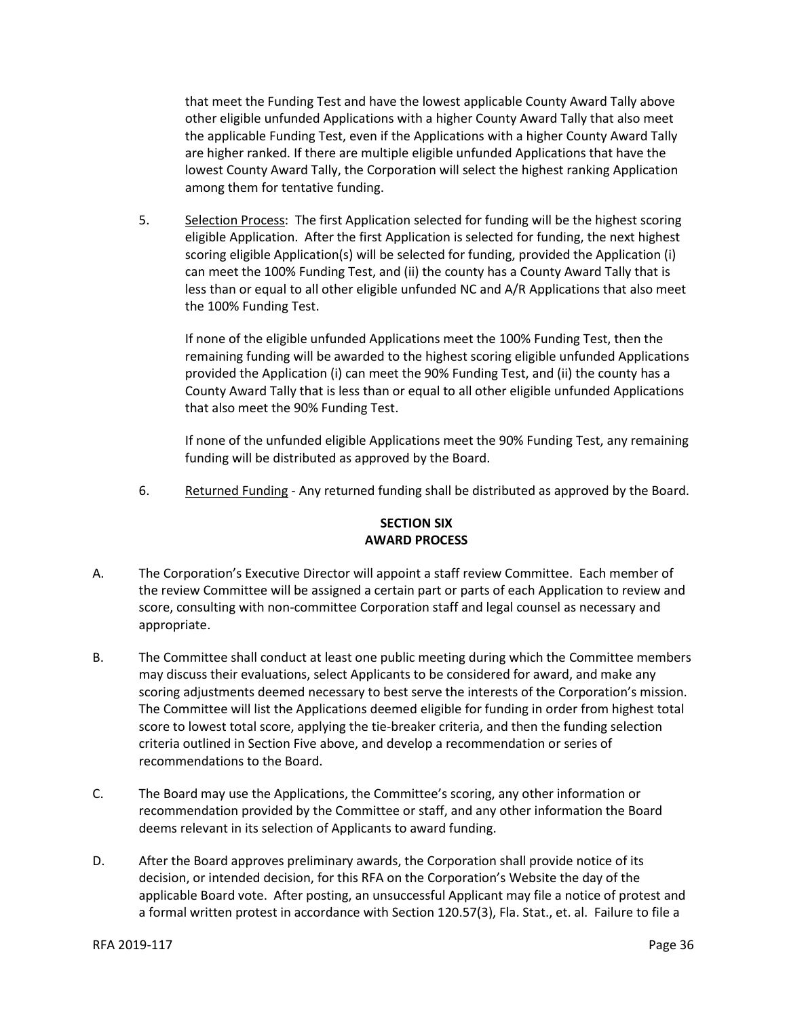that meet the Funding Test and have the lowest applicable County Award Tally above other eligible unfunded Applications with a higher County Award Tally that also meet the applicable Funding Test, even if the Applications with a higher County Award Tally are higher ranked. If there are multiple eligible unfunded Applications that have the lowest County Award Tally, the Corporation will select the highest ranking Application among them for tentative funding.

5. Selection Process: The first Application selected for funding will be the highest scoring eligible Application. After the first Application is selected for funding, the next highest scoring eligible Application(s) will be selected for funding, provided the Application (i) can meet the 100% Funding Test, and (ii) the county has a County Award Tally that is less than or equal to all other eligible unfunded NC and A/R Applications that also meet the 100% Funding Test.

If none of the eligible unfunded Applications meet the 100% Funding Test, then the remaining funding will be awarded to the highest scoring eligible unfunded Applications provided the Application (i) can meet the 90% Funding Test, and (ii) the county has a County Award Tally that is less than or equal to all other eligible unfunded Applications that also meet the 90% Funding Test.

If none of the unfunded eligible Applications meet the 90% Funding Test, any remaining funding will be distributed as approved by the Board.

6. Returned Funding - Any returned funding shall be distributed as approved by the Board.

## **SECTION SIX AWARD PROCESS**

- A. The Corporation's Executive Director will appoint a staff review Committee. Each member of the review Committee will be assigned a certain part or parts of each Application to review and score, consulting with non-committee Corporation staff and legal counsel as necessary and appropriate.
- B. The Committee shall conduct at least one public meeting during which the Committee members may discuss their evaluations, select Applicants to be considered for award, and make any scoring adjustments deemed necessary to best serve the interests of the Corporation's mission. The Committee will list the Applications deemed eligible for funding in order from highest total score to lowest total score, applying the tie-breaker criteria, and then the funding selection criteria outlined in Section Five above, and develop a recommendation or series of recommendations to the Board.
- C. The Board may use the Applications, the Committee's scoring, any other information or recommendation provided by the Committee or staff, and any other information the Board deems relevant in its selection of Applicants to award funding.
- D. After the Board approves preliminary awards, the Corporation shall provide notice of its decision, or intended decision, for this RFA on the Corporation's Website the day of the applicable Board vote. After posting, an unsuccessful Applicant may file a notice of protest and a formal written protest in accordance with Section 120.57(3), Fla. Stat., et. al. Failure to file a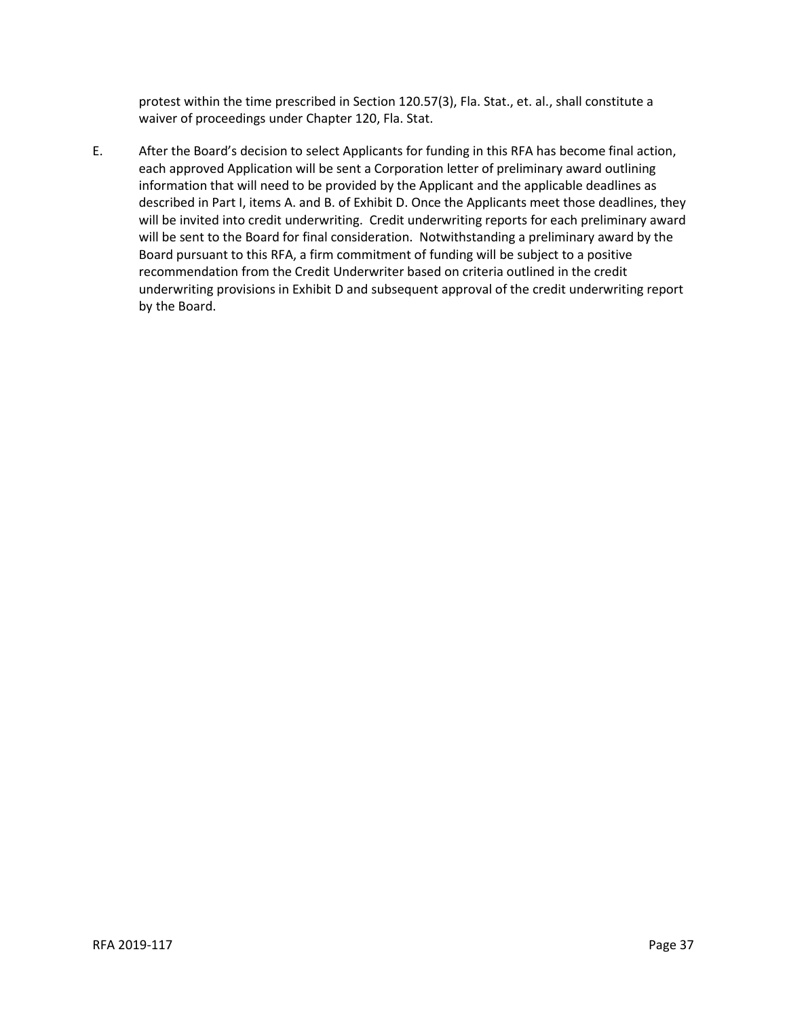protest within the time prescribed in Section 120.57(3), Fla. Stat., et. al., shall constitute a waiver of proceedings under Chapter 120, Fla. Stat.

E. After the Board's decision to select Applicants for funding in this RFA has become final action, each approved Application will be sent a Corporation letter of preliminary award outlining information that will need to be provided by the Applicant and the applicable deadlines as described in Part I, items A. and B. of Exhibit D. Once the Applicants meet those deadlines, they will be invited into credit underwriting. Credit underwriting reports for each preliminary award will be sent to the Board for final consideration. Notwithstanding a preliminary award by the Board pursuant to this RFA, a firm commitment of funding will be subject to a positive recommendation from the Credit Underwriter based on criteria outlined in the credit underwriting provisions in Exhibit D and subsequent approval of the credit underwriting report by the Board.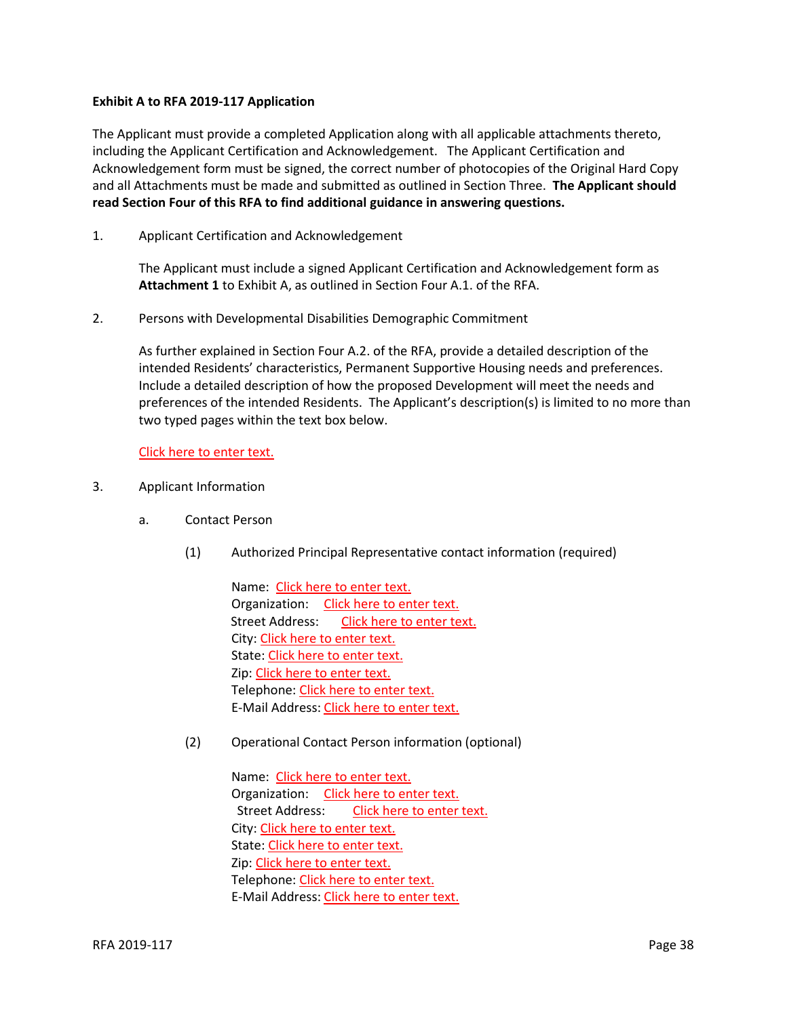#### **Exhibit A to RFA 2019-117 Application**

The Applicant must provide a completed Application along with all applicable attachments thereto, including the Applicant Certification and Acknowledgement. The Applicant Certification and Acknowledgement form must be signed, the correct number of photocopies of the Original Hard Copy and all Attachments must be made and submitted as outlined in Section Three. **The Applicant should read Section Four of this RFA to find additional guidance in answering questions.**

1. Applicant Certification and Acknowledgement

The Applicant must include a signed Applicant Certification and Acknowledgement form as **Attachment 1** to Exhibit A, as outlined in Section Four A.1. of the RFA.

2. Persons with Developmental Disabilities Demographic Commitment

As further explained in Section Four A.2. of the RFA, provide a detailed description of the intended Residents' characteristics, Permanent Supportive Housing needs and preferences. Include a detailed description of how the proposed Development will meet the needs and preferences of the intended Residents. The Applicant's description(s) is limited to no more than two typed pages within the text box below.

Click here to enter text.

- 3. Applicant Information
	- a. Contact Person
		- (1) Authorized Principal Representative contact information (required)

Name: Click here to enter text. Organization: Click here to enter text. Street Address: Click here to enter text. City: Click here to enter text. State: Click here to enter text. Zip: Click here to enter text. Telephone: Click here to enter text. E-Mail Address: Click here to enter text.

(2) Operational Contact Person information (optional)

Name: Click here to enter text. Organization: Click here to enter text. Street Address: Click here to enter text. City: Click here to enter text. State: Click here to enter text. Zip: Click here to enter text. Telephone: Click here to enter text. E-Mail Address: Click here to enter text.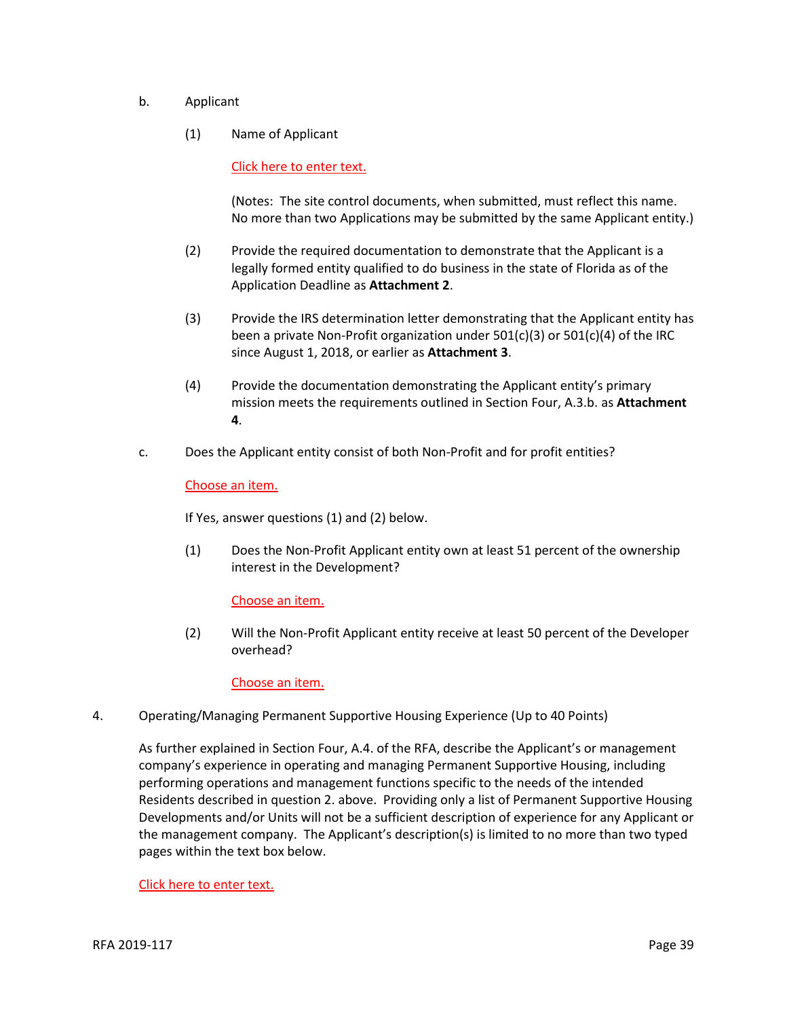- b. Applicant
	- (1) Name of Applicant

Click here to enter text.

(Notes: The site control documents, when submitted, must reflect this name. No more than two Applications may be submitted by the same Applicant entity.)

- (2) Provide the required documentation to demonstrate that the Applicant is a legally formed entity qualified to do business in the state of Florida as of the Application Deadline as **Attachment 2**.
- (3) Provide the IRS determination letter demonstrating that the Applicant entity has been a private Non-Profit organization under 501(c)(3) or 501(c)(4) of the IRC since August 1, 2018, or earlier as **Attachment 3**.
- (4) Provide the documentation demonstrating the Applicant entity's primary mission meets the requirements outlined in Section Four, A.3.b. as **Attachment 4**.
- c. Does the Applicant entity consist of both Non-Profit and for profit entities?

#### Choose an item.

If Yes, answer questions (1) and (2) below.

(1) Does the Non-Profit Applicant entity own at least 51 percent of the ownership interest in the Development?

## Choose an item.

(2) Will the Non-Profit Applicant entity receive at least 50 percent of the Developer overhead?

Choose an item.

4. Operating/Managing Permanent Supportive Housing Experience (Up to 40 Points)

As further explained in Section Four, A.4. of the RFA, describe the Applicant's or management company's experience in operating and managing Permanent Supportive Housing, including performing operations and management functions specific to the needs of the intended Residents described in question 2. above. Providing only a list of Permanent Supportive Housing Developments and/or Units will not be a sufficient description of experience for any Applicant or the management company. The Applicant's description(s) is limited to no more than two typed pages within the text box below.

Click here to enter text.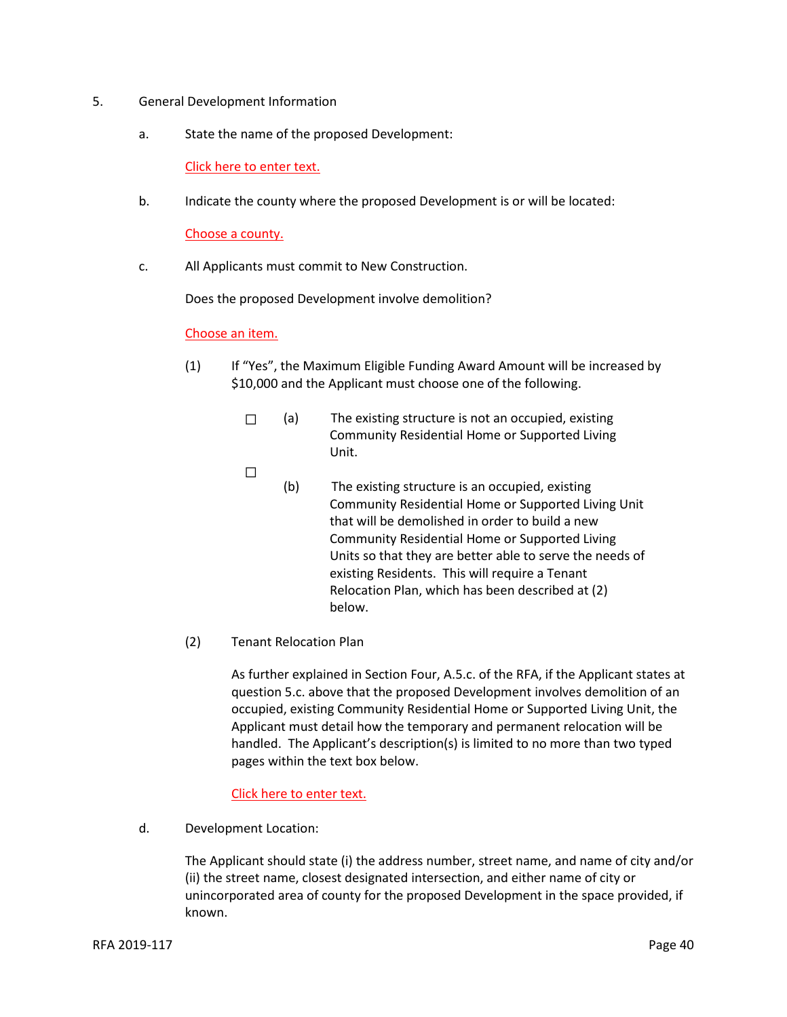- 5. General Development Information
	- a. State the name of the proposed Development:

Click here to enter text.

b. Indicate the county where the proposed Development is or will be located:

Choose a county.

c. All Applicants must commit to New Construction.

Does the proposed Development involve demolition?

#### Choose an item.

- (1) If "Yes", the Maximum Eligible Funding Award Amount will be increased by \$10,000 and the Applicant must choose one of the following.
	- ☐ (a) The existing structure is not an occupied, existing Community Residential Home or Supported Living Unit.
	- $\Box$
- (b) The existing structure is an occupied, existing Community Residential Home or Supported Living Unit that will be demolished in order to build a new Community Residential Home or Supported Living Units so that they are better able to serve the needs of existing Residents. This will require a Tenant Relocation Plan, which has been described at (2) below.
- (2) Tenant Relocation Plan

As further explained in Section Four, A.5.c. of the RFA, if the Applicant states at question 5.c. above that the proposed Development involves demolition of an occupied, existing Community Residential Home or Supported Living Unit, the Applicant must detail how the temporary and permanent relocation will be handled. The Applicant's description(s) is limited to no more than two typed pages within the text box below.

## Click here to enter text.

d. Development Location:

The Applicant should state (i) the address number, street name, and name of city and/or (ii) the street name, closest designated intersection, and either name of city or unincorporated area of county for the proposed Development in the space provided, if known.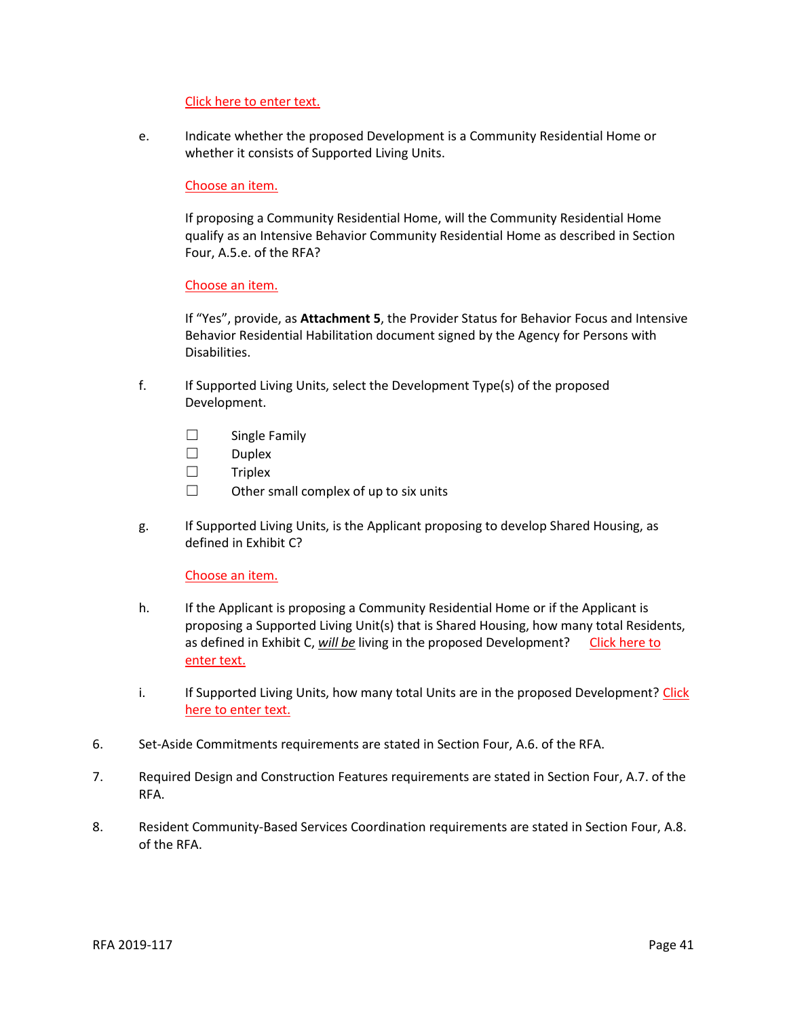#### Click here to enter text.

e. Indicate whether the proposed Development is a Community Residential Home or whether it consists of Supported Living Units.

#### Choose an item.

If proposing a Community Residential Home, will the Community Residential Home qualify as an Intensive Behavior Community Residential Home as described in Section Four, A.5.e. of the RFA?

#### Choose an item.

If "Yes", provide, as **Attachment 5**, the Provider Status for Behavior Focus and Intensive Behavior Residential Habilitation document signed by the Agency for Persons with Disabilities.

- f. If Supported Living Units, select the Development Type(s) of the proposed Development.
	- ☐ Single Family
	- ☐ Duplex
	- ☐ Triplex
	- $\Box$  Other small complex of up to six units
- g. If Supported Living Units, is the Applicant proposing to develop Shared Housing, as defined in Exhibit C?

#### Choose an item.

- h. If the Applicant is proposing a Community Residential Home or if the Applicant is proposing a Supported Living Unit(s) that is Shared Housing, how many total Residents, as defined in Exhibit C, will be living in the proposed Development? Click here to enter text.
- i. If Supported Living Units, how many total Units are in the proposed Development? Click here to enter text.
- 6. Set-Aside Commitments requirements are stated in Section Four, A.6. of the RFA.
- 7. Required Design and Construction Features requirements are stated in Section Four, A.7. of the RFA.
- 8. Resident Community-Based Services Coordination requirements are stated in Section Four, A.8. of the RFA.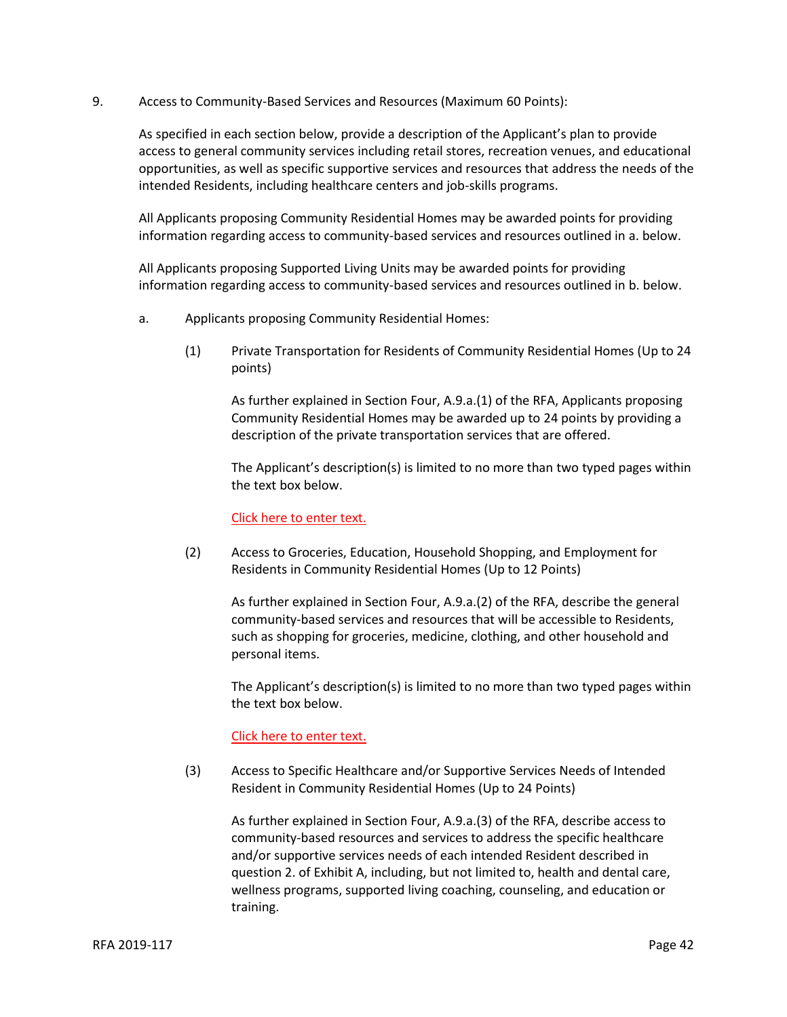9. Access to Community-Based Services and Resources (Maximum 60 Points):

As specified in each section below, provide a description of the Applicant's plan to provide access to general community services including retail stores, recreation venues, and educational opportunities, as well as specific supportive services and resources that address the needs of the intended Residents, including healthcare centers and job-skills programs.

All Applicants proposing Community Residential Homes may be awarded points for providing information regarding access to community-based services and resources outlined in a. below.

All Applicants proposing Supported Living Units may be awarded points for providing information regarding access to community-based services and resources outlined in b. below.

- a. Applicants proposing Community Residential Homes:
	- (1) Private Transportation for Residents of Community Residential Homes (Up to 24 points)

As further explained in Section Four, A.9.a.(1) of the RFA, Applicants proposing Community Residential Homes may be awarded up to 24 points by providing a description of the private transportation services that are offered.

The Applicant's description(s) is limited to no more than two typed pages within the text box below.

Click here to enter text.

(2) Access to Groceries, Education, Household Shopping, and Employment for Residents in Community Residential Homes (Up to 12 Points)

As further explained in Section Four, A.9.a.(2) of the RFA, describe the general community-based services and resources that will be accessible to Residents, such as shopping for groceries, medicine, clothing, and other household and personal items.

The Applicant's description(s) is limited to no more than two typed pages within the text box below.

## Click here to enter text.

(3) Access to Specific Healthcare and/or Supportive Services Needs of Intended Resident in Community Residential Homes (Up to 24 Points)

As further explained in Section Four, A.9.a.(3) of the RFA, describe access to community-based resources and services to address the specific healthcare and/or supportive services needs of each intended Resident described in question 2. of Exhibit A, including, but not limited to, health and dental care, wellness programs, supported living coaching, counseling, and education or training.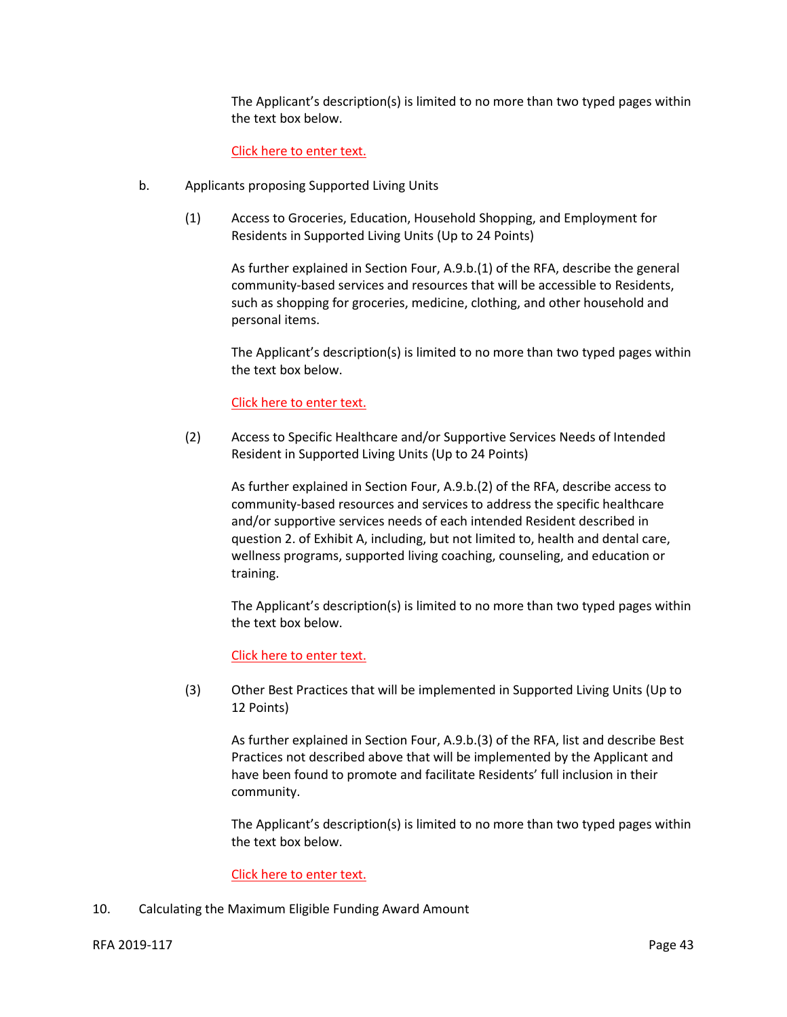The Applicant's description(s) is limited to no more than two typed pages within the text box below.

## Click here to enter text.

- b. Applicants proposing Supported Living Units
	- (1) Access to Groceries, Education, Household Shopping, and Employment for Residents in Supported Living Units (Up to 24 Points)

As further explained in Section Four, A.9.b.(1) of the RFA, describe the general community-based services and resources that will be accessible to Residents, such as shopping for groceries, medicine, clothing, and other household and personal items.

The Applicant's description(s) is limited to no more than two typed pages within the text box below.

#### Click here to enter text.

(2) Access to Specific Healthcare and/or Supportive Services Needs of Intended Resident in Supported Living Units (Up to 24 Points)

As further explained in Section Four, A.9.b.(2) of the RFA, describe access to community-based resources and services to address the specific healthcare and/or supportive services needs of each intended Resident described in question 2. of Exhibit A, including, but not limited to, health and dental care, wellness programs, supported living coaching, counseling, and education or training.

The Applicant's description(s) is limited to no more than two typed pages within the text box below.

#### Click here to enter text.

(3) Other Best Practices that will be implemented in Supported Living Units (Up to 12 Points)

As further explained in Section Four, A.9.b.(3) of the RFA, list and describe Best Practices not described above that will be implemented by the Applicant and have been found to promote and facilitate Residents' full inclusion in their community.

The Applicant's description(s) is limited to no more than two typed pages within the text box below.

## Click here to enter text.

10. Calculating the Maximum Eligible Funding Award Amount

## RFA 2019-117 Page 43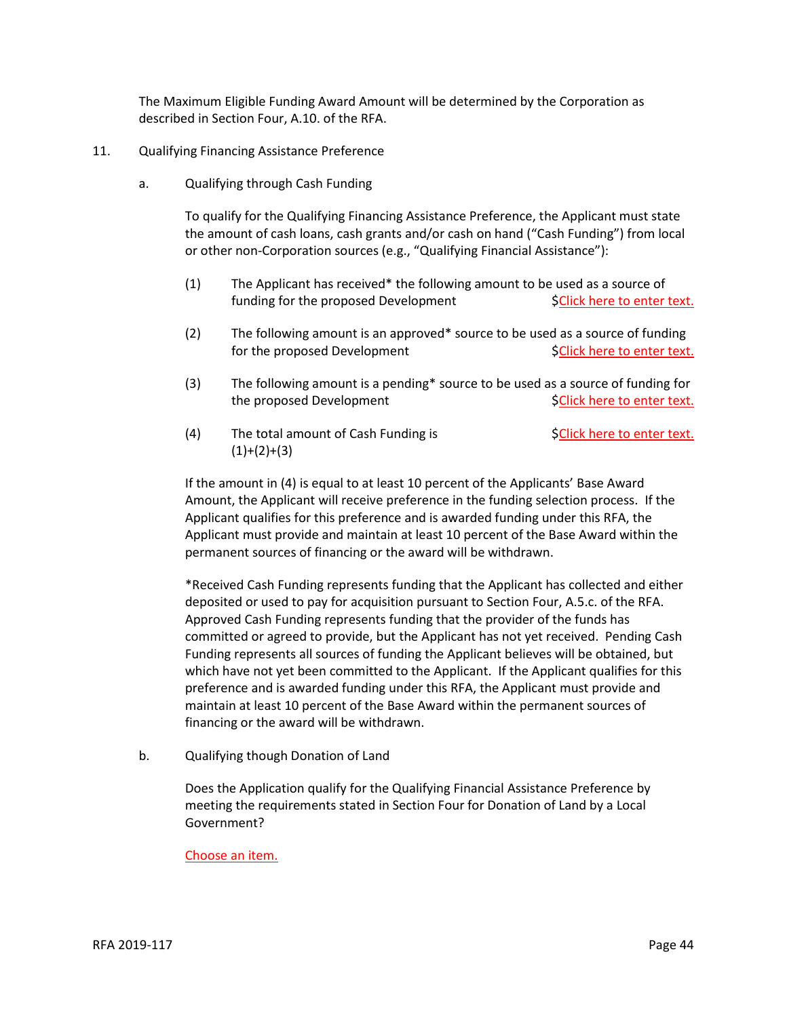The Maximum Eligible Funding Award Amount will be determined by the Corporation as described in Section Four, A.10. of the RFA.

- 11. Qualifying Financing Assistance Preference
	- a. Qualifying through Cash Funding

To qualify for the Qualifying Financing Assistance Preference, the Applicant must state the amount of cash loans, cash grants and/or cash on hand ("Cash Funding") from local or other non-Corporation sources (e.g., "Qualifying Financial Assistance"):

- (1) The Applicant has received\* the following amount to be used as a source of funding for the proposed Development \$Click here to enter text.
- (2) The following amount is an approved\* source to be used as a source of funding for the proposed Development  $\begin{aligned} \text{SClick here to enter text.} \end{aligned}$
- (3) The following amount is a pending\* source to be used as a source of funding for the proposed Development  $\mathsf{SClick}$  here to enter text.
- (4) The total amount of Cash Funding is  $\mathsf{SClick}$  here to enter text.  $(1)+(2)+(3)$

If the amount in (4) is equal to at least 10 percent of the Applicants' Base Award Amount, the Applicant will receive preference in the funding selection process. If the Applicant qualifies for this preference and is awarded funding under this RFA, the Applicant must provide and maintain at least 10 percent of the Base Award within the permanent sources of financing or the award will be withdrawn.

\*Received Cash Funding represents funding that the Applicant has collected and either deposited or used to pay for acquisition pursuant to Section Four, A.5.c. of the RFA. Approved Cash Funding represents funding that the provider of the funds has committed or agreed to provide, but the Applicant has not yet received. Pending Cash Funding represents all sources of funding the Applicant believes will be obtained, but which have not yet been committed to the Applicant. If the Applicant qualifies for this preference and is awarded funding under this RFA, the Applicant must provide and maintain at least 10 percent of the Base Award within the permanent sources of financing or the award will be withdrawn.

b. Qualifying though Donation of Land

Does the Application qualify for the Qualifying Financial Assistance Preference by meeting the requirements stated in Section Four for Donation of Land by a Local Government?

## Choose an item.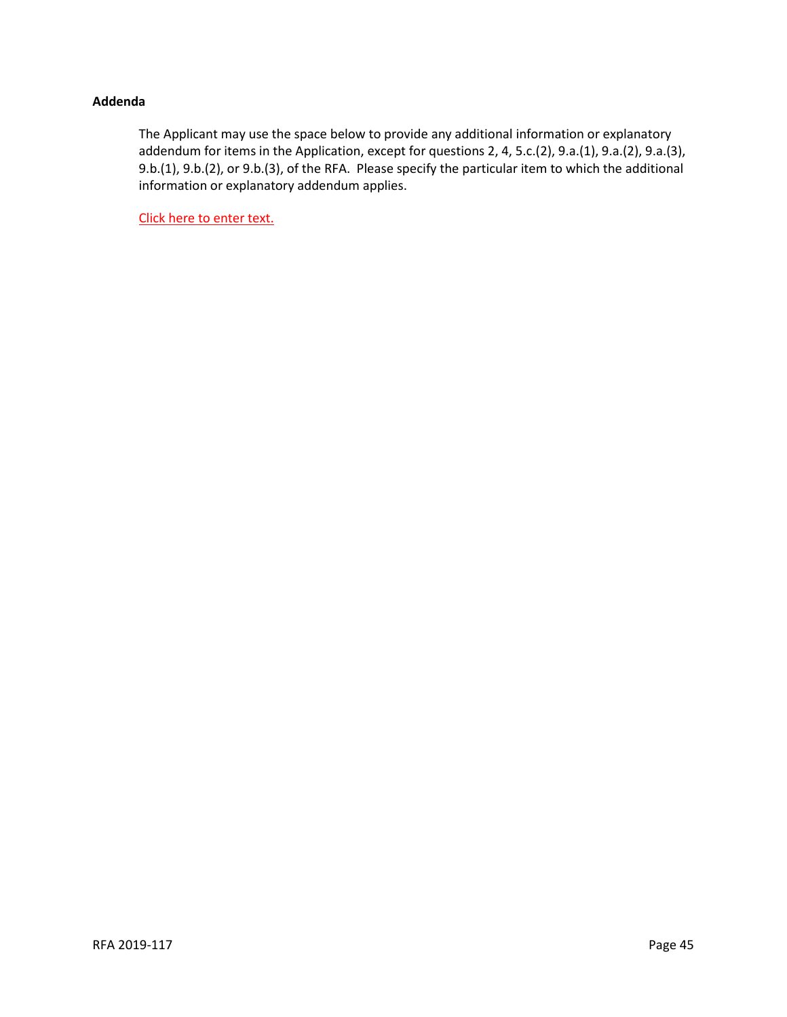## **Addenda**

The Applicant may use the space below to provide any additional information or explanatory addendum for items in the Application, except for questions 2, 4, 5.c.(2), 9.a.(1), 9.a.(2), 9.a.(3), 9.b.(1), 9.b.(2), or 9.b.(3), of the RFA. Please specify the particular item to which the additional information or explanatory addendum applies.

Click here to enter text.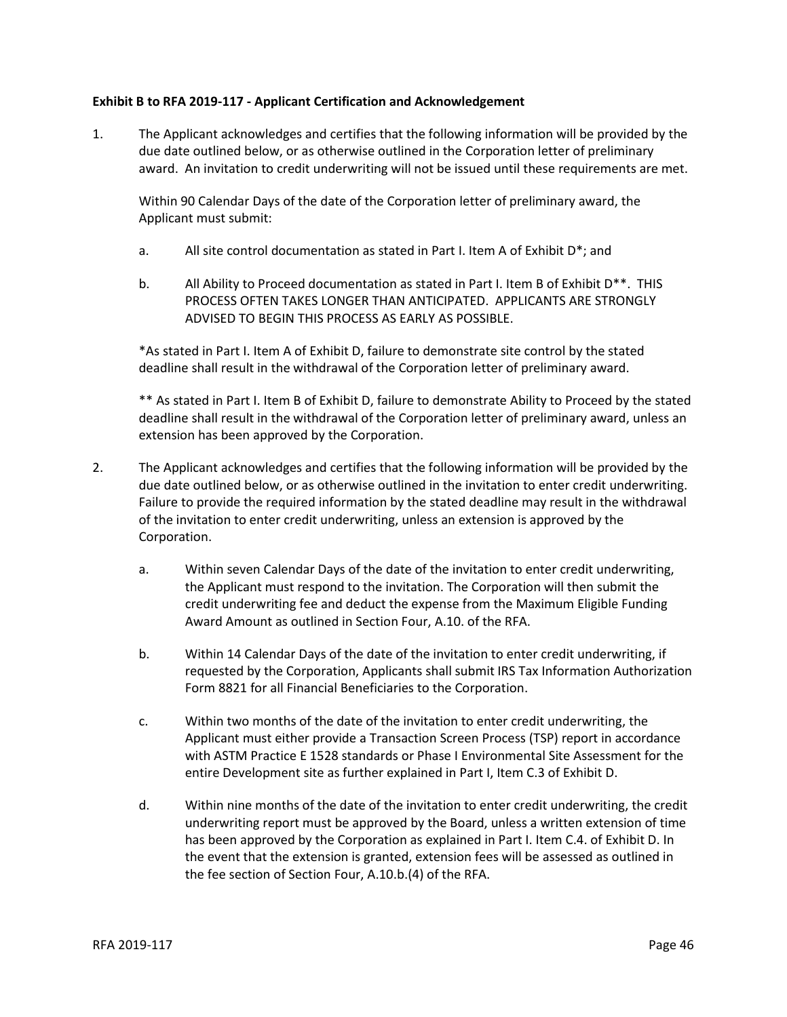## **Exhibit B to RFA 2019-117 - Applicant Certification and Acknowledgement**

1. The Applicant acknowledges and certifies that the following information will be provided by the due date outlined below, or as otherwise outlined in the Corporation letter of preliminary award. An invitation to credit underwriting will not be issued until these requirements are met.

Within 90 Calendar Days of the date of the Corporation letter of preliminary award, the Applicant must submit:

- a. All site control documentation as stated in Part I. Item A of Exhibit D\*; and
- b. All Ability to Proceed documentation as stated in Part I. Item B of Exhibit D\*\*. THIS PROCESS OFTEN TAKES LONGER THAN ANTICIPATED. APPLICANTS ARE STRONGLY ADVISED TO BEGIN THIS PROCESS AS EARLY AS POSSIBLE.

\*As stated in Part I. Item A of Exhibit D, failure to demonstrate site control by the stated deadline shall result in the withdrawal of the Corporation letter of preliminary award.

\*\* As stated in Part I. Item B of Exhibit D, failure to demonstrate Ability to Proceed by the stated deadline shall result in the withdrawal of the Corporation letter of preliminary award, unless an extension has been approved by the Corporation.

- 2. The Applicant acknowledges and certifies that the following information will be provided by the due date outlined below, or as otherwise outlined in the invitation to enter credit underwriting. Failure to provide the required information by the stated deadline may result in the withdrawal of the invitation to enter credit underwriting, unless an extension is approved by the Corporation.
	- a. Within seven Calendar Days of the date of the invitation to enter credit underwriting, the Applicant must respond to the invitation. The Corporation will then submit the credit underwriting fee and deduct the expense from the Maximum Eligible Funding Award Amount as outlined in Section Four, A.10. of the RFA.
	- b. Within 14 Calendar Days of the date of the invitation to enter credit underwriting, if requested by the Corporation, Applicants shall submit IRS Tax Information Authorization Form 8821 for all Financial Beneficiaries to the Corporation.
	- c. Within two months of the date of the invitation to enter credit underwriting, the Applicant must either provide a Transaction Screen Process (TSP) report in accordance with ASTM Practice E 1528 standards or Phase I Environmental Site Assessment for the entire Development site as further explained in Part I, Item C.3 of Exhibit D.
	- d. Within nine months of the date of the invitation to enter credit underwriting, the credit underwriting report must be approved by the Board, unless a written extension of time has been approved by the Corporation as explained in Part I. Item C.4. of Exhibit D. In the event that the extension is granted, extension fees will be assessed as outlined in the fee section of Section Four, A.10.b.(4) of the RFA.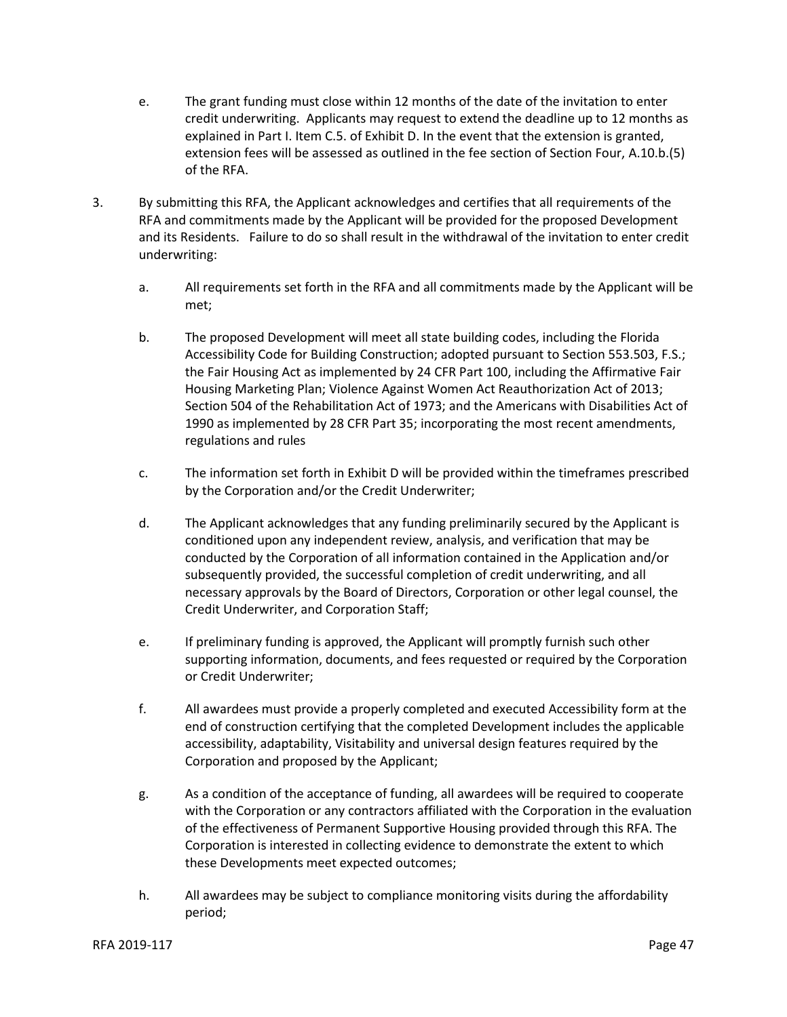- e. The grant funding must close within 12 months of the date of the invitation to enter credit underwriting. Applicants may request to extend the deadline up to 12 months as explained in Part I. Item C.5. of Exhibit D. In the event that the extension is granted, extension fees will be assessed as outlined in the fee section of Section Four, A.10.b.(5) of the RFA.
- 3. By submitting this RFA, the Applicant acknowledges and certifies that all requirements of the RFA and commitments made by the Applicant will be provided for the proposed Development and its Residents. Failure to do so shall result in the withdrawal of the invitation to enter credit underwriting:
	- a. All requirements set forth in the RFA and all commitments made by the Applicant will be met;
	- b. The proposed Development will meet all state building codes, including the Florida Accessibility Code for Building Construction; adopted pursuant to Section 553.503, F.S.; the Fair Housing Act as implemented by 24 CFR Part 100, including the Affirmative Fair Housing Marketing Plan; Violence Against Women Act Reauthorization Act of 2013; Section 504 of the Rehabilitation Act of 1973; and the Americans with Disabilities Act of 1990 as implemented by 28 CFR Part 35; incorporating the most recent amendments, regulations and rules
	- c. The information set forth in Exhibit D will be provided within the timeframes prescribed by the Corporation and/or the Credit Underwriter;
	- d. The Applicant acknowledges that any funding preliminarily secured by the Applicant is conditioned upon any independent review, analysis, and verification that may be conducted by the Corporation of all information contained in the Application and/or subsequently provided, the successful completion of credit underwriting, and all necessary approvals by the Board of Directors, Corporation or other legal counsel, the Credit Underwriter, and Corporation Staff;
	- e. If preliminary funding is approved, the Applicant will promptly furnish such other supporting information, documents, and fees requested or required by the Corporation or Credit Underwriter;
	- f. All awardees must provide a properly completed and executed Accessibility form at the end of construction certifying that the completed Development includes the applicable accessibility, adaptability, Visitability and universal design features required by the Corporation and proposed by the Applicant;
	- g. As a condition of the acceptance of funding, all awardees will be required to cooperate with the Corporation or any contractors affiliated with the Corporation in the evaluation of the effectiveness of Permanent Supportive Housing provided through this RFA. The Corporation is interested in collecting evidence to demonstrate the extent to which these Developments meet expected outcomes;
	- h. All awardees may be subject to compliance monitoring visits during the affordability period;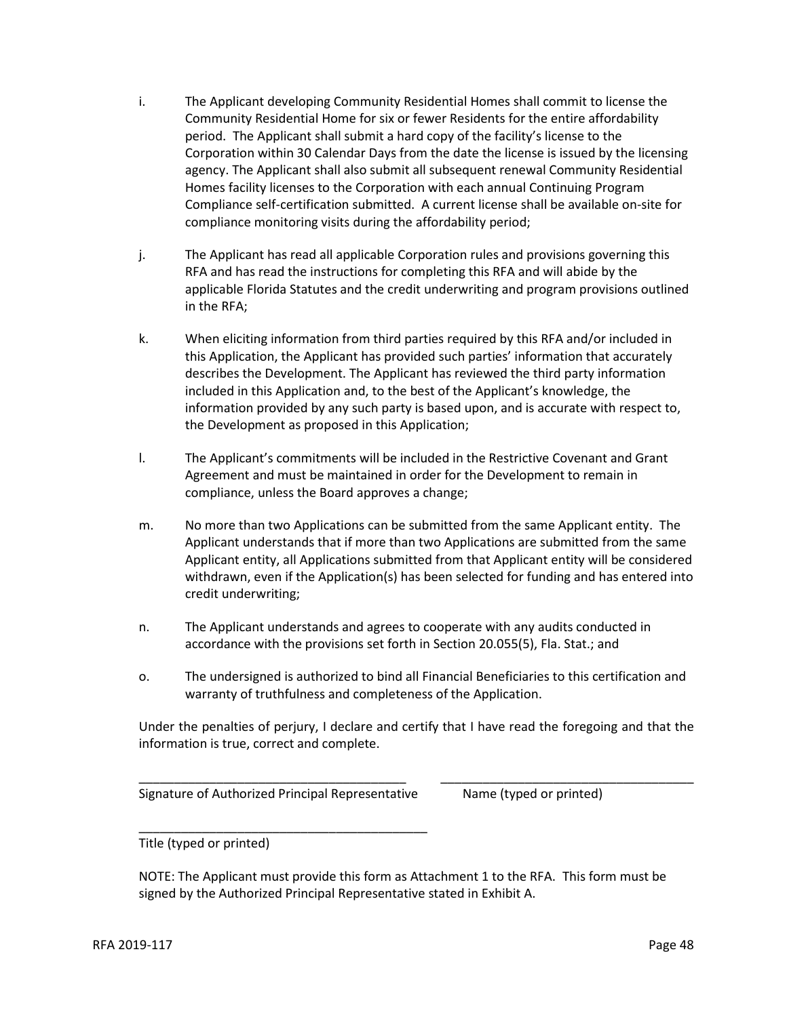- i. The Applicant developing Community Residential Homes shall commit to license the Community Residential Home for six or fewer Residents for the entire affordability period. The Applicant shall submit a hard copy of the facility's license to the Corporation within 30 Calendar Days from the date the license is issued by the licensing agency. The Applicant shall also submit all subsequent renewal Community Residential Homes facility licenses to the Corporation with each annual Continuing Program Compliance self-certification submitted. A current license shall be available on-site for compliance monitoring visits during the affordability period;
- j. The Applicant has read all applicable Corporation rules and provisions governing this RFA and has read the instructions for completing this RFA and will abide by the applicable Florida Statutes and the credit underwriting and program provisions outlined in the RFA;
- k. When eliciting information from third parties required by this RFA and/or included in this Application, the Applicant has provided such parties' information that accurately describes the Development. The Applicant has reviewed the third party information included in this Application and, to the best of the Applicant's knowledge, the information provided by any such party is based upon, and is accurate with respect to, the Development as proposed in this Application;
- l. The Applicant's commitments will be included in the Restrictive Covenant and Grant Agreement and must be maintained in order for the Development to remain in compliance, unless the Board approves a change;
- m. No more than two Applications can be submitted from the same Applicant entity. The Applicant understands that if more than two Applications are submitted from the same Applicant entity, all Applications submitted from that Applicant entity will be considered withdrawn, even if the Application(s) has been selected for funding and has entered into credit underwriting;
- n. The Applicant understands and agrees to cooperate with any audits conducted in accordance with the provisions set forth in Section 20.055(5), Fla. Stat.; and
- o. The undersigned is authorized to bind all Financial Beneficiaries to this certification and warranty of truthfulness and completeness of the Application.

Under the penalties of perjury, I declare and certify that I have read the foregoing and that the information is true, correct and complete.

\_\_\_\_\_\_\_\_\_\_\_\_\_\_\_\_\_\_\_\_\_\_\_\_\_\_\_\_\_\_\_\_\_\_\_\_\_\_ \_\_\_\_\_\_\_\_\_\_\_\_\_\_\_\_\_\_\_\_\_\_\_\_\_\_\_\_\_\_\_\_\_\_\_\_

Signature of Authorized Principal Representative Mame (typed or printed)

\_\_\_\_\_\_\_\_\_\_\_\_\_\_\_\_\_\_\_\_\_\_\_\_\_\_\_\_\_\_\_\_\_\_\_\_\_\_\_\_\_

Title (typed or printed)

NOTE: The Applicant must provide this form as Attachment 1 to the RFA. This form must be signed by the Authorized Principal Representative stated in Exhibit A.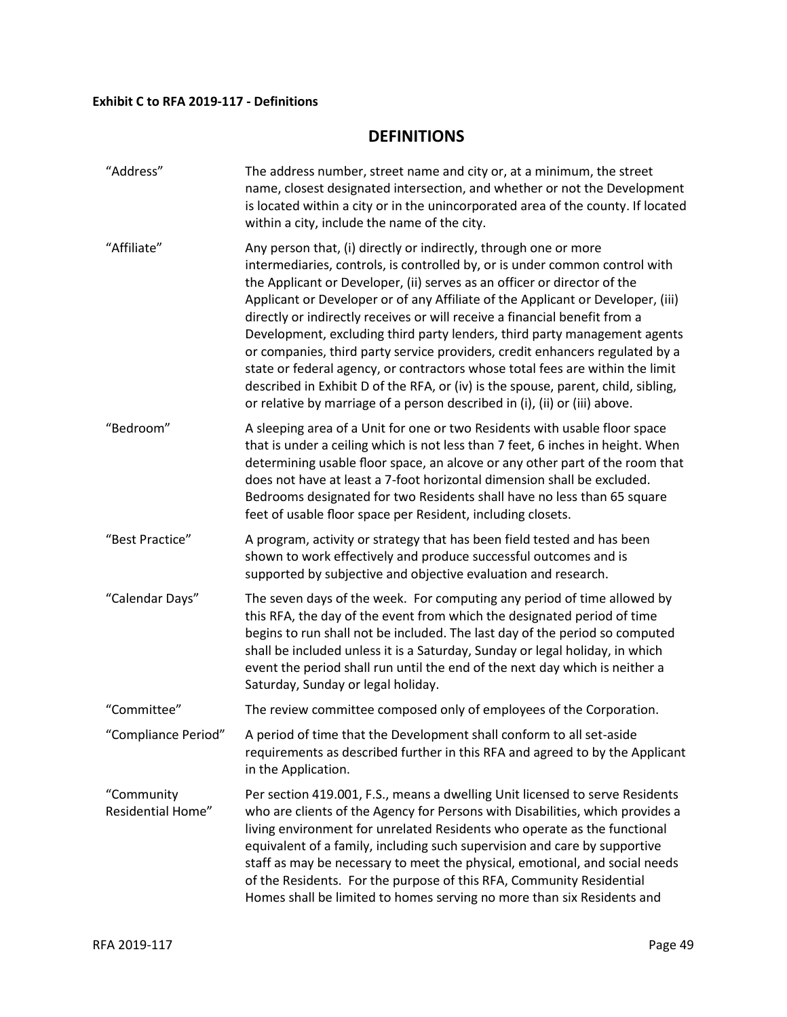## **Exhibit C to RFA 2019-117 - Definitions**

## **DEFINITIONS**

| "Address"                              | The address number, street name and city or, at a minimum, the street<br>name, closest designated intersection, and whether or not the Development<br>is located within a city or in the unincorporated area of the county. If located<br>within a city, include the name of the city.                                                                                                                                                                                                                                                                                                                                                                                                                                                                                                                        |
|----------------------------------------|---------------------------------------------------------------------------------------------------------------------------------------------------------------------------------------------------------------------------------------------------------------------------------------------------------------------------------------------------------------------------------------------------------------------------------------------------------------------------------------------------------------------------------------------------------------------------------------------------------------------------------------------------------------------------------------------------------------------------------------------------------------------------------------------------------------|
| "Affiliate"                            | Any person that, (i) directly or indirectly, through one or more<br>intermediaries, controls, is controlled by, or is under common control with<br>the Applicant or Developer, (ii) serves as an officer or director of the<br>Applicant or Developer or of any Affiliate of the Applicant or Developer, (iii)<br>directly or indirectly receives or will receive a financial benefit from a<br>Development, excluding third party lenders, third party management agents<br>or companies, third party service providers, credit enhancers regulated by a<br>state or federal agency, or contractors whose total fees are within the limit<br>described in Exhibit D of the RFA, or (iv) is the spouse, parent, child, sibling,<br>or relative by marriage of a person described in (i), (ii) or (iii) above. |
| "Bedroom"                              | A sleeping area of a Unit for one or two Residents with usable floor space<br>that is under a ceiling which is not less than 7 feet, 6 inches in height. When<br>determining usable floor space, an alcove or any other part of the room that<br>does not have at least a 7-foot horizontal dimension shall be excluded.<br>Bedrooms designated for two Residents shall have no less than 65 square<br>feet of usable floor space per Resident, including closets.                                                                                                                                                                                                                                                                                                                                            |
| "Best Practice"                        | A program, activity or strategy that has been field tested and has been<br>shown to work effectively and produce successful outcomes and is<br>supported by subjective and objective evaluation and research.                                                                                                                                                                                                                                                                                                                                                                                                                                                                                                                                                                                                 |
| "Calendar Days"                        | The seven days of the week. For computing any period of time allowed by<br>this RFA, the day of the event from which the designated period of time<br>begins to run shall not be included. The last day of the period so computed<br>shall be included unless it is a Saturday, Sunday or legal holiday, in which<br>event the period shall run until the end of the next day which is neither a<br>Saturday, Sunday or legal holiday.                                                                                                                                                                                                                                                                                                                                                                        |
| "Committee"                            | The review committee composed only of employees of the Corporation.                                                                                                                                                                                                                                                                                                                                                                                                                                                                                                                                                                                                                                                                                                                                           |
| "Compliance Period"                    | A period of time that the Development shall conform to all set-aside<br>requirements as described further in this RFA and agreed to by the Applicant<br>in the Application.                                                                                                                                                                                                                                                                                                                                                                                                                                                                                                                                                                                                                                   |
| "Community<br><b>Residential Home"</b> | Per section 419.001, F.S., means a dwelling Unit licensed to serve Residents<br>who are clients of the Agency for Persons with Disabilities, which provides a<br>living environment for unrelated Residents who operate as the functional<br>equivalent of a family, including such supervision and care by supportive<br>staff as may be necessary to meet the physical, emotional, and social needs<br>of the Residents. For the purpose of this RFA, Community Residential<br>Homes shall be limited to homes serving no more than six Residents and                                                                                                                                                                                                                                                       |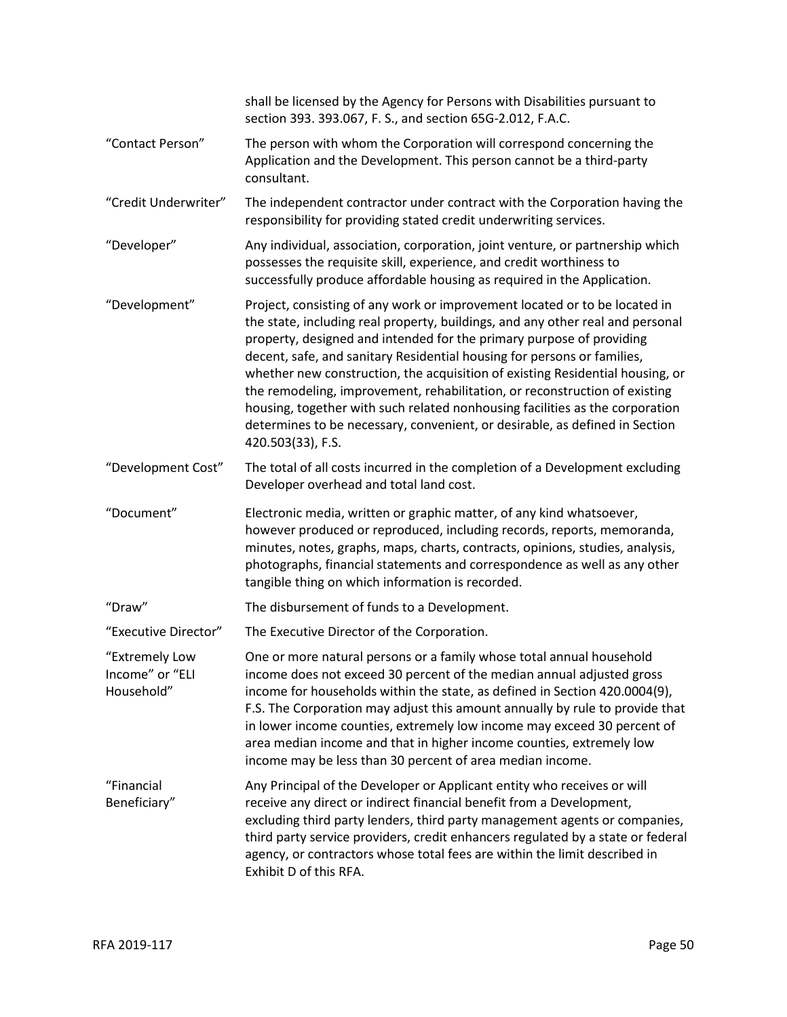|                                                 | shall be licensed by the Agency for Persons with Disabilities pursuant to<br>section 393. 393.067, F. S., and section 65G-2.012, F.A.C.                                                                                                                                                                                                                                                                                                                                                                                                                                                                                                                            |
|-------------------------------------------------|--------------------------------------------------------------------------------------------------------------------------------------------------------------------------------------------------------------------------------------------------------------------------------------------------------------------------------------------------------------------------------------------------------------------------------------------------------------------------------------------------------------------------------------------------------------------------------------------------------------------------------------------------------------------|
| "Contact Person"                                | The person with whom the Corporation will correspond concerning the<br>Application and the Development. This person cannot be a third-party<br>consultant.                                                                                                                                                                                                                                                                                                                                                                                                                                                                                                         |
| "Credit Underwriter"                            | The independent contractor under contract with the Corporation having the<br>responsibility for providing stated credit underwriting services.                                                                                                                                                                                                                                                                                                                                                                                                                                                                                                                     |
| "Developer"                                     | Any individual, association, corporation, joint venture, or partnership which<br>possesses the requisite skill, experience, and credit worthiness to<br>successfully produce affordable housing as required in the Application.                                                                                                                                                                                                                                                                                                                                                                                                                                    |
| "Development"                                   | Project, consisting of any work or improvement located or to be located in<br>the state, including real property, buildings, and any other real and personal<br>property, designed and intended for the primary purpose of providing<br>decent, safe, and sanitary Residential housing for persons or families,<br>whether new construction, the acquisition of existing Residential housing, or<br>the remodeling, improvement, rehabilitation, or reconstruction of existing<br>housing, together with such related nonhousing facilities as the corporation<br>determines to be necessary, convenient, or desirable, as defined in Section<br>420.503(33), F.S. |
| "Development Cost"                              | The total of all costs incurred in the completion of a Development excluding<br>Developer overhead and total land cost.                                                                                                                                                                                                                                                                                                                                                                                                                                                                                                                                            |
| "Document"                                      | Electronic media, written or graphic matter, of any kind whatsoever,<br>however produced or reproduced, including records, reports, memoranda,<br>minutes, notes, graphs, maps, charts, contracts, opinions, studies, analysis,<br>photographs, financial statements and correspondence as well as any other<br>tangible thing on which information is recorded.                                                                                                                                                                                                                                                                                                   |
| "Draw"                                          | The disbursement of funds to a Development.                                                                                                                                                                                                                                                                                                                                                                                                                                                                                                                                                                                                                        |
| "Executive Director"                            | The Executive Director of the Corporation.                                                                                                                                                                                                                                                                                                                                                                                                                                                                                                                                                                                                                         |
| "Extremely Low<br>Income" or "ELI<br>Household" | One or more natural persons or a family whose total annual household<br>income does not exceed 30 percent of the median annual adjusted gross<br>income for households within the state, as defined in Section 420.0004(9),<br>F.S. The Corporation may adjust this amount annually by rule to provide that<br>in lower income counties, extremely low income may exceed 30 percent of<br>area median income and that in higher income counties, extremely low<br>income may be less than 30 percent of area median income.                                                                                                                                        |
| "Financial<br>Beneficiary"                      | Any Principal of the Developer or Applicant entity who receives or will<br>receive any direct or indirect financial benefit from a Development,<br>excluding third party lenders, third party management agents or companies,<br>third party service providers, credit enhancers regulated by a state or federal<br>agency, or contractors whose total fees are within the limit described in<br>Exhibit D of this RFA.                                                                                                                                                                                                                                            |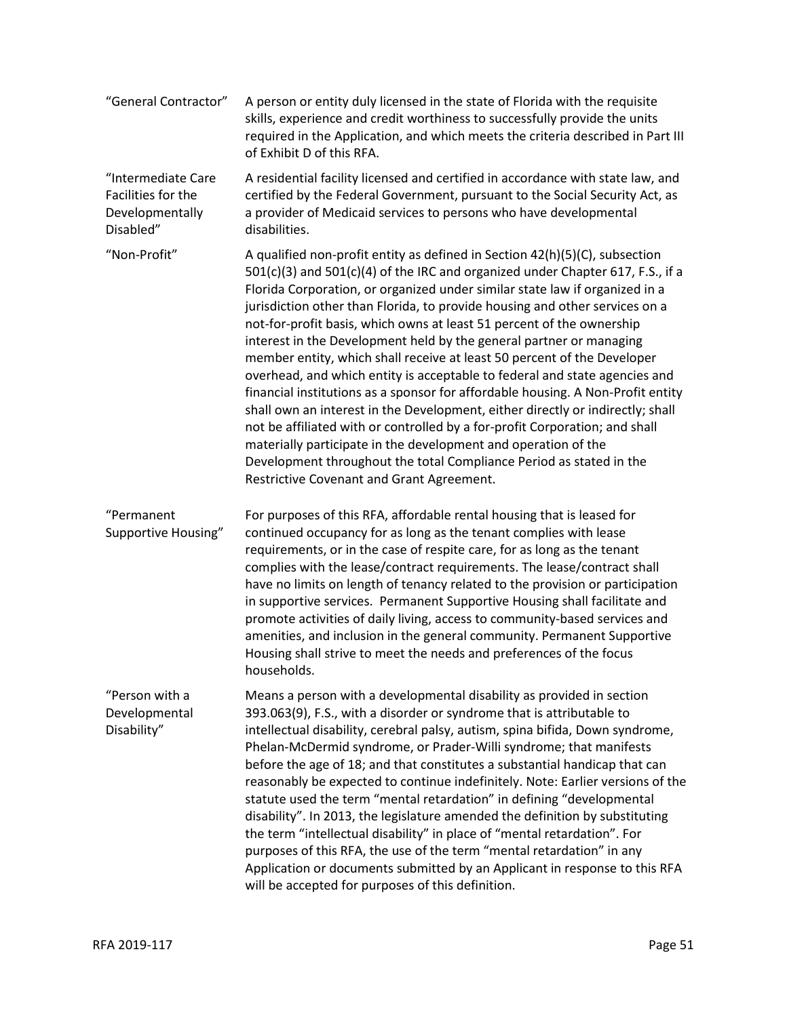| "General Contractor"                                                     | A person or entity duly licensed in the state of Florida with the requisite<br>skills, experience and credit worthiness to successfully provide the units<br>required in the Application, and which meets the criteria described in Part III<br>of Exhibit D of this RFA.                                                                                                                                                                                                                                                                                                                                                                                                                                                                                                                                                                                                                                                                                                                                                                                                      |
|--------------------------------------------------------------------------|--------------------------------------------------------------------------------------------------------------------------------------------------------------------------------------------------------------------------------------------------------------------------------------------------------------------------------------------------------------------------------------------------------------------------------------------------------------------------------------------------------------------------------------------------------------------------------------------------------------------------------------------------------------------------------------------------------------------------------------------------------------------------------------------------------------------------------------------------------------------------------------------------------------------------------------------------------------------------------------------------------------------------------------------------------------------------------|
| "Intermediate Care<br>Facilities for the<br>Developmentally<br>Disabled" | A residential facility licensed and certified in accordance with state law, and<br>certified by the Federal Government, pursuant to the Social Security Act, as<br>a provider of Medicaid services to persons who have developmental<br>disabilities.                                                                                                                                                                                                                                                                                                                                                                                                                                                                                                                                                                                                                                                                                                                                                                                                                          |
| "Non-Profit"                                                             | A qualified non-profit entity as defined in Section 42(h)(5)(C), subsection<br>501(c)(3) and 501(c)(4) of the IRC and organized under Chapter 617, F.S., if a<br>Florida Corporation, or organized under similar state law if organized in a<br>jurisdiction other than Florida, to provide housing and other services on a<br>not-for-profit basis, which owns at least 51 percent of the ownership<br>interest in the Development held by the general partner or managing<br>member entity, which shall receive at least 50 percent of the Developer<br>overhead, and which entity is acceptable to federal and state agencies and<br>financial institutions as a sponsor for affordable housing. A Non-Profit entity<br>shall own an interest in the Development, either directly or indirectly; shall<br>not be affiliated with or controlled by a for-profit Corporation; and shall<br>materially participate in the development and operation of the<br>Development throughout the total Compliance Period as stated in the<br>Restrictive Covenant and Grant Agreement. |
| "Permanent<br>Supportive Housing"                                        | For purposes of this RFA, affordable rental housing that is leased for<br>continued occupancy for as long as the tenant complies with lease<br>requirements, or in the case of respite care, for as long as the tenant<br>complies with the lease/contract requirements. The lease/contract shall<br>have no limits on length of tenancy related to the provision or participation<br>in supportive services. Permanent Supportive Housing shall facilitate and<br>promote activities of daily living, access to community-based services and<br>amenities, and inclusion in the general community. Permanent Supportive<br>Housing shall strive to meet the needs and preferences of the focus<br>households.                                                                                                                                                                                                                                                                                                                                                                 |
| "Person with a<br>Developmental<br>Disability"                           | Means a person with a developmental disability as provided in section<br>393.063(9), F.S., with a disorder or syndrome that is attributable to<br>intellectual disability, cerebral palsy, autism, spina bifida, Down syndrome,<br>Phelan-McDermid syndrome, or Prader-Willi syndrome; that manifests<br>before the age of 18; and that constitutes a substantial handicap that can<br>reasonably be expected to continue indefinitely. Note: Earlier versions of the<br>statute used the term "mental retardation" in defining "developmental<br>disability". In 2013, the legislature amended the definition by substituting<br>the term "intellectual disability" in place of "mental retardation". For<br>purposes of this RFA, the use of the term "mental retardation" in any<br>Application or documents submitted by an Applicant in response to this RFA<br>will be accepted for purposes of this definition.                                                                                                                                                         |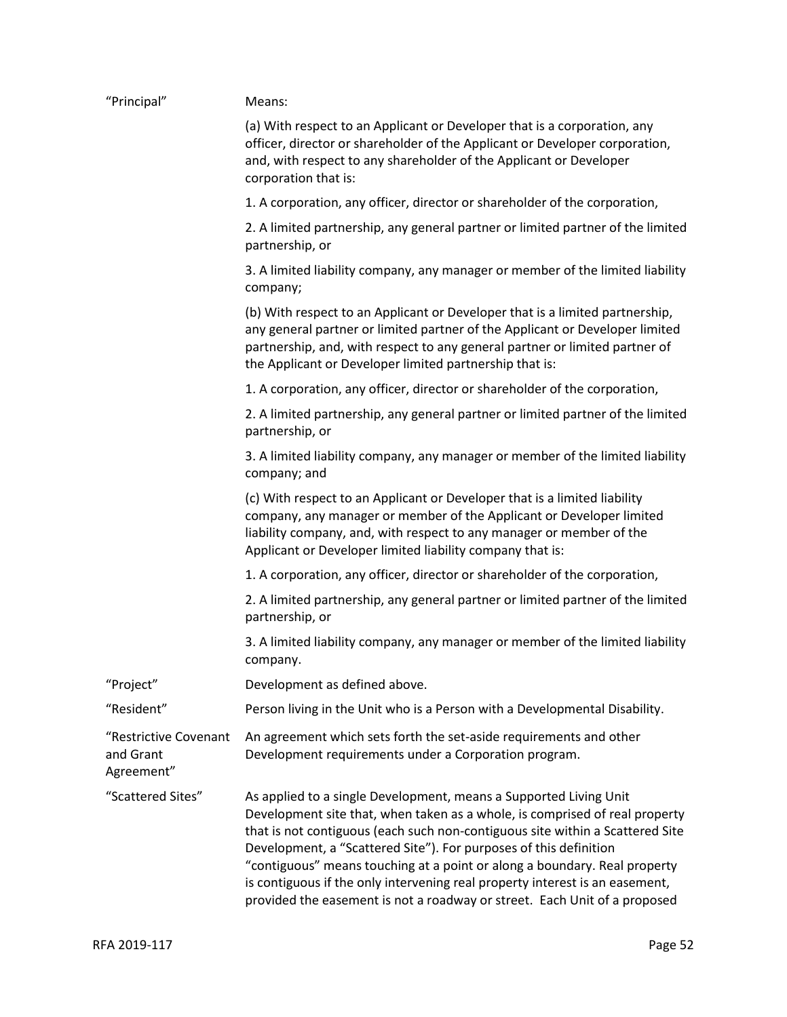| "Principal"                                      | Means:                                                                                                                                                                                                                                                                                                                                                                                                                                                                                                                                           |
|--------------------------------------------------|--------------------------------------------------------------------------------------------------------------------------------------------------------------------------------------------------------------------------------------------------------------------------------------------------------------------------------------------------------------------------------------------------------------------------------------------------------------------------------------------------------------------------------------------------|
|                                                  | (a) With respect to an Applicant or Developer that is a corporation, any<br>officer, director or shareholder of the Applicant or Developer corporation,<br>and, with respect to any shareholder of the Applicant or Developer<br>corporation that is:                                                                                                                                                                                                                                                                                            |
|                                                  | 1. A corporation, any officer, director or shareholder of the corporation,                                                                                                                                                                                                                                                                                                                                                                                                                                                                       |
|                                                  | 2. A limited partnership, any general partner or limited partner of the limited<br>partnership, or                                                                                                                                                                                                                                                                                                                                                                                                                                               |
|                                                  | 3. A limited liability company, any manager or member of the limited liability<br>company;                                                                                                                                                                                                                                                                                                                                                                                                                                                       |
|                                                  | (b) With respect to an Applicant or Developer that is a limited partnership,<br>any general partner or limited partner of the Applicant or Developer limited<br>partnership, and, with respect to any general partner or limited partner of<br>the Applicant or Developer limited partnership that is:                                                                                                                                                                                                                                           |
|                                                  | 1. A corporation, any officer, director or shareholder of the corporation,                                                                                                                                                                                                                                                                                                                                                                                                                                                                       |
|                                                  | 2. A limited partnership, any general partner or limited partner of the limited<br>partnership, or                                                                                                                                                                                                                                                                                                                                                                                                                                               |
|                                                  | 3. A limited liability company, any manager or member of the limited liability<br>company; and                                                                                                                                                                                                                                                                                                                                                                                                                                                   |
|                                                  | (c) With respect to an Applicant or Developer that is a limited liability<br>company, any manager or member of the Applicant or Developer limited<br>liability company, and, with respect to any manager or member of the<br>Applicant or Developer limited liability company that is:                                                                                                                                                                                                                                                           |
|                                                  | 1. A corporation, any officer, director or shareholder of the corporation,                                                                                                                                                                                                                                                                                                                                                                                                                                                                       |
|                                                  | 2. A limited partnership, any general partner or limited partner of the limited<br>partnership, or                                                                                                                                                                                                                                                                                                                                                                                                                                               |
|                                                  | 3. A limited liability company, any manager or member of the limited liability<br>company.                                                                                                                                                                                                                                                                                                                                                                                                                                                       |
| "Project"                                        | Development as defined above.                                                                                                                                                                                                                                                                                                                                                                                                                                                                                                                    |
| "Resident"                                       | Person living in the Unit who is a Person with a Developmental Disability.                                                                                                                                                                                                                                                                                                                                                                                                                                                                       |
| "Restrictive Covenant<br>and Grant<br>Agreement" | An agreement which sets forth the set-aside requirements and other<br>Development requirements under a Corporation program.                                                                                                                                                                                                                                                                                                                                                                                                                      |
| "Scattered Sites"                                | As applied to a single Development, means a Supported Living Unit<br>Development site that, when taken as a whole, is comprised of real property<br>that is not contiguous (each such non-contiguous site within a Scattered Site<br>Development, a "Scattered Site"). For purposes of this definition<br>"contiguous" means touching at a point or along a boundary. Real property<br>is contiguous if the only intervening real property interest is an easement,<br>provided the easement is not a roadway or street. Each Unit of a proposed |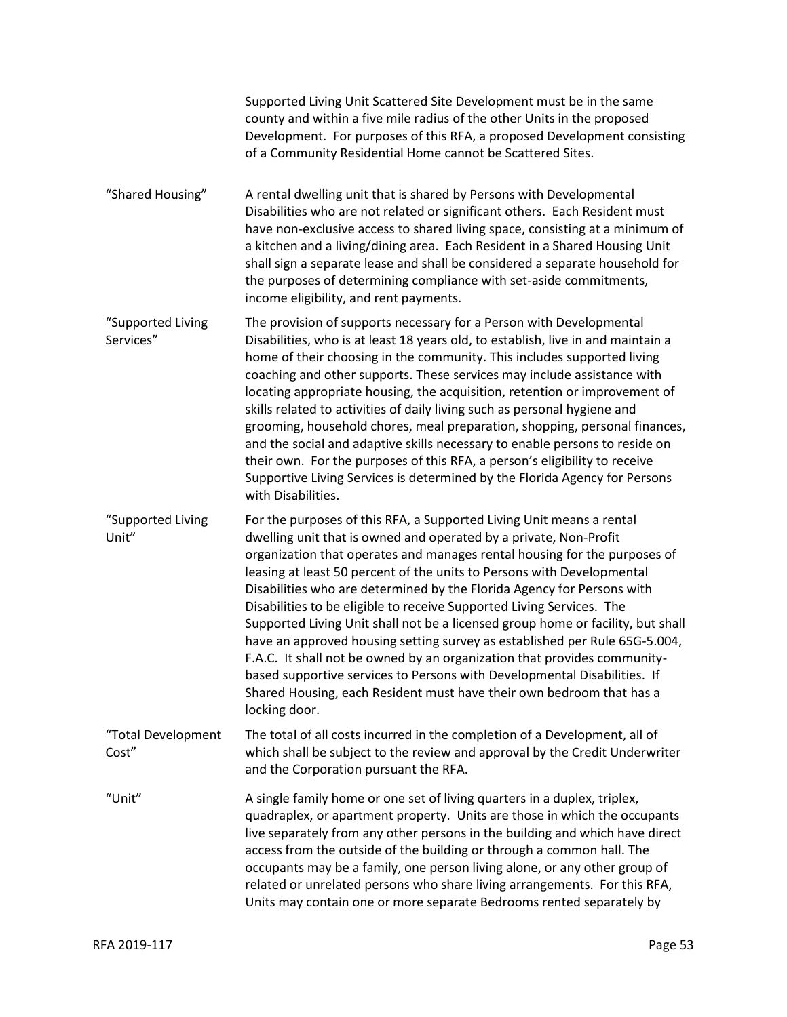|                                | Supported Living Unit Scattered Site Development must be in the same<br>county and within a five mile radius of the other Units in the proposed<br>Development. For purposes of this RFA, a proposed Development consisting<br>of a Community Residential Home cannot be Scattered Sites.                                                                                                                                                                                                                                                                                                                                                                                                                                                                                                                                                                             |
|--------------------------------|-----------------------------------------------------------------------------------------------------------------------------------------------------------------------------------------------------------------------------------------------------------------------------------------------------------------------------------------------------------------------------------------------------------------------------------------------------------------------------------------------------------------------------------------------------------------------------------------------------------------------------------------------------------------------------------------------------------------------------------------------------------------------------------------------------------------------------------------------------------------------|
| "Shared Housing"               | A rental dwelling unit that is shared by Persons with Developmental<br>Disabilities who are not related or significant others. Each Resident must<br>have non-exclusive access to shared living space, consisting at a minimum of<br>a kitchen and a living/dining area. Each Resident in a Shared Housing Unit<br>shall sign a separate lease and shall be considered a separate household for<br>the purposes of determining compliance with set-aside commitments,<br>income eligibility, and rent payments.                                                                                                                                                                                                                                                                                                                                                       |
| "Supported Living<br>Services" | The provision of supports necessary for a Person with Developmental<br>Disabilities, who is at least 18 years old, to establish, live in and maintain a<br>home of their choosing in the community. This includes supported living<br>coaching and other supports. These services may include assistance with<br>locating appropriate housing, the acquisition, retention or improvement of<br>skills related to activities of daily living such as personal hygiene and<br>grooming, household chores, meal preparation, shopping, personal finances,<br>and the social and adaptive skills necessary to enable persons to reside on<br>their own. For the purposes of this RFA, a person's eligibility to receive<br>Supportive Living Services is determined by the Florida Agency for Persons<br>with Disabilities.                                               |
| "Supported Living<br>Unit"     | For the purposes of this RFA, a Supported Living Unit means a rental<br>dwelling unit that is owned and operated by a private, Non-Profit<br>organization that operates and manages rental housing for the purposes of<br>leasing at least 50 percent of the units to Persons with Developmental<br>Disabilities who are determined by the Florida Agency for Persons with<br>Disabilities to be eligible to receive Supported Living Services. The<br>Supported Living Unit shall not be a licensed group home or facility, but shall<br>have an approved housing setting survey as established per Rule 65G-5.004,<br>F.A.C. It shall not be owned by an organization that provides community-<br>based supportive services to Persons with Developmental Disabilities. If<br>Shared Housing, each Resident must have their own bedroom that has a<br>locking door. |
| "Total Development<br>Cost"    | The total of all costs incurred in the completion of a Development, all of<br>which shall be subject to the review and approval by the Credit Underwriter<br>and the Corporation pursuant the RFA.                                                                                                                                                                                                                                                                                                                                                                                                                                                                                                                                                                                                                                                                    |
| "Unit"                         | A single family home or one set of living quarters in a duplex, triplex,<br>quadraplex, or apartment property. Units are those in which the occupants<br>live separately from any other persons in the building and which have direct<br>access from the outside of the building or through a common hall. The<br>occupants may be a family, one person living alone, or any other group of<br>related or unrelated persons who share living arrangements. For this RFA,<br>Units may contain one or more separate Bedrooms rented separately by                                                                                                                                                                                                                                                                                                                      |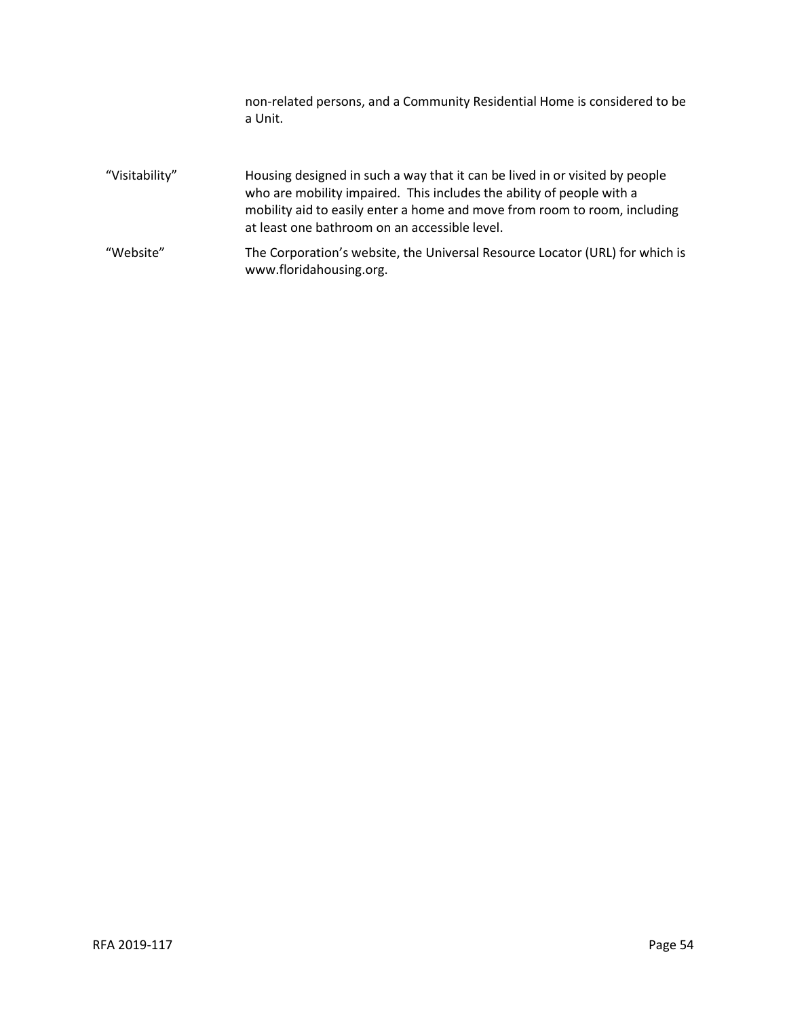non-related persons, and a Community Residential Home is considered to be a Unit.

- "Visitability" Housing designed in such a way that it can be lived in or visited by people who are mobility impaired. This includes the ability of people with a mobility aid to easily enter a home and move from room to room, including at least one bathroom on an accessible level. "Website" The Corporation's website, the Universal Resource Locator (URL) for which is
	- www.floridahousing.org.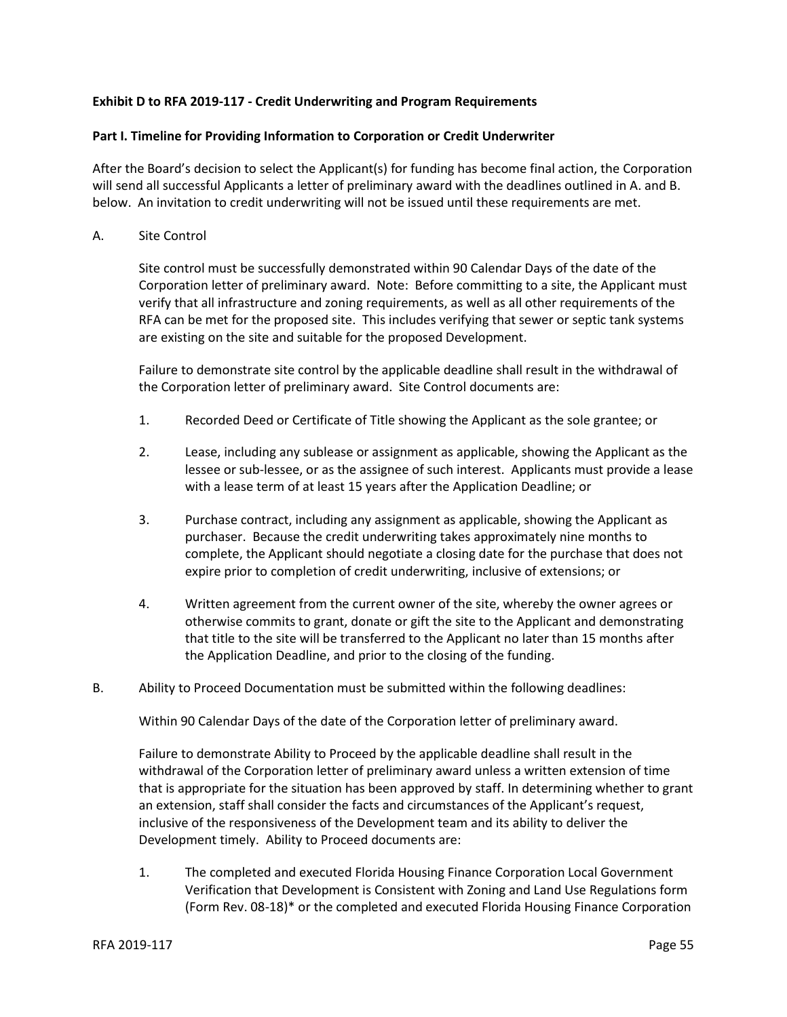## **Exhibit D to RFA 2019-117 - Credit Underwriting and Program Requirements**

## **Part I. Timeline for Providing Information to Corporation or Credit Underwriter**

After the Board's decision to select the Applicant(s) for funding has become final action, the Corporation will send all successful Applicants a letter of preliminary award with the deadlines outlined in A. and B. below. An invitation to credit underwriting will not be issued until these requirements are met.

A. Site Control

Site control must be successfully demonstrated within 90 Calendar Days of the date of the Corporation letter of preliminary award. Note: Before committing to a site, the Applicant must verify that all infrastructure and zoning requirements, as well as all other requirements of the RFA can be met for the proposed site. This includes verifying that sewer or septic tank systems are existing on the site and suitable for the proposed Development.

Failure to demonstrate site control by the applicable deadline shall result in the withdrawal of the Corporation letter of preliminary award. Site Control documents are:

- 1. Recorded Deed or Certificate of Title showing the Applicant as the sole grantee; or
- 2. Lease, including any sublease or assignment as applicable, showing the Applicant as the lessee or sub-lessee, or as the assignee of such interest. Applicants must provide a lease with a lease term of at least 15 years after the Application Deadline; or
- 3. Purchase contract, including any assignment as applicable, showing the Applicant as purchaser. Because the credit underwriting takes approximately nine months to complete, the Applicant should negotiate a closing date for the purchase that does not expire prior to completion of credit underwriting, inclusive of extensions; or
- 4. Written agreement from the current owner of the site, whereby the owner agrees or otherwise commits to grant, donate or gift the site to the Applicant and demonstrating that title to the site will be transferred to the Applicant no later than 15 months after the Application Deadline, and prior to the closing of the funding.
- B. Ability to Proceed Documentation must be submitted within the following deadlines:

Within 90 Calendar Days of the date of the Corporation letter of preliminary award.

Failure to demonstrate Ability to Proceed by the applicable deadline shall result in the withdrawal of the Corporation letter of preliminary award unless a written extension of time that is appropriate for the situation has been approved by staff. In determining whether to grant an extension, staff shall consider the facts and circumstances of the Applicant's request, inclusive of the responsiveness of the Development team and its ability to deliver the Development timely. Ability to Proceed documents are:

1. The completed and executed Florida Housing Finance Corporation Local Government Verification that Development is Consistent with Zoning and Land Use Regulations form (Form Rev. 08-18)\* or the completed and executed Florida Housing Finance Corporation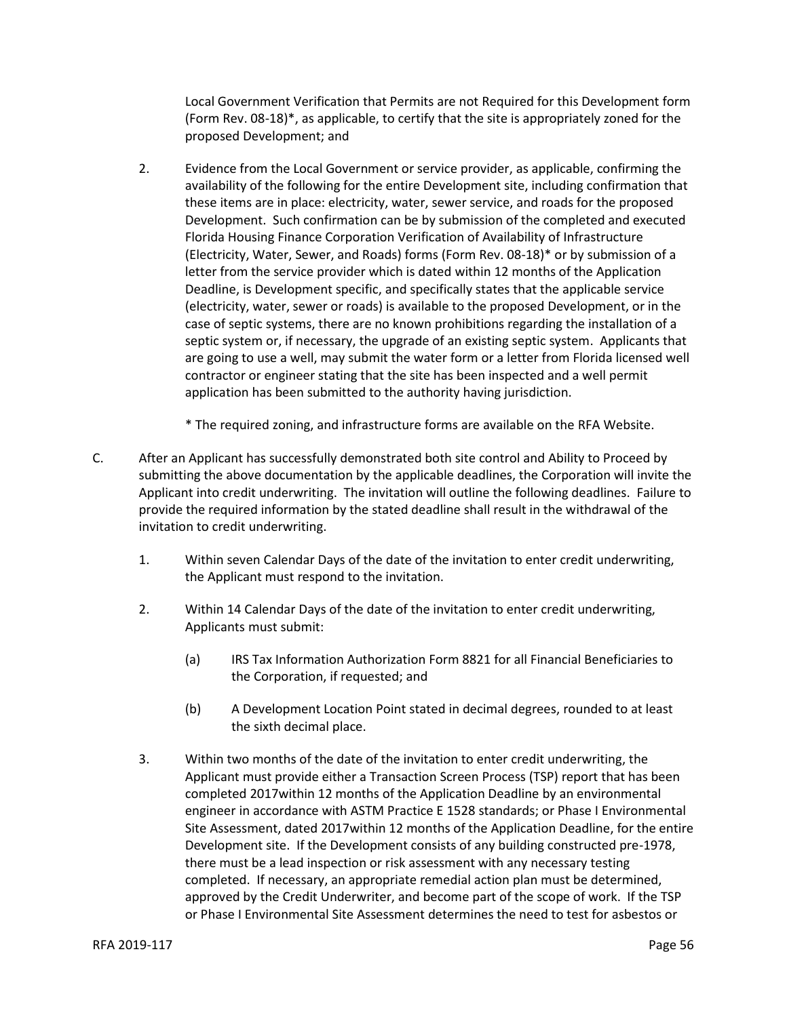Local Government Verification that Permits are not Required for this Development form (Form Rev. 08-18)\*, as applicable, to certify that the site is appropriately zoned for the proposed Development; and

- 2. Evidence from the Local Government or service provider, as applicable, confirming the availability of the following for the entire Development site, including confirmation that these items are in place: electricity, water, sewer service, and roads for the proposed Development. Such confirmation can be by submission of the completed and executed Florida Housing Finance Corporation Verification of Availability of Infrastructure (Electricity, Water, Sewer, and Roads) forms (Form Rev. 08-18)\* or by submission of a letter from the service provider which is dated within 12 months of the Application Deadline, is Development specific, and specifically states that the applicable service (electricity, water, sewer or roads) is available to the proposed Development, or in the case of septic systems, there are no known prohibitions regarding the installation of a septic system or, if necessary, the upgrade of an existing septic system. Applicants that are going to use a well, may submit the water form or a letter from Florida licensed well contractor or engineer stating that the site has been inspected and a well permit application has been submitted to the authority having jurisdiction.
	- \* The required zoning, and infrastructure forms are available on the RFA Website.
- C. After an Applicant has successfully demonstrated both site control and Ability to Proceed by submitting the above documentation by the applicable deadlines, the Corporation will invite the Applicant into credit underwriting. The invitation will outline the following deadlines. Failure to provide the required information by the stated deadline shall result in the withdrawal of the invitation to credit underwriting.
	- 1. Within seven Calendar Days of the date of the invitation to enter credit underwriting, the Applicant must respond to the invitation.
	- 2. Within 14 Calendar Days of the date of the invitation to enter credit underwriting, Applicants must submit:
		- (a) IRS Tax Information Authorization Form 8821 for all Financial Beneficiaries to the Corporation, if requested; and
		- (b) A Development Location Point stated in decimal degrees, rounded to at least the sixth decimal place.
	- 3. Within two months of the date of the invitation to enter credit underwriting, the Applicant must provide either a Transaction Screen Process (TSP) report that has been completed 2017within 12 months of the Application Deadline by an environmental engineer in accordance with ASTM Practice E 1528 standards; or Phase I Environmental Site Assessment, dated 2017within 12 months of the Application Deadline, for the entire Development site. If the Development consists of any building constructed pre-1978, there must be a lead inspection or risk assessment with any necessary testing completed. If necessary, an appropriate remedial action plan must be determined, approved by the Credit Underwriter, and become part of the scope of work. If the TSP or Phase I Environmental Site Assessment determines the need to test for asbestos or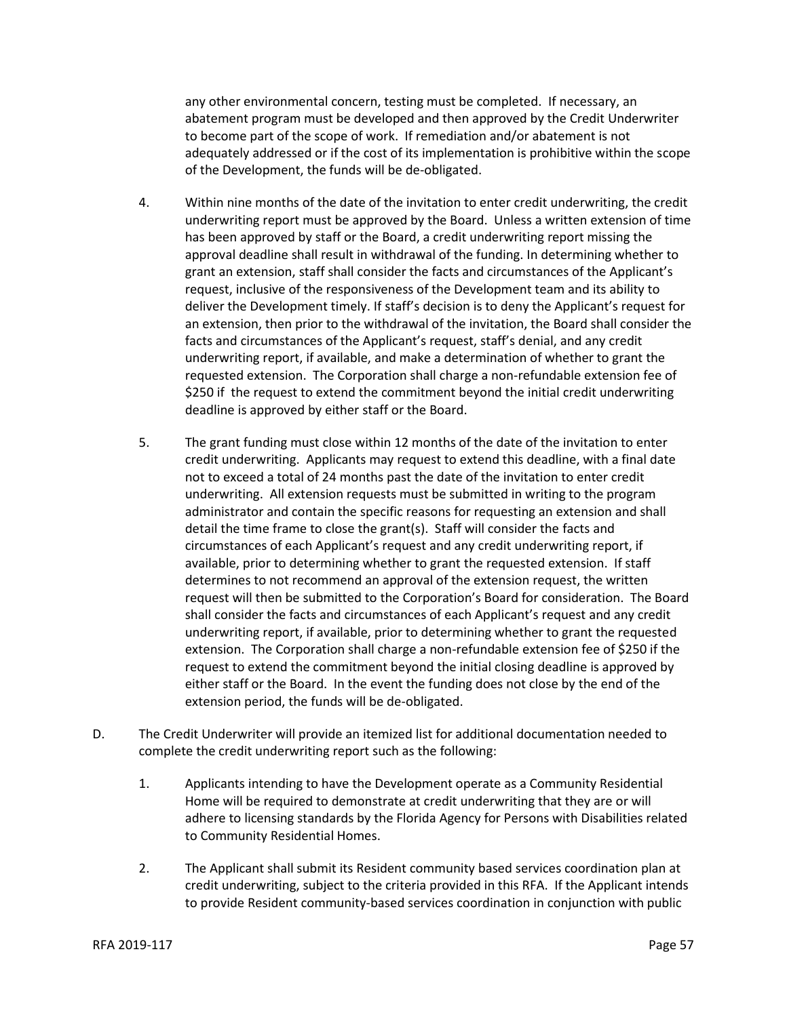any other environmental concern, testing must be completed. If necessary, an abatement program must be developed and then approved by the Credit Underwriter to become part of the scope of work. If remediation and/or abatement is not adequately addressed or if the cost of its implementation is prohibitive within the scope of the Development, the funds will be de-obligated.

- 4. Within nine months of the date of the invitation to enter credit underwriting, the credit underwriting report must be approved by the Board. Unless a written extension of time has been approved by staff or the Board, a credit underwriting report missing the approval deadline shall result in withdrawal of the funding. In determining whether to grant an extension, staff shall consider the facts and circumstances of the Applicant's request, inclusive of the responsiveness of the Development team and its ability to deliver the Development timely. If staff's decision is to deny the Applicant's request for an extension, then prior to the withdrawal of the invitation, the Board shall consider the facts and circumstances of the Applicant's request, staff's denial, and any credit underwriting report, if available, and make a determination of whether to grant the requested extension. The Corporation shall charge a non-refundable extension fee of \$250 if the request to extend the commitment beyond the initial credit underwriting deadline is approved by either staff or the Board.
- 5. The grant funding must close within 12 months of the date of the invitation to enter credit underwriting. Applicants may request to extend this deadline, with a final date not to exceed a total of 24 months past the date of the invitation to enter credit underwriting. All extension requests must be submitted in writing to the program administrator and contain the specific reasons for requesting an extension and shall detail the time frame to close the grant(s). Staff will consider the facts and circumstances of each Applicant's request and any credit underwriting report, if available, prior to determining whether to grant the requested extension. If staff determines to not recommend an approval of the extension request, the written request will then be submitted to the Corporation's Board for consideration. The Board shall consider the facts and circumstances of each Applicant's request and any credit underwriting report, if available, prior to determining whether to grant the requested extension. The Corporation shall charge a non-refundable extension fee of \$250 if the request to extend the commitment beyond the initial closing deadline is approved by either staff or the Board. In the event the funding does not close by the end of the extension period, the funds will be de-obligated.
- D. The Credit Underwriter will provide an itemized list for additional documentation needed to complete the credit underwriting report such as the following:
	- 1. Applicants intending to have the Development operate as a Community Residential Home will be required to demonstrate at credit underwriting that they are or will adhere to licensing standards by the Florida Agency for Persons with Disabilities related to Community Residential Homes.
	- 2. The Applicant shall submit its Resident community based services coordination plan at credit underwriting, subject to the criteria provided in this RFA. If the Applicant intends to provide Resident community-based services coordination in conjunction with public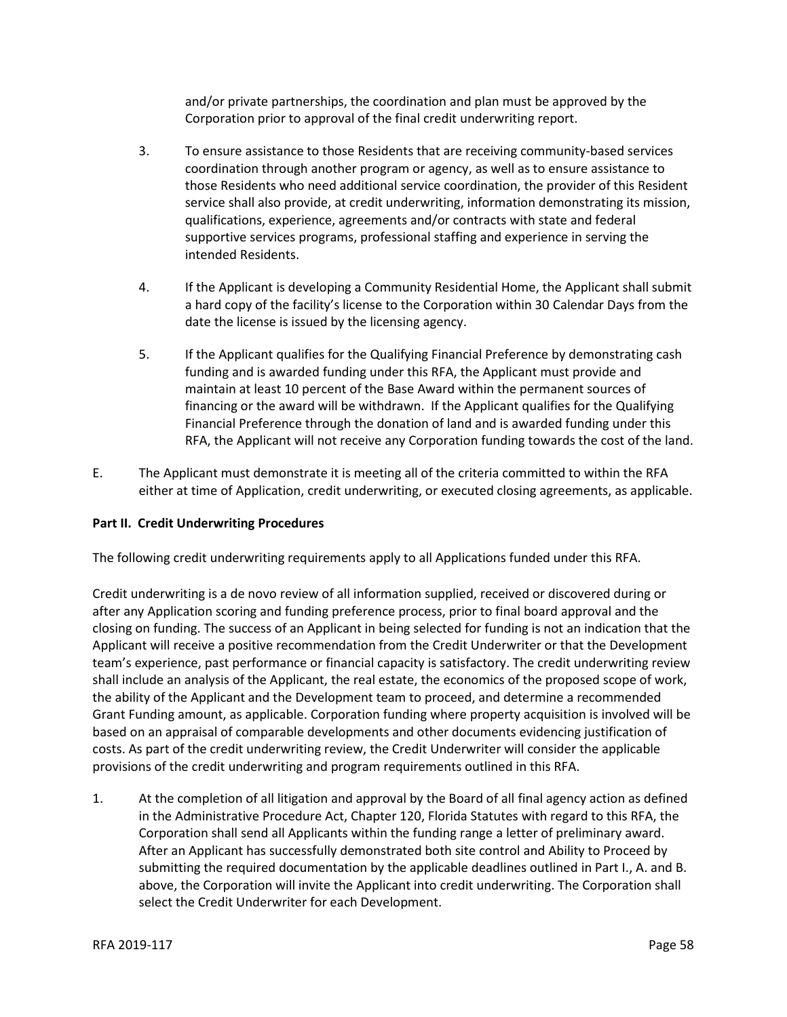and/or private partnerships, the coordination and plan must be approved by the Corporation prior to approval of the final credit underwriting report.

- 3. To ensure assistance to those Residents that are receiving community-based services coordination through another program or agency, as well as to ensure assistance to those Residents who need additional service coordination, the provider of this Resident service shall also provide, at credit underwriting, information demonstrating its mission, qualifications, experience, agreements and/or contracts with state and federal supportive services programs, professional staffing and experience in serving the intended Residents.
- 4. If the Applicant is developing a Community Residential Home, the Applicant shall submit a hard copy of the facility's license to the Corporation within 30 Calendar Days from the date the license is issued by the licensing agency.
- 5. If the Applicant qualifies for the Qualifying Financial Preference by demonstrating cash funding and is awarded funding under this RFA, the Applicant must provide and maintain at least 10 percent of the Base Award within the permanent sources of financing or the award will be withdrawn. If the Applicant qualifies for the Qualifying Financial Preference through the donation of land and is awarded funding under this RFA, the Applicant will not receive any Corporation funding towards the cost of the land.
- E. The Applicant must demonstrate it is meeting all of the criteria committed to within the RFA either at time of Application, credit underwriting, or executed closing agreements, as applicable.

## **Part II. Credit Underwriting Procedures**

The following credit underwriting requirements apply to all Applications funded under this RFA.

Credit underwriting is a de novo review of all information supplied, received or discovered during or after any Application scoring and funding preference process, prior to final board approval and the closing on funding. The success of an Applicant in being selected for funding is not an indication that the Applicant will receive a positive recommendation from the Credit Underwriter or that the Development team's experience, past performance or financial capacity is satisfactory. The credit underwriting review shall include an analysis of the Applicant, the real estate, the economics of the proposed scope of work, the ability of the Applicant and the Development team to proceed, and determine a recommended Grant Funding amount, as applicable. Corporation funding where property acquisition is involved will be based on an appraisal of comparable developments and other documents evidencing justification of costs. As part of the credit underwriting review, the Credit Underwriter will consider the applicable provisions of the credit underwriting and program requirements outlined in this RFA.

1. At the completion of all litigation and approval by the Board of all final agency action as defined in the Administrative Procedure Act, Chapter 120, Florida Statutes with regard to this RFA, the Corporation shall send all Applicants within the funding range a letter of preliminary award. After an Applicant has successfully demonstrated both site control and Ability to Proceed by submitting the required documentation by the applicable deadlines outlined in Part I., A. and B. above, the Corporation will invite the Applicant into credit underwriting. The Corporation shall select the Credit Underwriter for each Development.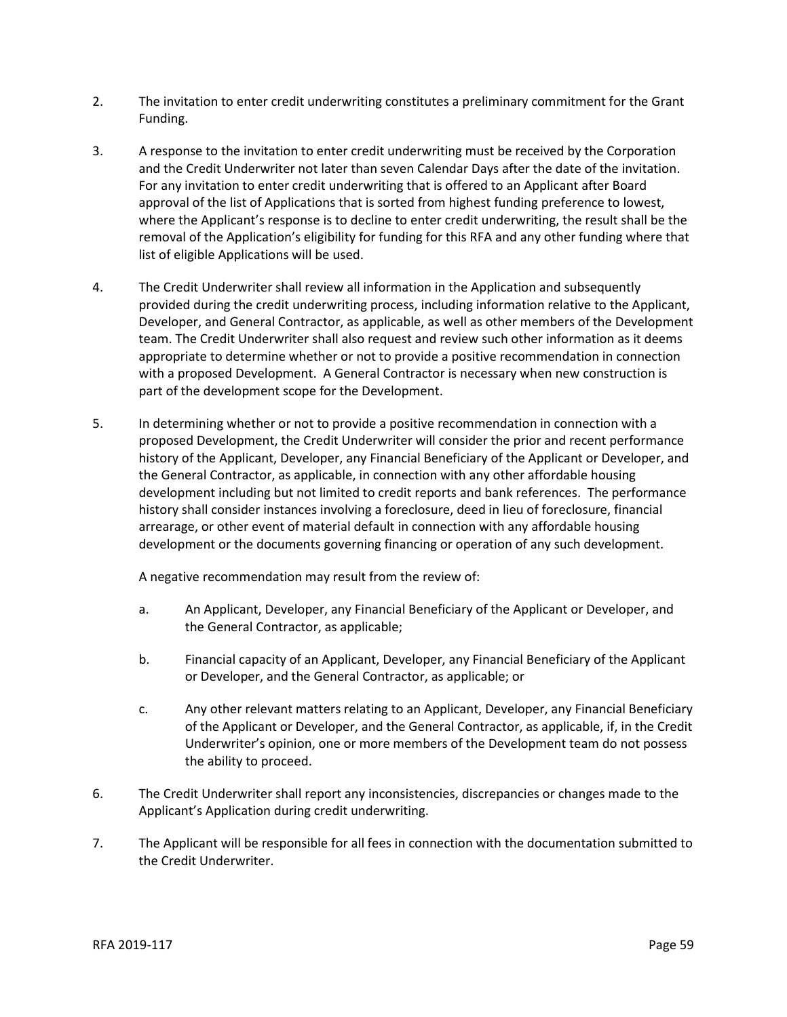- 2. The invitation to enter credit underwriting constitutes a preliminary commitment for the Grant Funding.
- 3. A response to the invitation to enter credit underwriting must be received by the Corporation and the Credit Underwriter not later than seven Calendar Days after the date of the invitation. For any invitation to enter credit underwriting that is offered to an Applicant after Board approval of the list of Applications that is sorted from highest funding preference to lowest, where the Applicant's response is to decline to enter credit underwriting, the result shall be the removal of the Application's eligibility for funding for this RFA and any other funding where that list of eligible Applications will be used.
- 4. The Credit Underwriter shall review all information in the Application and subsequently provided during the credit underwriting process, including information relative to the Applicant, Developer, and General Contractor, as applicable, as well as other members of the Development team. The Credit Underwriter shall also request and review such other information as it deems appropriate to determine whether or not to provide a positive recommendation in connection with a proposed Development. A General Contractor is necessary when new construction is part of the development scope for the Development.
- 5. In determining whether or not to provide a positive recommendation in connection with a proposed Development, the Credit Underwriter will consider the prior and recent performance history of the Applicant, Developer, any Financial Beneficiary of the Applicant or Developer, and the General Contractor, as applicable, in connection with any other affordable housing development including but not limited to credit reports and bank references. The performance history shall consider instances involving a foreclosure, deed in lieu of foreclosure, financial arrearage, or other event of material default in connection with any affordable housing development or the documents governing financing or operation of any such development.

A negative recommendation may result from the review of:

- a. An Applicant, Developer, any Financial Beneficiary of the Applicant or Developer, and the General Contractor, as applicable;
- b. Financial capacity of an Applicant, Developer, any Financial Beneficiary of the Applicant or Developer, and the General Contractor, as applicable; or
- c. Any other relevant matters relating to an Applicant, Developer, any Financial Beneficiary of the Applicant or Developer, and the General Contractor, as applicable, if, in the Credit Underwriter's opinion, one or more members of the Development team do not possess the ability to proceed.
- 6. The Credit Underwriter shall report any inconsistencies, discrepancies or changes made to the Applicant's Application during credit underwriting.
- 7. The Applicant will be responsible for all fees in connection with the documentation submitted to the Credit Underwriter.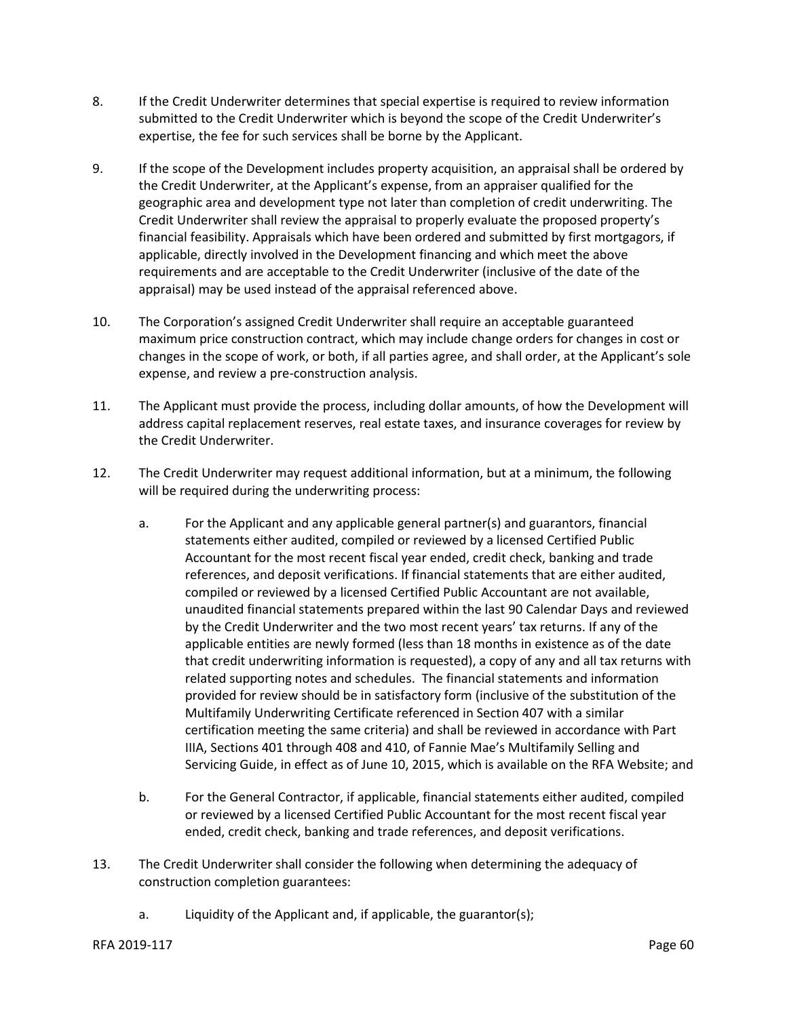- 8. If the Credit Underwriter determines that special expertise is required to review information submitted to the Credit Underwriter which is beyond the scope of the Credit Underwriter's expertise, the fee for such services shall be borne by the Applicant.
- 9. If the scope of the Development includes property acquisition, an appraisal shall be ordered by the Credit Underwriter, at the Applicant's expense, from an appraiser qualified for the geographic area and development type not later than completion of credit underwriting. The Credit Underwriter shall review the appraisal to properly evaluate the proposed property's financial feasibility. Appraisals which have been ordered and submitted by first mortgagors, if applicable, directly involved in the Development financing and which meet the above requirements and are acceptable to the Credit Underwriter (inclusive of the date of the appraisal) may be used instead of the appraisal referenced above.
- 10. The Corporation's assigned Credit Underwriter shall require an acceptable guaranteed maximum price construction contract, which may include change orders for changes in cost or changes in the scope of work, or both, if all parties agree, and shall order, at the Applicant's sole expense, and review a pre-construction analysis.
- 11. The Applicant must provide the process, including dollar amounts, of how the Development will address capital replacement reserves, real estate taxes, and insurance coverages for review by the Credit Underwriter.
- 12. The Credit Underwriter may request additional information, but at a minimum, the following will be required during the underwriting process:
	- a. For the Applicant and any applicable general partner(s) and guarantors, financial statements either audited, compiled or reviewed by a licensed Certified Public Accountant for the most recent fiscal year ended, credit check, banking and trade references, and deposit verifications. If financial statements that are either audited, compiled or reviewed by a licensed Certified Public Accountant are not available, unaudited financial statements prepared within the last 90 Calendar Days and reviewed by the Credit Underwriter and the two most recent years' tax returns. If any of the applicable entities are newly formed (less than 18 months in existence as of the date that credit underwriting information is requested), a copy of any and all tax returns with related supporting notes and schedules. The financial statements and information provided for review should be in satisfactory form (inclusive of the substitution of the Multifamily Underwriting Certificate referenced in Section 407 with a similar certification meeting the same criteria) and shall be reviewed in accordance with Part IIIA, Sections 401 through 408 and 410, of Fannie Mae's Multifamily Selling and Servicing Guide, in effect as of June 10, 2015, which is available on the RFA Website; and
	- b. For the General Contractor, if applicable, financial statements either audited, compiled or reviewed by a licensed Certified Public Accountant for the most recent fiscal year ended, credit check, banking and trade references, and deposit verifications.
- 13. The Credit Underwriter shall consider the following when determining the adequacy of construction completion guarantees:
	- a. Liquidity of the Applicant and, if applicable, the guarantor(s);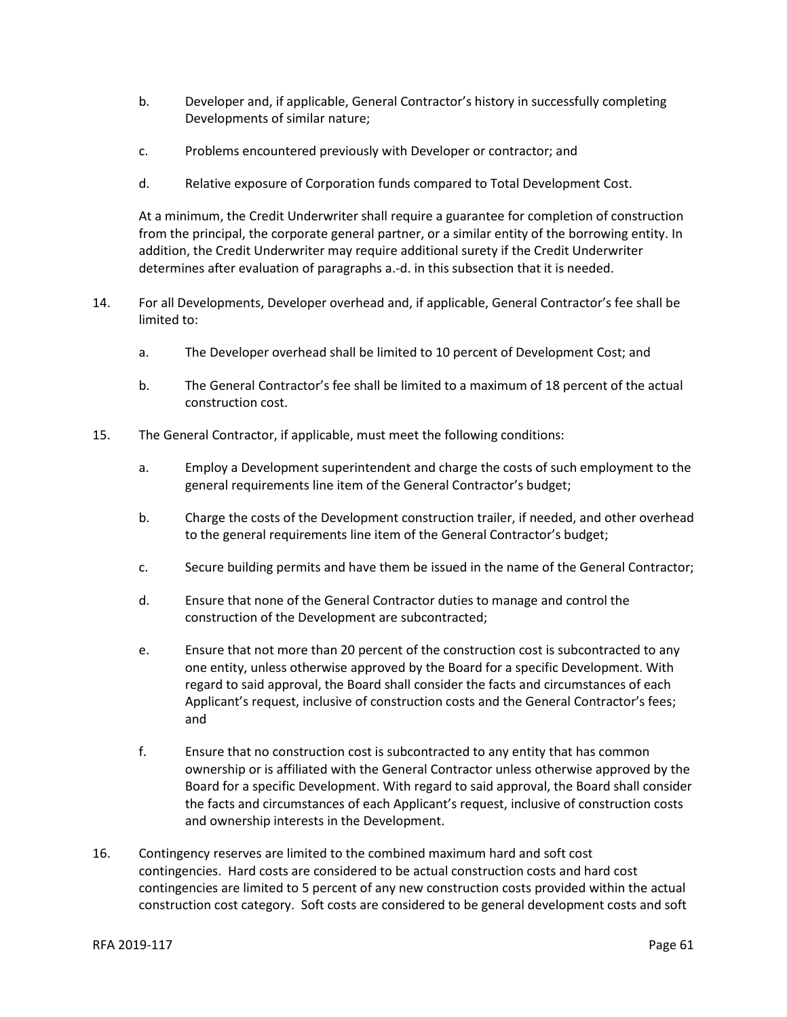- b. Developer and, if applicable, General Contractor's history in successfully completing Developments of similar nature;
- c. Problems encountered previously with Developer or contractor; and
- d. Relative exposure of Corporation funds compared to Total Development Cost.

At a minimum, the Credit Underwriter shall require a guarantee for completion of construction from the principal, the corporate general partner, or a similar entity of the borrowing entity. In addition, the Credit Underwriter may require additional surety if the Credit Underwriter determines after evaluation of paragraphs a.-d. in this subsection that it is needed.

- 14. For all Developments, Developer overhead and, if applicable, General Contractor's fee shall be limited to:
	- a. The Developer overhead shall be limited to 10 percent of Development Cost; and
	- b. The General Contractor's fee shall be limited to a maximum of 18 percent of the actual construction cost.
- 15. The General Contractor, if applicable, must meet the following conditions:
	- a. Employ a Development superintendent and charge the costs of such employment to the general requirements line item of the General Contractor's budget;
	- b. Charge the costs of the Development construction trailer, if needed, and other overhead to the general requirements line item of the General Contractor's budget;
	- c. Secure building permits and have them be issued in the name of the General Contractor;
	- d. Ensure that none of the General Contractor duties to manage and control the construction of the Development are subcontracted;
	- e. Ensure that not more than 20 percent of the construction cost is subcontracted to any one entity, unless otherwise approved by the Board for a specific Development. With regard to said approval, the Board shall consider the facts and circumstances of each Applicant's request, inclusive of construction costs and the General Contractor's fees; and
	- f. Ensure that no construction cost is subcontracted to any entity that has common ownership or is affiliated with the General Contractor unless otherwise approved by the Board for a specific Development. With regard to said approval, the Board shall consider the facts and circumstances of each Applicant's request, inclusive of construction costs and ownership interests in the Development.
- 16. Contingency reserves are limited to the combined maximum hard and soft cost contingencies. Hard costs are considered to be actual construction costs and hard cost contingencies are limited to 5 percent of any new construction costs provided within the actual construction cost category. Soft costs are considered to be general development costs and soft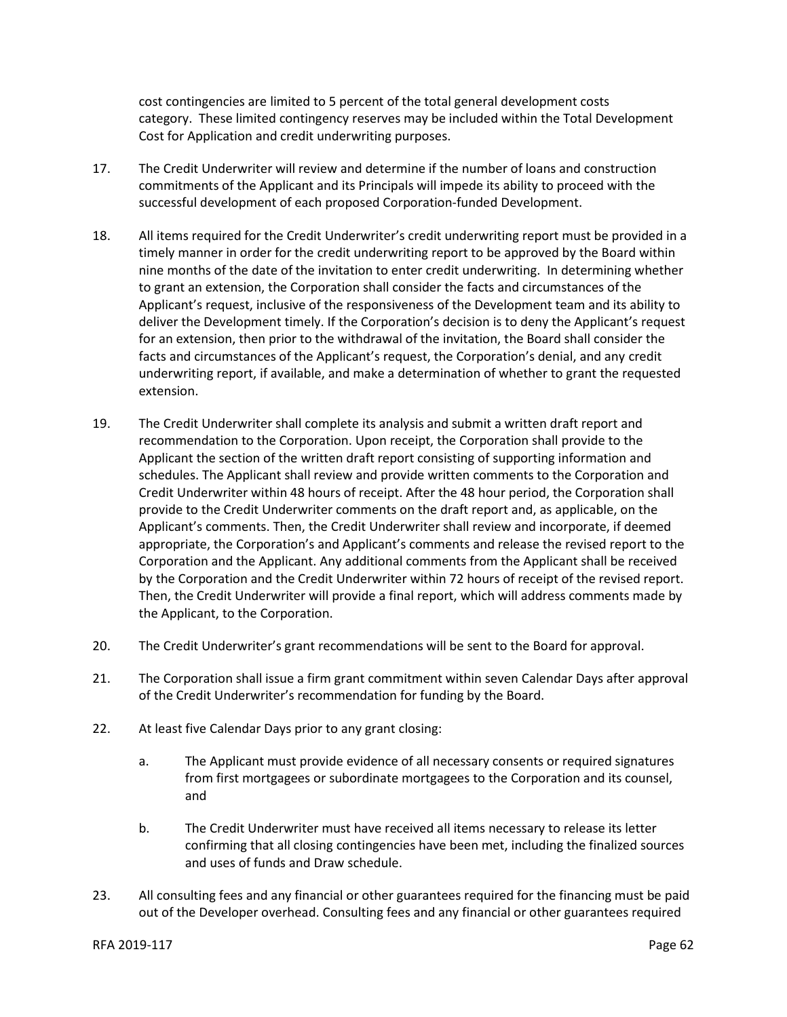cost contingencies are limited to 5 percent of the total general development costs category. These limited contingency reserves may be included within the Total Development Cost for Application and credit underwriting purposes.

- 17. The Credit Underwriter will review and determine if the number of loans and construction commitments of the Applicant and its Principals will impede its ability to proceed with the successful development of each proposed Corporation-funded Development.
- 18. All items required for the Credit Underwriter's credit underwriting report must be provided in a timely manner in order for the credit underwriting report to be approved by the Board within nine months of the date of the invitation to enter credit underwriting. In determining whether to grant an extension, the Corporation shall consider the facts and circumstances of the Applicant's request, inclusive of the responsiveness of the Development team and its ability to deliver the Development timely. If the Corporation's decision is to deny the Applicant's request for an extension, then prior to the withdrawal of the invitation, the Board shall consider the facts and circumstances of the Applicant's request, the Corporation's denial, and any credit underwriting report, if available, and make a determination of whether to grant the requested extension.
- 19. The Credit Underwriter shall complete its analysis and submit a written draft report and recommendation to the Corporation. Upon receipt, the Corporation shall provide to the Applicant the section of the written draft report consisting of supporting information and schedules. The Applicant shall review and provide written comments to the Corporation and Credit Underwriter within 48 hours of receipt. After the 48 hour period, the Corporation shall provide to the Credit Underwriter comments on the draft report and, as applicable, on the Applicant's comments. Then, the Credit Underwriter shall review and incorporate, if deemed appropriate, the Corporation's and Applicant's comments and release the revised report to the Corporation and the Applicant. Any additional comments from the Applicant shall be received by the Corporation and the Credit Underwriter within 72 hours of receipt of the revised report. Then, the Credit Underwriter will provide a final report, which will address comments made by the Applicant, to the Corporation.
- 20. The Credit Underwriter's grant recommendations will be sent to the Board for approval.
- 21. The Corporation shall issue a firm grant commitment within seven Calendar Days after approval of the Credit Underwriter's recommendation for funding by the Board.
- 22. At least five Calendar Days prior to any grant closing:
	- a. The Applicant must provide evidence of all necessary consents or required signatures from first mortgagees or subordinate mortgagees to the Corporation and its counsel, and
	- b. The Credit Underwriter must have received all items necessary to release its letter confirming that all closing contingencies have been met, including the finalized sources and uses of funds and Draw schedule.
- 23. All consulting fees and any financial or other guarantees required for the financing must be paid out of the Developer overhead. Consulting fees and any financial or other guarantees required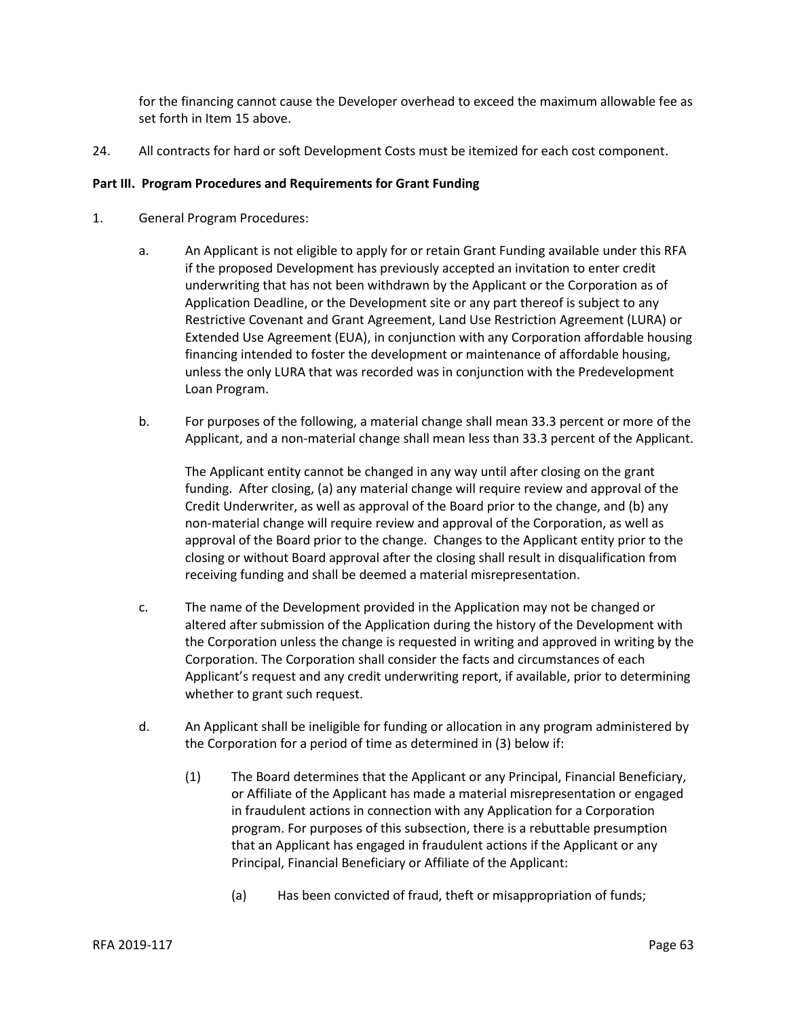for the financing cannot cause the Developer overhead to exceed the maximum allowable fee as set forth in Item 15 above.

24. All contracts for hard or soft Development Costs must be itemized for each cost component.

#### **Part III. Program Procedures and Requirements for Grant Funding**

- 1. General Program Procedures:
	- a. An Applicant is not eligible to apply for or retain Grant Funding available under this RFA if the proposed Development has previously accepted an invitation to enter credit underwriting that has not been withdrawn by the Applicant or the Corporation as of Application Deadline, or the Development site or any part thereof is subject to any Restrictive Covenant and Grant Agreement, Land Use Restriction Agreement (LURA) or Extended Use Agreement (EUA), in conjunction with any Corporation affordable housing financing intended to foster the development or maintenance of affordable housing, unless the only LURA that was recorded was in conjunction with the Predevelopment Loan Program.
	- b. For purposes of the following, a material change shall mean 33.3 percent or more of the Applicant, and a non-material change shall mean less than 33.3 percent of the Applicant.

The Applicant entity cannot be changed in any way until after closing on the grant funding. After closing, (a) any material change will require review and approval of the Credit Underwriter, as well as approval of the Board prior to the change, and (b) any non-material change will require review and approval of the Corporation, as well as approval of the Board prior to the change. Changes to the Applicant entity prior to the closing or without Board approval after the closing shall result in disqualification from receiving funding and shall be deemed a material misrepresentation.

- c. The name of the Development provided in the Application may not be changed or altered after submission of the Application during the history of the Development with the Corporation unless the change is requested in writing and approved in writing by the Corporation. The Corporation shall consider the facts and circumstances of each Applicant's request and any credit underwriting report, if available, prior to determining whether to grant such request.
- d. An Applicant shall be ineligible for funding or allocation in any program administered by the Corporation for a period of time as determined in (3) below if:
	- (1) The Board determines that the Applicant or any Principal, Financial Beneficiary, or Affiliate of the Applicant has made a material misrepresentation or engaged in fraudulent actions in connection with any Application for a Corporation program. For purposes of this subsection, there is a rebuttable presumption that an Applicant has engaged in fraudulent actions if the Applicant or any Principal, Financial Beneficiary or Affiliate of the Applicant:
		- (a) Has been convicted of fraud, theft or misappropriation of funds;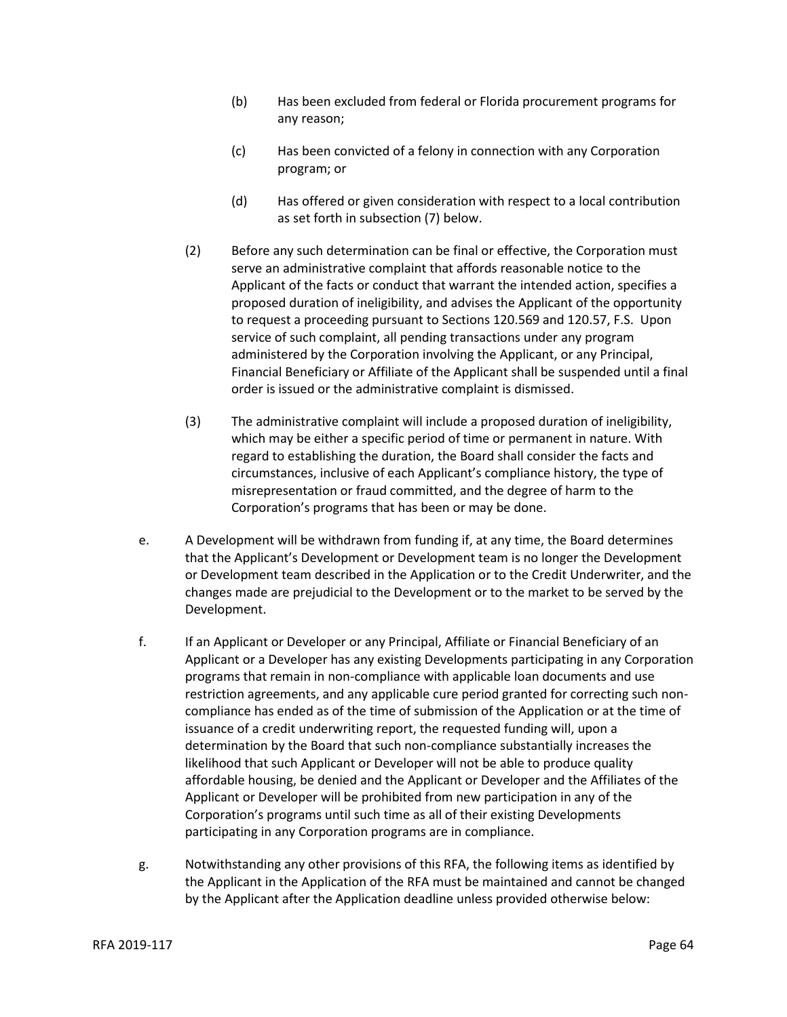- (b) Has been excluded from federal or Florida procurement programs for any reason;
- (c) Has been convicted of a felony in connection with any Corporation program; or
- (d) Has offered or given consideration with respect to a local contribution as set forth in subsection (7) below.
- (2) Before any such determination can be final or effective, the Corporation must serve an administrative complaint that affords reasonable notice to the Applicant of the facts or conduct that warrant the intended action, specifies a proposed duration of ineligibility, and advises the Applicant of the opportunity to request a proceeding pursuant to Sections 120.569 and 120.57, F.S. Upon service of such complaint, all pending transactions under any program administered by the Corporation involving the Applicant, or any Principal, Financial Beneficiary or Affiliate of the Applicant shall be suspended until a final order is issued or the administrative complaint is dismissed.
- (3) The administrative complaint will include a proposed duration of ineligibility, which may be either a specific period of time or permanent in nature. With regard to establishing the duration, the Board shall consider the facts and circumstances, inclusive of each Applicant's compliance history, the type of misrepresentation or fraud committed, and the degree of harm to the Corporation's programs that has been or may be done.
- e. A Development will be withdrawn from funding if, at any time, the Board determines that the Applicant's Development or Development team is no longer the Development or Development team described in the Application or to the Credit Underwriter, and the changes made are prejudicial to the Development or to the market to be served by the Development.
- f. If an Applicant or Developer or any Principal, Affiliate or Financial Beneficiary of an Applicant or a Developer has any existing Developments participating in any Corporation programs that remain in non-compliance with applicable loan documents and use restriction agreements, and any applicable cure period granted for correcting such noncompliance has ended as of the time of submission of the Application or at the time of issuance of a credit underwriting report, the requested funding will, upon a determination by the Board that such non-compliance substantially increases the likelihood that such Applicant or Developer will not be able to produce quality affordable housing, be denied and the Applicant or Developer and the Affiliates of the Applicant or Developer will be prohibited from new participation in any of the Corporation's programs until such time as all of their existing Developments participating in any Corporation programs are in compliance.
- g. Notwithstanding any other provisions of this RFA, the following items as identified by the Applicant in the Application of the RFA must be maintained and cannot be changed by the Applicant after the Application deadline unless provided otherwise below: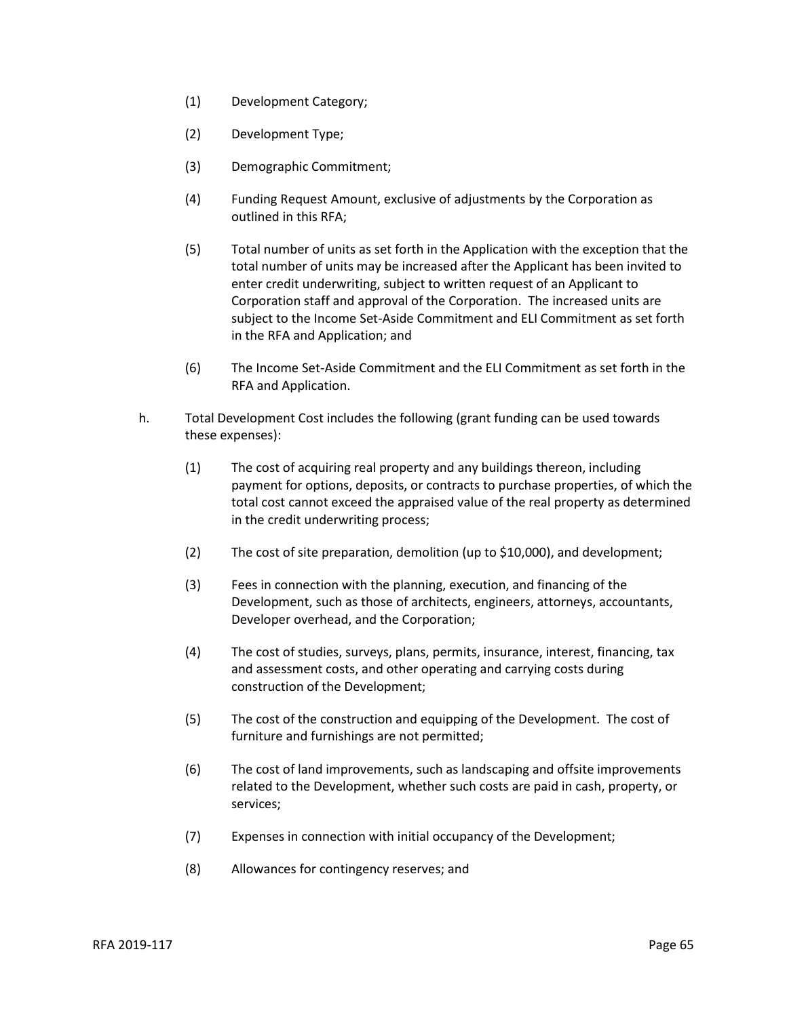- (1) Development Category;
- (2) Development Type;
- (3) Demographic Commitment;
- (4) Funding Request Amount, exclusive of adjustments by the Corporation as outlined in this RFA;
- (5) Total number of units as set forth in the Application with the exception that the total number of units may be increased after the Applicant has been invited to enter credit underwriting, subject to written request of an Applicant to Corporation staff and approval of the Corporation. The increased units are subject to the Income Set-Aside Commitment and ELI Commitment as set forth in the RFA and Application; and
- (6) The Income Set-Aside Commitment and the ELI Commitment as set forth in the RFA and Application.
- h. Total Development Cost includes the following (grant funding can be used towards these expenses):
	- (1) The cost of acquiring real property and any buildings thereon, including payment for options, deposits, or contracts to purchase properties, of which the total cost cannot exceed the appraised value of the real property as determined in the credit underwriting process;
	- (2) The cost of site preparation, demolition (up to \$10,000), and development;
	- (3) Fees in connection with the planning, execution, and financing of the Development, such as those of architects, engineers, attorneys, accountants, Developer overhead, and the Corporation;
	- (4) The cost of studies, surveys, plans, permits, insurance, interest, financing, tax and assessment costs, and other operating and carrying costs during construction of the Development;
	- (5) The cost of the construction and equipping of the Development. The cost of furniture and furnishings are not permitted;
	- (6) The cost of land improvements, such as landscaping and offsite improvements related to the Development, whether such costs are paid in cash, property, or services;
	- (7) Expenses in connection with initial occupancy of the Development;
	- (8) Allowances for contingency reserves; and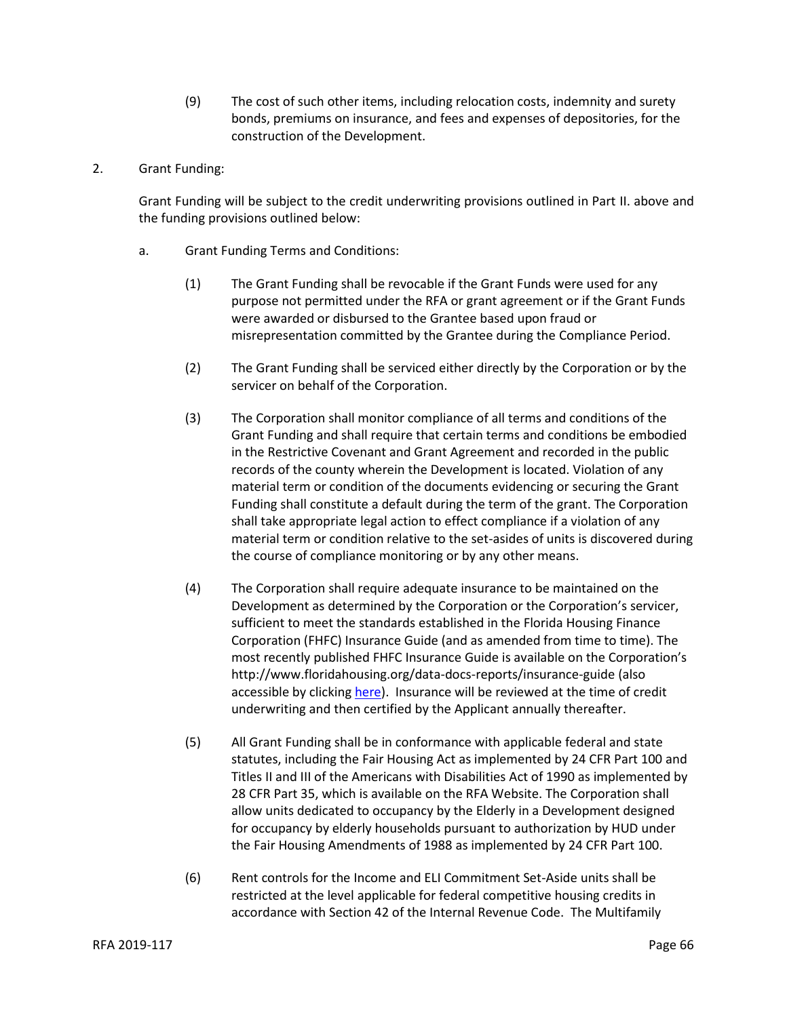- (9) The cost of such other items, including relocation costs, indemnity and surety bonds, premiums on insurance, and fees and expenses of depositories, for the construction of the Development.
- 2. Grant Funding:

Grant Funding will be subject to the credit underwriting provisions outlined in Part II. above and the funding provisions outlined below:

- a. Grant Funding Terms and Conditions:
	- (1) The Grant Funding shall be revocable if the Grant Funds were used for any purpose not permitted under the RFA or grant agreement or if the Grant Funds were awarded or disbursed to the Grantee based upon fraud or misrepresentation committed by the Grantee during the Compliance Period.
	- (2) The Grant Funding shall be serviced either directly by the Corporation or by the servicer on behalf of the Corporation.
	- (3) The Corporation shall monitor compliance of all terms and conditions of the Grant Funding and shall require that certain terms and conditions be embodied in the Restrictive Covenant and Grant Agreement and recorded in the public records of the county wherein the Development is located. Violation of any material term or condition of the documents evidencing or securing the Grant Funding shall constitute a default during the term of the grant. The Corporation shall take appropriate legal action to effect compliance if a violation of any material term or condition relative to the set-asides of units is discovered during the course of compliance monitoring or by any other means.
	- (4) The Corporation shall require adequate insurance to be maintained on the Development as determined by the Corporation or the Corporation's servicer, sufficient to meet the standards established in the Florida Housing Finance Corporation (FHFC) Insurance Guide (and as amended from time to time). The most recently published FHFC Insurance Guide is available on the Corporation's http://www.floridahousing.org/data-docs-reports/insurance-guide (also accessible by clicking [here\)](http://www.floridahousing.org/data-docs-reports/insurance-guide). Insurance will be reviewed at the time of credit underwriting and then certified by the Applicant annually thereafter.
	- (5) All Grant Funding shall be in conformance with applicable federal and state statutes, including the Fair Housing Act as implemented by 24 CFR Part 100 and Titles II and III of the Americans with Disabilities Act of 1990 as implemented by 28 CFR Part 35, which is available on the RFA Website. The Corporation shall allow units dedicated to occupancy by the Elderly in a Development designed for occupancy by elderly households pursuant to authorization by HUD under the Fair Housing Amendments of 1988 as implemented by 24 CFR Part 100.
	- (6) Rent controls for the Income and ELI Commitment Set-Aside units shall be restricted at the level applicable for federal competitive housing credits in accordance with Section 42 of the Internal Revenue Code. The Multifamily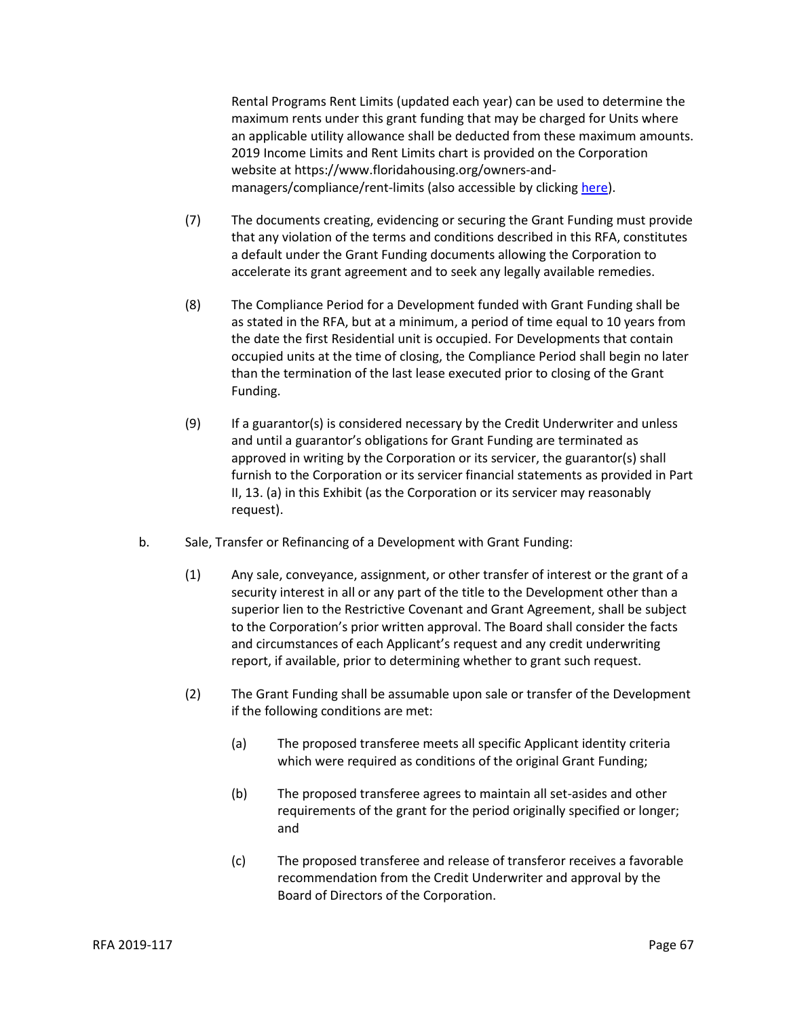Rental Programs Rent Limits (updated each year) can be used to determine the maximum rents under this grant funding that may be charged for Units where an applicable utility allowance shall be deducted from these maximum amounts. 2019 Income Limits and Rent Limits chart is provided on the Corporation website at https://www.floridahousing.org/owners-andmanagers/compliance/rent-limits (also accessible by clicking [here\)](https://www.floridahousing.org/owners-and-managers/compliance/rent-limits).

- (7) The documents creating, evidencing or securing the Grant Funding must provide that any violation of the terms and conditions described in this RFA, constitutes a default under the Grant Funding documents allowing the Corporation to accelerate its grant agreement and to seek any legally available remedies.
- (8) The Compliance Period for a Development funded with Grant Funding shall be as stated in the RFA, but at a minimum, a period of time equal to 10 years from the date the first Residential unit is occupied. For Developments that contain occupied units at the time of closing, the Compliance Period shall begin no later than the termination of the last lease executed prior to closing of the Grant Funding.
- (9) If a guarantor(s) is considered necessary by the Credit Underwriter and unless and until a guarantor's obligations for Grant Funding are terminated as approved in writing by the Corporation or its servicer, the guarantor(s) shall furnish to the Corporation or its servicer financial statements as provided in Part II, 13. (a) in this Exhibit (as the Corporation or its servicer may reasonably request).
- b. Sale, Transfer or Refinancing of a Development with Grant Funding:
	- (1) Any sale, conveyance, assignment, or other transfer of interest or the grant of a security interest in all or any part of the title to the Development other than a superior lien to the Restrictive Covenant and Grant Agreement, shall be subject to the Corporation's prior written approval. The Board shall consider the facts and circumstances of each Applicant's request and any credit underwriting report, if available, prior to determining whether to grant such request.
	- (2) The Grant Funding shall be assumable upon sale or transfer of the Development if the following conditions are met:
		- (a) The proposed transferee meets all specific Applicant identity criteria which were required as conditions of the original Grant Funding;
		- (b) The proposed transferee agrees to maintain all set-asides and other requirements of the grant for the period originally specified or longer; and
		- (c) The proposed transferee and release of transferor receives a favorable recommendation from the Credit Underwriter and approval by the Board of Directors of the Corporation.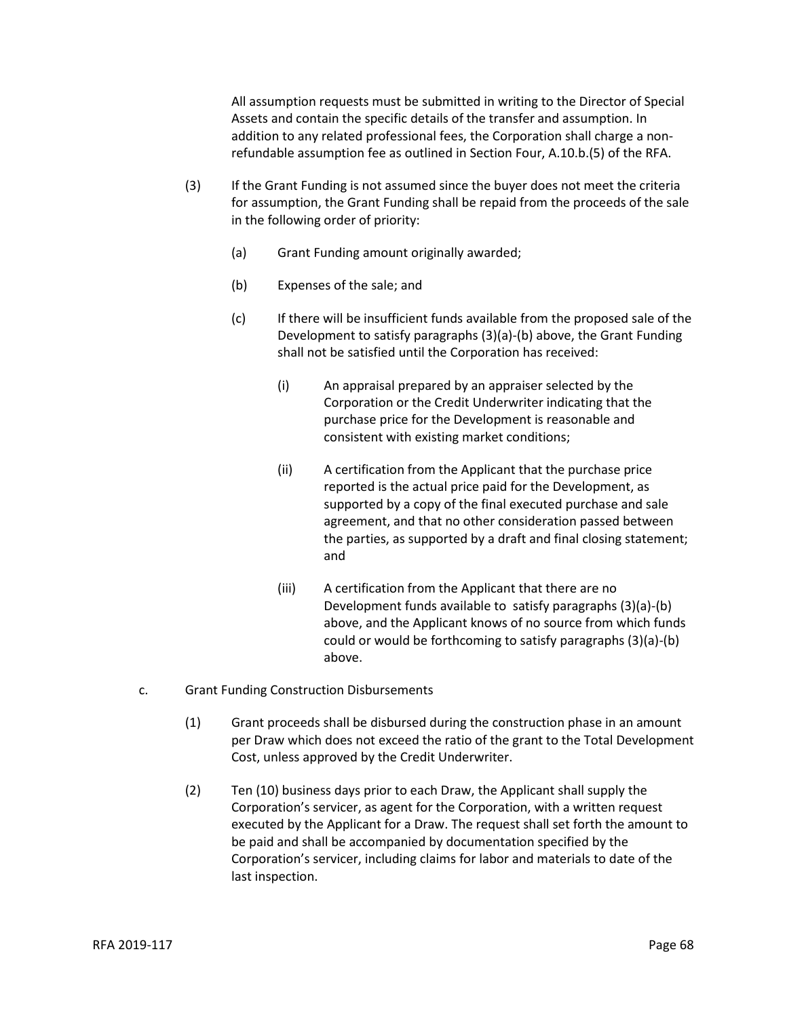All assumption requests must be submitted in writing to the Director of Special Assets and contain the specific details of the transfer and assumption. In addition to any related professional fees, the Corporation shall charge a nonrefundable assumption fee as outlined in Section Four, A.10.b.(5) of the RFA.

- (3) If the Grant Funding is not assumed since the buyer does not meet the criteria for assumption, the Grant Funding shall be repaid from the proceeds of the sale in the following order of priority:
	- (a) Grant Funding amount originally awarded;
	- (b) Expenses of the sale; and
	- (c) If there will be insufficient funds available from the proposed sale of the Development to satisfy paragraphs (3)(a)-(b) above, the Grant Funding shall not be satisfied until the Corporation has received:
		- (i) An appraisal prepared by an appraiser selected by the Corporation or the Credit Underwriter indicating that the purchase price for the Development is reasonable and consistent with existing market conditions;
		- (ii) A certification from the Applicant that the purchase price reported is the actual price paid for the Development, as supported by a copy of the final executed purchase and sale agreement, and that no other consideration passed between the parties, as supported by a draft and final closing statement; and
		- (iii) A certification from the Applicant that there are no Development funds available to satisfy paragraphs (3)(a)-(b) above, and the Applicant knows of no source from which funds could or would be forthcoming to satisfy paragraphs (3)(a)-(b) above.
- c. Grant Funding Construction Disbursements
	- (1) Grant proceeds shall be disbursed during the construction phase in an amount per Draw which does not exceed the ratio of the grant to the Total Development Cost, unless approved by the Credit Underwriter.
	- (2) Ten (10) business days prior to each Draw, the Applicant shall supply the Corporation's servicer, as agent for the Corporation, with a written request executed by the Applicant for a Draw. The request shall set forth the amount to be paid and shall be accompanied by documentation specified by the Corporation's servicer, including claims for labor and materials to date of the last inspection.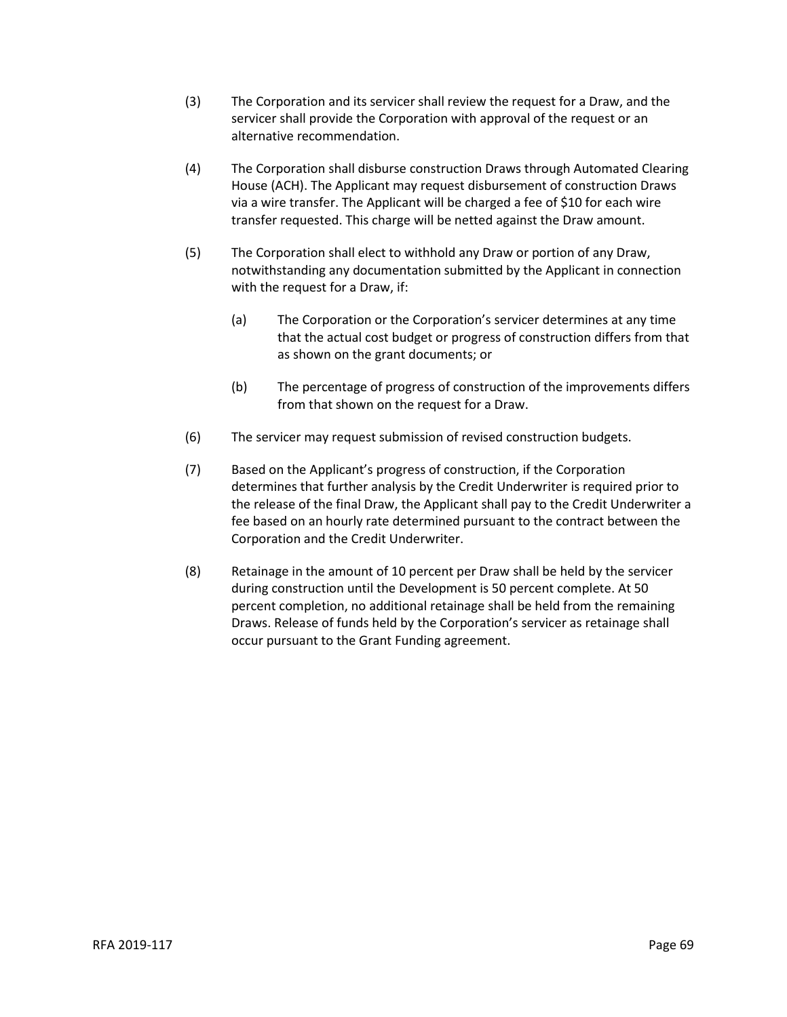- (3) The Corporation and its servicer shall review the request for a Draw, and the servicer shall provide the Corporation with approval of the request or an alternative recommendation.
- (4) The Corporation shall disburse construction Draws through Automated Clearing House (ACH). The Applicant may request disbursement of construction Draws via a wire transfer. The Applicant will be charged a fee of \$10 for each wire transfer requested. This charge will be netted against the Draw amount.
- (5) The Corporation shall elect to withhold any Draw or portion of any Draw, notwithstanding any documentation submitted by the Applicant in connection with the request for a Draw, if:
	- (a) The Corporation or the Corporation's servicer determines at any time that the actual cost budget or progress of construction differs from that as shown on the grant documents; or
	- (b) The percentage of progress of construction of the improvements differs from that shown on the request for a Draw.
- (6) The servicer may request submission of revised construction budgets.
- (7) Based on the Applicant's progress of construction, if the Corporation determines that further analysis by the Credit Underwriter is required prior to the release of the final Draw, the Applicant shall pay to the Credit Underwriter a fee based on an hourly rate determined pursuant to the contract between the Corporation and the Credit Underwriter.
- (8) Retainage in the amount of 10 percent per Draw shall be held by the servicer during construction until the Development is 50 percent complete. At 50 percent completion, no additional retainage shall be held from the remaining Draws. Release of funds held by the Corporation's servicer as retainage shall occur pursuant to the Grant Funding agreement.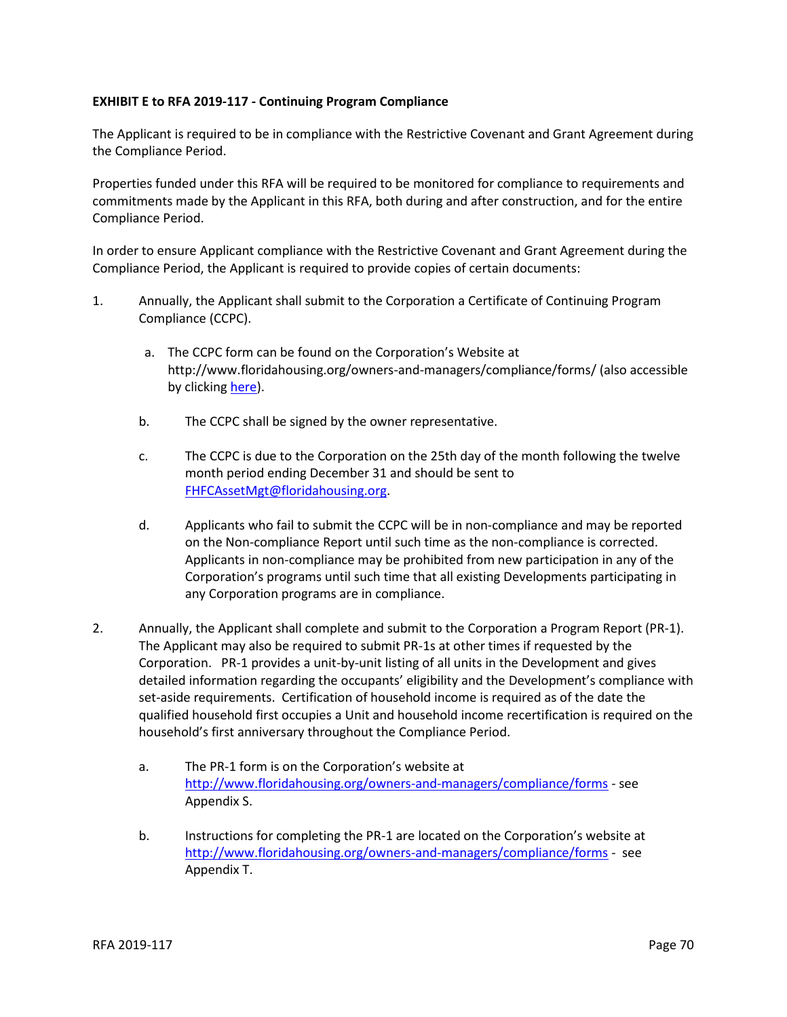## **EXHIBIT E to RFA 2019-117 - Continuing Program Compliance**

The Applicant is required to be in compliance with the Restrictive Covenant and Grant Agreement during the Compliance Period.

Properties funded under this RFA will be required to be monitored for compliance to requirements and commitments made by the Applicant in this RFA, both during and after construction, and for the entire Compliance Period.

In order to ensure Applicant compliance with the Restrictive Covenant and Grant Agreement during the Compliance Period, the Applicant is required to provide copies of certain documents:

- 1. Annually, the Applicant shall submit to the Corporation a Certificate of Continuing Program Compliance (CCPC).
	- a. The CCPC form can be found on the Corporation's Website at http://www.floridahousing.org/owners-and-managers/compliance/forms/ (also accessible by clicking [here\)](http://www.floridahousing.org/owners-and-managers/compliance/forms).
	- b. The CCPC shall be signed by the owner representative.
	- c. The CCPC is due to the Corporation on the 25th day of the month following the twelve month period ending December 31 and should be sent to [FHFCAssetMgt@floridahousing.org.](mailto:FHFCAssetMgt@floridahousing.org)
	- d. Applicants who fail to submit the CCPC will be in non-compliance and may be reported on the Non-compliance Report until such time as the non-compliance is corrected. Applicants in non-compliance may be prohibited from new participation in any of the Corporation's programs until such time that all existing Developments participating in any Corporation programs are in compliance.
- 2. Annually, the Applicant shall complete and submit to the Corporation a Program Report (PR-1). The Applicant may also be required to submit PR-1s at other times if requested by the Corporation. PR-1 provides a unit-by-unit listing of all units in the Development and gives detailed information regarding the occupants' eligibility and the Development's compliance with set-aside requirements. Certification of household income is required as of the date the qualified household first occupies a Unit and household income recertification is required on the household's first anniversary throughout the Compliance Period.
	- a. The PR-1 form is on the Corporation's website at <http://www.floridahousing.org/owners-and-managers/compliance/forms> - see Appendix S.
	- b. Instructions for completing the PR-1 are located on the Corporation's website at <http://www.floridahousing.org/owners-and-managers/compliance/forms> - see Appendix T.